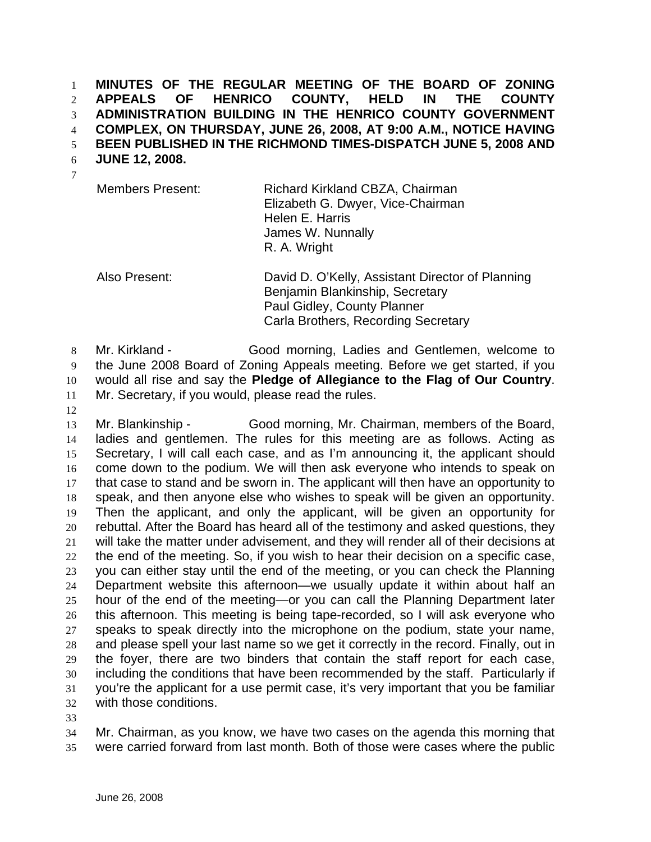**MINUTES OF THE REGULAR MEETING OF THE BOARD OF ZONING APPEALS OF HENRICO COUNTY, HELD IN THE COUNTY ADMINISTRATION BUILDING IN THE HENRICO COUNTY GOVERNMENT COMPLEX, ON THURSDAY, JUNE 26, 2008, AT 9:00 A.M., NOTICE HAVING BEEN PUBLISHED IN THE RICHMOND TIMES-DISPATCH JUNE 5, 2008 AND**  1 2 3 4 5

**JUNE 12, 2008.**  6

| ۰. |  |
|----|--|
|    |  |

Members Present: Richard Kirkland CBZA, Chairman Elizabeth G. Dwyer, Vice-Chairman Helen E. Harris James W. Nunnally R. A. Wright

Also Present: David D. O'Kelly, Assistant Director of Planning Benjamin Blankinship, Secretary Paul Gidley, County Planner Carla Brothers, Recording Secretary

8 9 10 11 Mr. Kirkland - Good morning, Ladies and Gentlemen, welcome to the June 2008 Board of Zoning Appeals meeting. Before we get started, if you would all rise and say the **Pledge of Allegiance to the Flag of Our Country**. Mr. Secretary, if you would, please read the rules.

12

13 14 15 16 17 18 19 20 21 22 23 24 25 26 27 28 29 30 31 32 Mr. Blankinship - Good morning, Mr. Chairman, members of the Board, ladies and gentlemen. The rules for this meeting are as follows. Acting as Secretary, I will call each case, and as I'm announcing it, the applicant should come down to the podium. We will then ask everyone who intends to speak on that case to stand and be sworn in. The applicant will then have an opportunity to speak, and then anyone else who wishes to speak will be given an opportunity. Then the applicant, and only the applicant, will be given an opportunity for rebuttal. After the Board has heard all of the testimony and asked questions, they will take the matter under advisement, and they will render all of their decisions at the end of the meeting. So, if you wish to hear their decision on a specific case, you can either stay until the end of the meeting, or you can check the Planning Department website this afternoon—we usually update it within about half an hour of the end of the meeting—or you can call the Planning Department later this afternoon. This meeting is being tape-recorded, so I will ask everyone who speaks to speak directly into the microphone on the podium, state your name, and please spell your last name so we get it correctly in the record. Finally, out in the foyer, there are two binders that contain the staff report for each case, including the conditions that have been recommended by the staff. Particularly if you're the applicant for a use permit case, it's very important that you be familiar with those conditions.

33

34 35 Mr. Chairman, as you know, we have two cases on the agenda this morning that were carried forward from last month. Both of those were cases where the public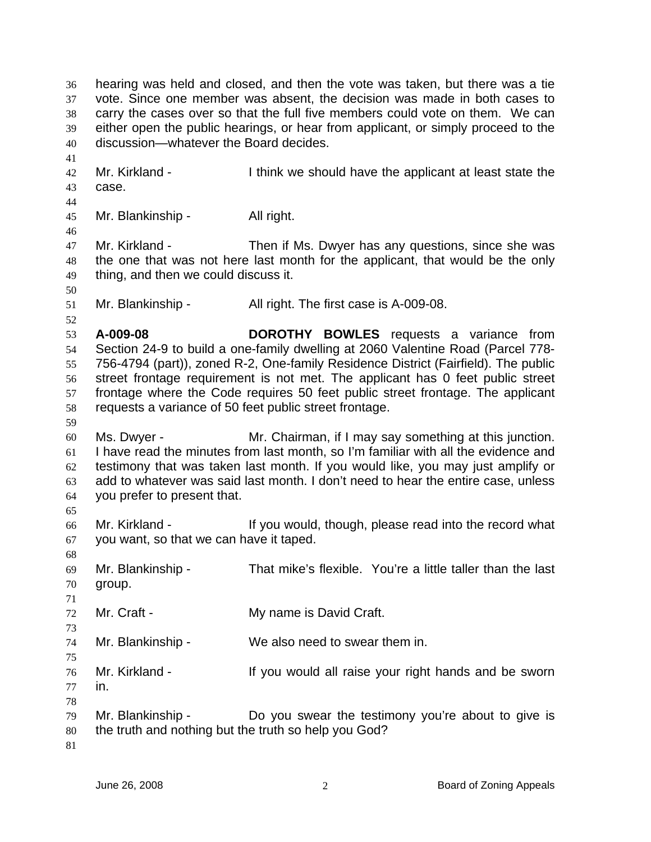hearing was held and closed, and then the vote was taken, but there was a tie vote. Since one member was absent, the decision was made in both cases to carry the cases over so that the full five members could vote on them. We can either open the public hearings, or hear from applicant, or simply proceed to the discussion—whatever the Board decides. 36 37 38 39 40 41 42 43 44 45 46 47 48 49 50 51 52 53 54 55 56 57 58 59 60 61 62 63 64 65 66 67 68 69 70 71 72 73 74 75 76 77 78 79 80 81 Mr. Kirkland - I think we should have the applicant at least state the case. Mr. Blankinship - All right. Mr. Kirkland - Then if Ms. Dwyer has any questions, since she was the one that was not here last month for the applicant, that would be the only thing, and then we could discuss it. Mr. Blankinship - All right. The first case is A-009-08. **A-009-08 DOROTHY BOWLES** requests a variance from Section 24-9 to build a one-family dwelling at 2060 Valentine Road (Parcel 778- 756-4794 (part)), zoned R-2, One-family Residence District (Fairfield). The public street frontage requirement is not met. The applicant has 0 feet public street frontage where the Code requires 50 feet public street frontage. The applicant requests a variance of 50 feet public street frontage. Ms. Dwyer - Mr. Chairman, if I may say something at this junction. I have read the minutes from last month, so I'm familiar with all the evidence and testimony that was taken last month. If you would like, you may just amplify or add to whatever was said last month. I don't need to hear the entire case, unless you prefer to present that. Mr. Kirkland - If you would, though, please read into the record what you want, so that we can have it taped. Mr. Blankinship - That mike's flexible. You're a little taller than the last group. Mr. Craft - **My name is David Craft.** Mr. Blankinship - We also need to swear them in. Mr. Kirkland - The Summan of the Vou would all raise your right hands and be sworn in. Mr. Blankinship - Do you swear the testimony you're about to give is the truth and nothing but the truth so help you God?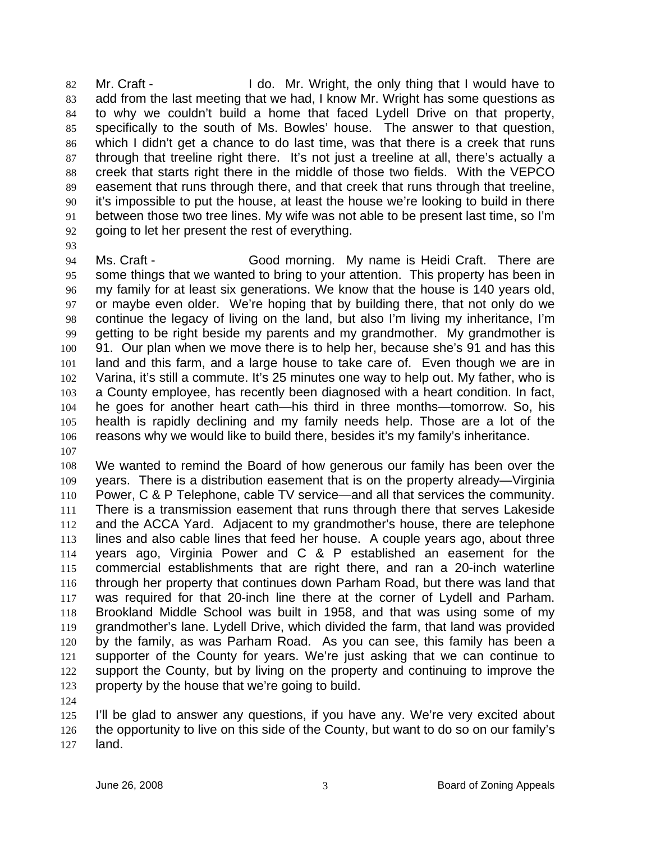Mr. Craft - The I do. Mr. Wright, the only thing that I would have to add from the last meeting that we had, I know Mr. Wright has some questions as to why we couldn't build a home that faced Lydell Drive on that property, specifically to the south of Ms. Bowles' house. The answer to that question, which I didn't get a chance to do last time, was that there is a creek that runs through that treeline right there. It's not just a treeline at all, there's actually a creek that starts right there in the middle of those two fields. With the VEPCO easement that runs through there, and that creek that runs through that treeline, it's impossible to put the house, at least the house we're looking to build in there between those two tree lines. My wife was not able to be present last time, so I'm going to let her present the rest of everything. 82 83 84 85 86 87 88 89 90 91 92

93

94 95 96 97 98 99 100 101 102 103 104 105 106 Ms. Craft - Good morning. My name is Heidi Craft. There are some things that we wanted to bring to your attention. This property has been in my family for at least six generations. We know that the house is 140 years old, or maybe even older. We're hoping that by building there, that not only do we continue the legacy of living on the land, but also I'm living my inheritance, I'm getting to be right beside my parents and my grandmother. My grandmother is 91. Our plan when we move there is to help her, because she's 91 and has this land and this farm, and a large house to take care of. Even though we are in Varina, it's still a commute. It's 25 minutes one way to help out. My father, who is a County employee, has recently been diagnosed with a heart condition. In fact, he goes for another heart cath—his third in three months—tomorrow. So, his health is rapidly declining and my family needs help. Those are a lot of the reasons why we would like to build there, besides it's my family's inheritance.

107

108 109 110 111 112 113 114 115 116 117 118 119 120 121 122 123 We wanted to remind the Board of how generous our family has been over the years. There is a distribution easement that is on the property already—Virginia Power, C & P Telephone, cable TV service—and all that services the community. There is a transmission easement that runs through there that serves Lakeside and the ACCA Yard. Adjacent to my grandmother's house, there are telephone lines and also cable lines that feed her house. A couple years ago, about three years ago, Virginia Power and C & P established an easement for the commercial establishments that are right there, and ran a 20-inch waterline through her property that continues down Parham Road, but there was land that was required for that 20-inch line there at the corner of Lydell and Parham. Brookland Middle School was built in 1958, and that was using some of my grandmother's lane. Lydell Drive, which divided the farm, that land was provided by the family, as was Parham Road. As you can see, this family has been a supporter of the County for years. We're just asking that we can continue to support the County, but by living on the property and continuing to improve the property by the house that we're going to build.

124

125 126 127 I'll be glad to answer any questions, if you have any. We're very excited about the opportunity to live on this side of the County, but want to do so on our family's land.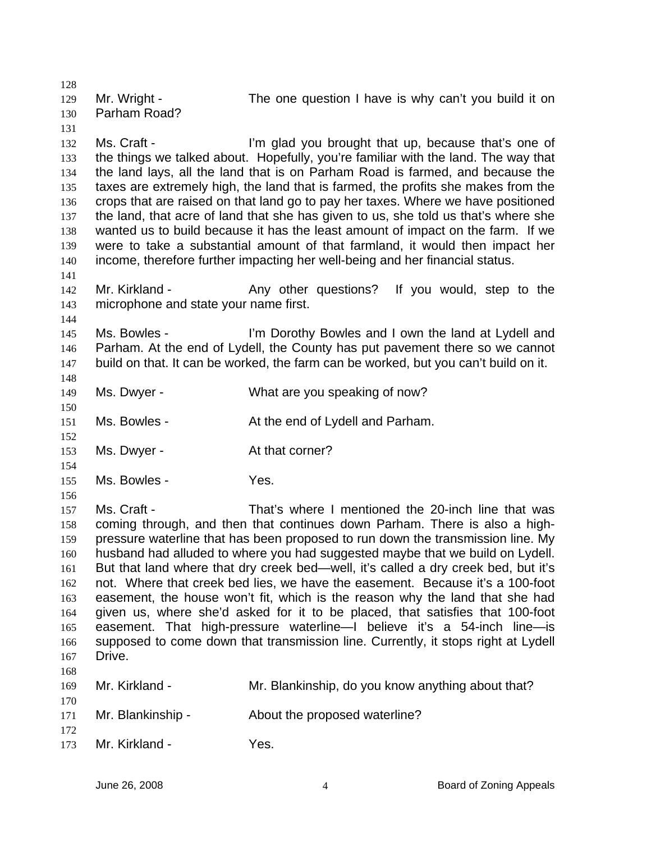128 129 130 131 132 133 134 135 136 137 138 139 140 141 142 143 144 145 146 147 148 149 150 151 152 153 154 155 156 157 158 159 160 161 162 163 164 165 166 167 168 169 170 171 172 173 Mr. Wright - The one question I have is why can't you build it on Parham Road? Ms. Craft - The I'm glad you brought that up, because that's one of the things we talked about. Hopefully, you're familiar with the land. The way that the land lays, all the land that is on Parham Road is farmed, and because the taxes are extremely high, the land that is farmed, the profits she makes from the crops that are raised on that land go to pay her taxes. Where we have positioned the land, that acre of land that she has given to us, she told us that's where she wanted us to build because it has the least amount of impact on the farm. If we were to take a substantial amount of that farmland, it would then impact her income, therefore further impacting her well-being and her financial status. Mr. Kirkland - Any other questions? If you would, step to the microphone and state your name first. Ms. Bowles - I'm Dorothy Bowles and I own the land at Lydell and Parham. At the end of Lydell, the County has put pavement there so we cannot build on that. It can be worked, the farm can be worked, but you can't build on it. Ms. Dwyer - What are you speaking of now? Ms. Bowles - The At the end of Lydell and Parham. Ms. Dwyer - The At that corner? Ms. Bowles - The Yes. Ms. Craft - That's where I mentioned the 20-inch line that was coming through, and then that continues down Parham. There is also a highpressure waterline that has been proposed to run down the transmission line. My husband had alluded to where you had suggested maybe that we build on Lydell. But that land where that dry creek bed—well, it's called a dry creek bed, but it's not. Where that creek bed lies, we have the easement. Because it's a 100-foot easement, the house won't fit, which is the reason why the land that she had given us, where she'd asked for it to be placed, that satisfies that 100-foot easement. That high-pressure waterline—I believe it's a 54-inch line—is supposed to come down that transmission line. Currently, it stops right at Lydell Drive. Mr. Kirkland - Mr. Blankinship, do you know anything about that? Mr. Blankinship - About the proposed waterline? Mr. Kirkland - Yes.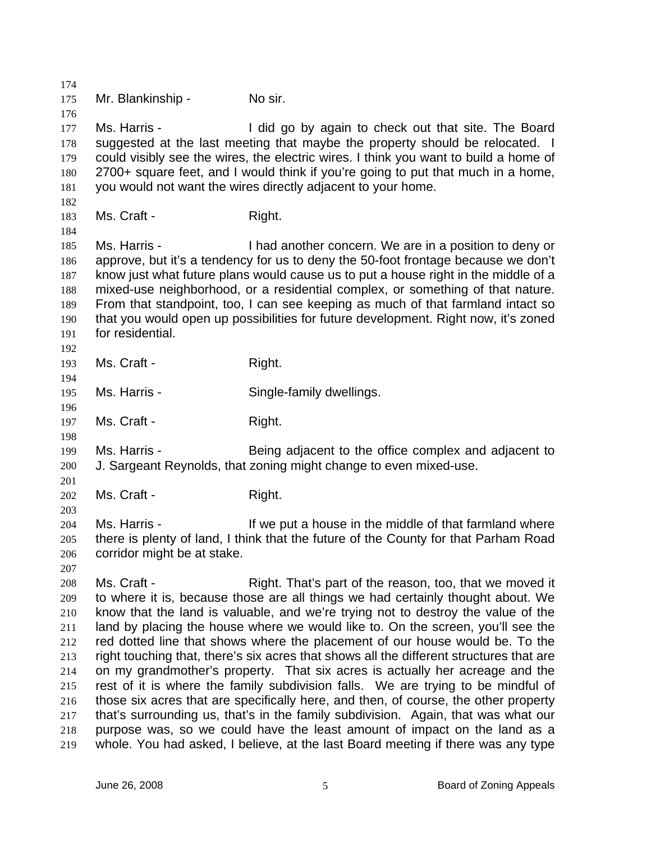174 175 176 177 178 179 180 181 182 183 184 185 186 187 188 189 190 191 192 193 194 195 196 197 198 199 200 201 202 203 204 205 206 207 208 209 210 211 212 213 214 215 216 217 218 219 Mr. Blankinship - No sir. Ms. Harris - I did go by again to check out that site. The Board suggested at the last meeting that maybe the property should be relocated. I could visibly see the wires, the electric wires. I think you want to build a home of 2700+ square feet, and I would think if you're going to put that much in a home, you would not want the wires directly adjacent to your home. Ms. Craft - Right. Ms. Harris - Thad another concern. We are in a position to deny or approve, but it's a tendency for us to deny the 50-foot frontage because we don't know just what future plans would cause us to put a house right in the middle of a mixed-use neighborhood, or a residential complex, or something of that nature. From that standpoint, too, I can see keeping as much of that farmland intact so that you would open up possibilities for future development. Right now, it's zoned for residential. Ms. Craft - Right. Ms. Harris - Single-family dwellings. Ms. Craft - Right. Ms. Harris - Being adjacent to the office complex and adjacent to J. Sargeant Reynolds, that zoning might change to even mixed-use. Ms. Craft - Right. Ms. Harris - The Music of the middle of that farmland where in the middle of that farmland where there is plenty of land, I think that the future of the County for that Parham Road corridor might be at stake. Ms. Craft - That's part of the reason, too, that we moved it to where it is, because those are all things we had certainly thought about. We know that the land is valuable, and we're trying not to destroy the value of the land by placing the house where we would like to. On the screen, you'll see the red dotted line that shows where the placement of our house would be. To the right touching that, there's six acres that shows all the different structures that are on my grandmother's property. That six acres is actually her acreage and the rest of it is where the family subdivision falls. We are trying to be mindful of those six acres that are specifically here, and then, of course, the other property that's surrounding us, that's in the family subdivision. Again, that was what our purpose was, so we could have the least amount of impact on the land as a whole. You had asked, I believe, at the last Board meeting if there was any type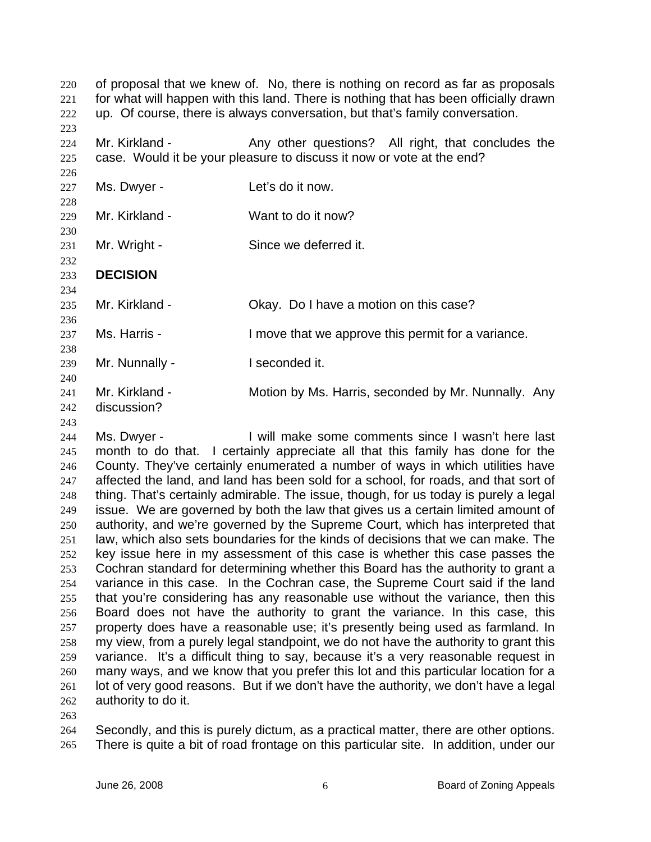of proposal that we knew of. No, there is nothing on record as far as proposals for what will happen with this land. There is nothing that has been officially drawn up. Of course, there is always conversation, but that's family conversation. 220 221 222 223

224 225 Mr. Kirkland - Any other questions? All right, that concludes the case. Would it be your pleasure to discuss it now or vote at the end?

227 228 Ms. Dwyer - Let's do it now.

229 230 Mr. Kirkland - Want to do it now?

231 Mr. Wright - Since we deferred it.

232 233 **DECISION** 

235 Mr. Kirkland - Chay. Do I have a motion on this case?

236 237 Ms. Harris - The Move that we approve this permit for a variance.

239 Mr. Nunnally - **I** seconded it.

240 241 242 Mr. Kirkland - **Motion by Ms. Harris, seconded by Mr. Nunnally.** Any discussion?

243

226

234

238

244 245 246 247 248 249 250 251 252 253 254 255 256 257 258 259 260 261 262 Ms. Dwyer - I will make some comments since I wasn't here last month to do that. I certainly appreciate all that this family has done for the County. They've certainly enumerated a number of ways in which utilities have affected the land, and land has been sold for a school, for roads, and that sort of thing. That's certainly admirable. The issue, though, for us today is purely a legal issue. We are governed by both the law that gives us a certain limited amount of authority, and we're governed by the Supreme Court, which has interpreted that law, which also sets boundaries for the kinds of decisions that we can make. The key issue here in my assessment of this case is whether this case passes the Cochran standard for determining whether this Board has the authority to grant a variance in this case. In the Cochran case, the Supreme Court said if the land that you're considering has any reasonable use without the variance, then this Board does not have the authority to grant the variance. In this case, this property does have a reasonable use; it's presently being used as farmland. In my view, from a purely legal standpoint, we do not have the authority to grant this variance. It's a difficult thing to say, because it's a very reasonable request in many ways, and we know that you prefer this lot and this particular location for a lot of very good reasons. But if we don't have the authority, we don't have a legal authority to do it.

263

264 265 Secondly, and this is purely dictum, as a practical matter, there are other options. There is quite a bit of road frontage on this particular site. In addition, under our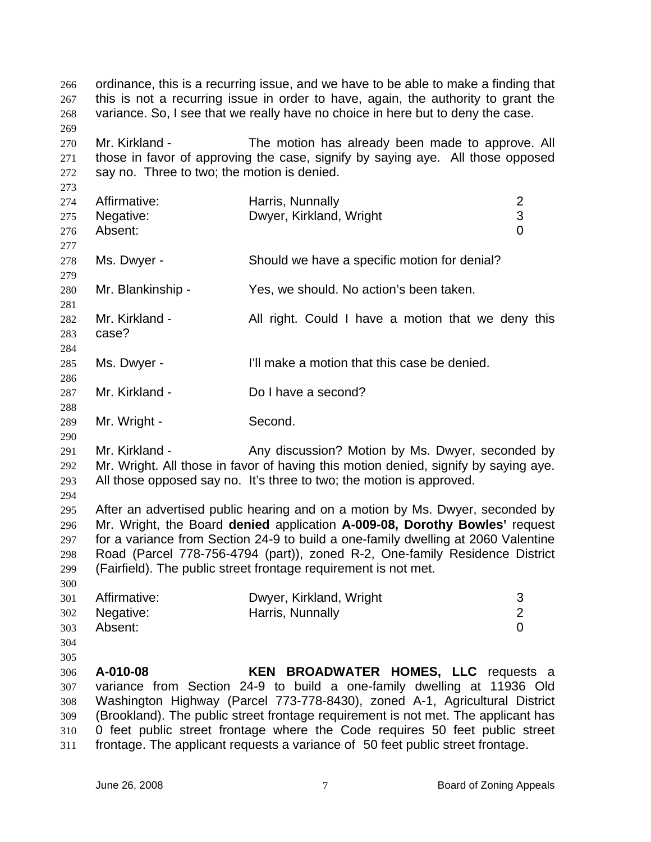ordinance, this is a recurring issue, and we have to be able to make a finding that this is not a recurring issue in order to have, again, the authority to grant the variance. So, I see that we really have no choice in here but to deny the case. 266 267 268 269 270 271 272 273 274 275 276 277 278 279 280 281 282 283 284 285 286 287 288 289 290 291 292 293 294 295 296 297 298 299 300 301 302 303 304 305 306 307 308 309 310 311 Mr. Kirkland - The motion has already been made to approve. All those in favor of approving the case, signify by saying aye. All those opposed say no. Three to two; the motion is denied. Affirmative: Harris, Nunnally 2 Negative: Dwyer, Kirkland, Wright 3 Absent: 0 Ms. Dwyer - Should we have a specific motion for denial? Mr. Blankinship - Yes, we should. No action's been taken. Mr. Kirkland - The All right. Could I have a motion that we deny this case? Ms. Dwyer - I'll make a motion that this case be denied. Mr. Kirkland - Do I have a second? Mr. Wright - Second. Mr. Kirkland - Any discussion? Motion by Ms. Dwyer, seconded by Mr. Wright. All those in favor of having this motion denied, signify by saying aye. All those opposed say no. It's three to two; the motion is approved. After an advertised public hearing and on a motion by Ms. Dwyer, seconded by Mr. Wright, the Board **denied** application **A-009-08, Dorothy Bowles'** request for a variance from Section 24-9 to build a one-family dwelling at 2060 Valentine Road (Parcel 778-756-4794 (part)), zoned R-2, One-family Residence District (Fairfield). The public street frontage requirement is not met. Affirmative: Dwyer, Kirkland, Wright 3 Negative: **Harris, Nunnally 2** 2 Absent: 0 **A-010-08 KEN BROADWATER HOMES, LLC** requests a variance from Section 24-9 to build a one-family dwelling at 11936 Old Washington Highway (Parcel 773-778-8430), zoned A-1, Agricultural District (Brookland). The public street frontage requirement is not met. The applicant has 0 feet public street frontage where the Code requires 50 feet public street frontage. The applicant requests a variance of 50 feet public street frontage.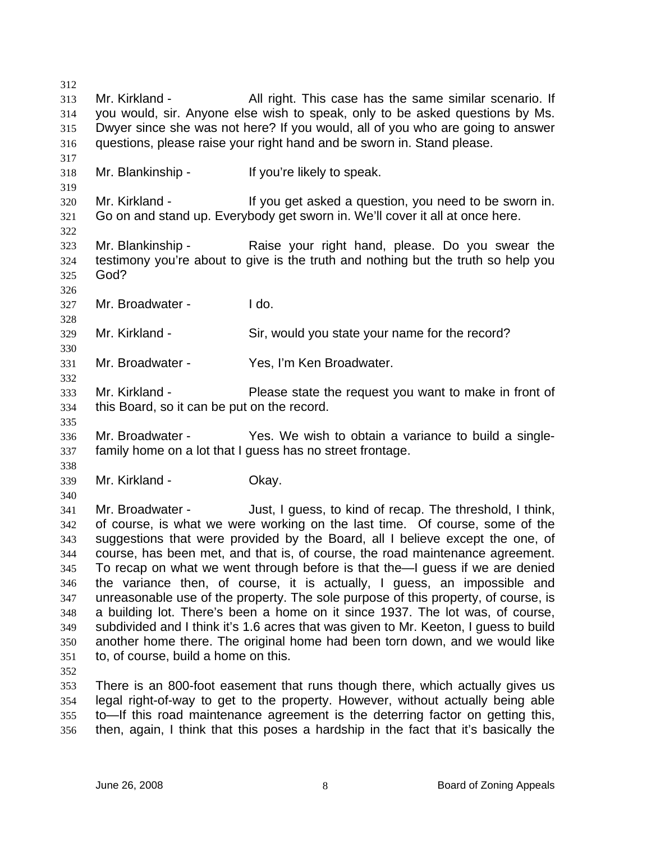312 313 314 315 316 317 318 319 320 321 322 323 324 325 326 327 328 329 330 331 332 333 334 335 336 337 338 339 340 341 342 343 344 345 346 347 348 349 350 351 352 353 354 Mr. Kirkland - All right. This case has the same similar scenario. If you would, sir. Anyone else wish to speak, only to be asked questions by Ms. Dwyer since she was not here? If you would, all of you who are going to answer questions, please raise your right hand and be sworn in. Stand please. Mr. Blankinship - If you're likely to speak. Mr. Kirkland - The State of the Vou get asked a question, you need to be sworn in. Go on and stand up. Everybody get sworn in. We'll cover it all at once here. Mr. Blankinship - The Raise your right hand, please. Do you swear the testimony you're about to give is the truth and nothing but the truth so help you God? Mr. Broadwater - Ido. Mr. Kirkland - Sir, would you state your name for the record? Mr. Broadwater - Yes, I'm Ken Broadwater. Mr. Kirkland - Please state the request you want to make in front of this Board, so it can be put on the record. Mr. Broadwater - The Yes. We wish to obtain a variance to build a singlefamily home on a lot that I guess has no street frontage. Mr. Kirkland - Chay. Mr. Broadwater - Just, I guess, to kind of recap. The threshold, I think, of course, is what we were working on the last time. Of course, some of the suggestions that were provided by the Board, all I believe except the one, of course, has been met, and that is, of course, the road maintenance agreement. To recap on what we went through before is that the—I guess if we are denied the variance then, of course, it is actually, I guess, an impossible and unreasonable use of the property. The sole purpose of this property, of course, is a building lot. There's been a home on it since 1937. The lot was, of course, subdivided and I think it's 1.6 acres that was given to Mr. Keeton, I guess to build another home there. The original home had been torn down, and we would like to, of course, build a home on this. There is an 800-foot easement that runs though there, which actually gives us legal right-of-way to get to the property. However, without actually being able

355 356 to—If this road maintenance agreement is the deterring factor on getting this, then, again, I think that this poses a hardship in the fact that it's basically the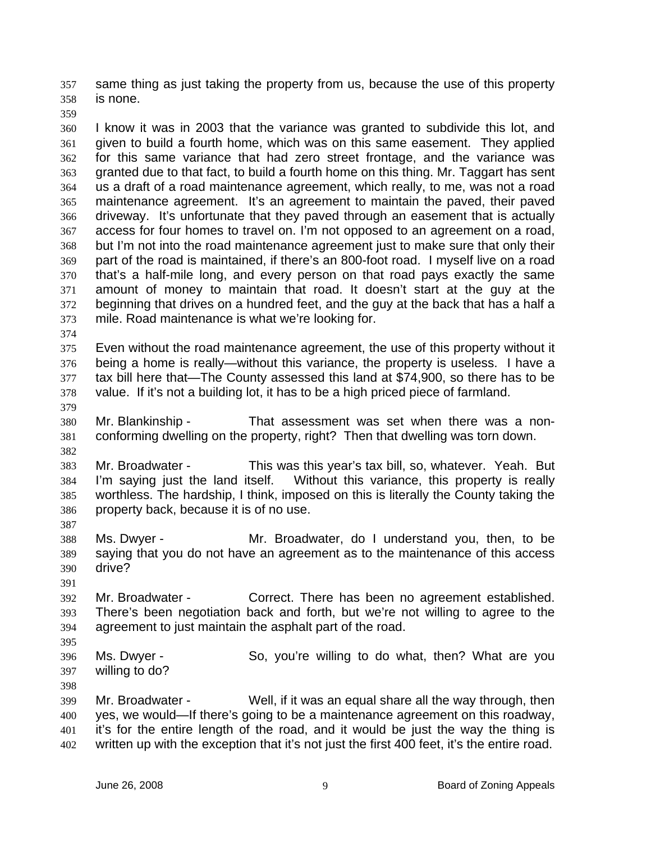same thing as just taking the property from us, because the use of this property is none. 357 358

359

360 361 362 363 364 365 366 367 368 369 370 371 372 373 I know it was in 2003 that the variance was granted to subdivide this lot, and given to build a fourth home, which was on this same easement. They applied for this same variance that had zero street frontage, and the variance was granted due to that fact, to build a fourth home on this thing. Mr. Taggart has sent us a draft of a road maintenance agreement, which really, to me, was not a road maintenance agreement. It's an agreement to maintain the paved, their paved driveway. It's unfortunate that they paved through an easement that is actually access for four homes to travel on. I'm not opposed to an agreement on a road, but I'm not into the road maintenance agreement just to make sure that only their part of the road is maintained, if there's an 800-foot road. I myself live on a road that's a half-mile long, and every person on that road pays exactly the same amount of money to maintain that road. It doesn't start at the guy at the beginning that drives on a hundred feet, and the guy at the back that has a half a mile. Road maintenance is what we're looking for.

374

379

382

375 376 377 378 Even without the road maintenance agreement, the use of this property without it being a home is really—without this variance, the property is useless. I have a tax bill here that—The County assessed this land at \$74,900, so there has to be value. If it's not a building lot, it has to be a high priced piece of farmland.

380 381 Mr. Blankinship - That assessment was set when there was a nonconforming dwelling on the property, right? Then that dwelling was torn down.

383 384 385 386 Mr. Broadwater - This was this year's tax bill, so, whatever. Yeah. But I'm saying just the land itself. Without this variance, this property is really worthless. The hardship, I think, imposed on this is literally the County taking the property back, because it is of no use.

- 388 389 390 Ms. Dwyer - The Mr. Broadwater, do I understand you, then, to be saying that you do not have an agreement as to the maintenance of this access drive?
- 391

387

392 393 394 Mr. Broadwater - Correct. There has been no agreement established. There's been negotiation back and forth, but we're not willing to agree to the agreement to just maintain the asphalt part of the road.

- 396 397 Ms. Dwyer - So, you're willing to do what, then? What are you willing to do?
- 398

395

399 400 401 402 Mr. Broadwater - Well, if it was an equal share all the way through, then yes, we would—If there's going to be a maintenance agreement on this roadway, it's for the entire length of the road, and it would be just the way the thing is written up with the exception that it's not just the first 400 feet, it's the entire road.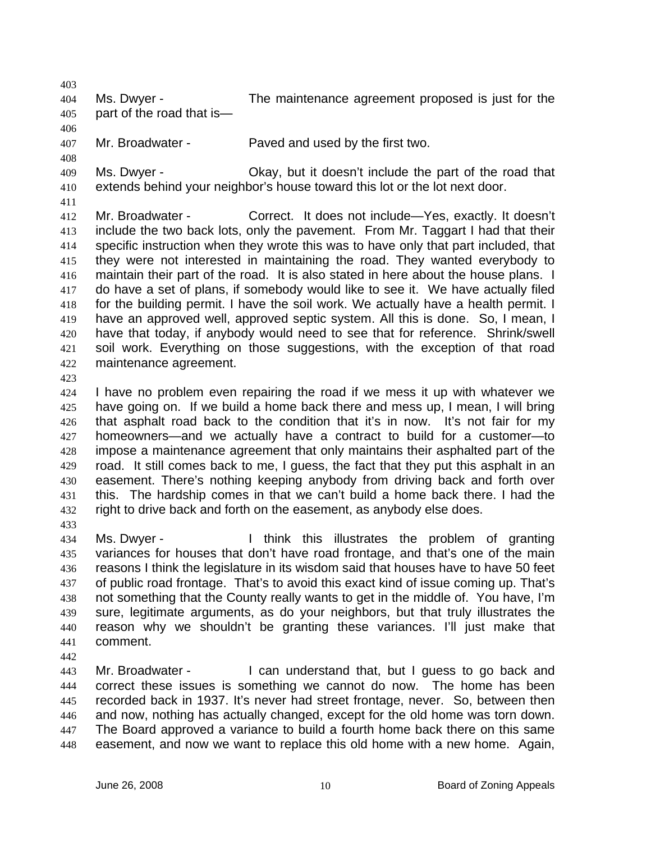403

404 405 Ms. Dwyer - The maintenance agreement proposed is just for the part of the road that is—

406 407 Mr. Broadwater - Paved and used by the first two.

409 410 Ms. Dwyer - Okay, but it doesn't include the part of the road that extends behind your neighbor's house toward this lot or the lot next door.

411

408

412 413 414 415 416 417 418 419 420 421 422 Mr. Broadwater - Correct. It does not include—Yes, exactly. It doesn't include the two back lots, only the pavement. From Mr. Taggart I had that their specific instruction when they wrote this was to have only that part included, that they were not interested in maintaining the road. They wanted everybody to maintain their part of the road. It is also stated in here about the house plans. I do have a set of plans, if somebody would like to see it. We have actually filed for the building permit. I have the soil work. We actually have a health permit. I have an approved well, approved septic system. All this is done. So, I mean, I have that today, if anybody would need to see that for reference. Shrink/swell soil work. Everything on those suggestions, with the exception of that road maintenance agreement.

423

424 425 426 427 428 429 430 431 432 I have no problem even repairing the road if we mess it up with whatever we have going on. If we build a home back there and mess up, I mean, I will bring that asphalt road back to the condition that it's in now. It's not fair for my homeowners—and we actually have a contract to build for a customer—to impose a maintenance agreement that only maintains their asphalted part of the road. It still comes back to me, I guess, the fact that they put this asphalt in an easement. There's nothing keeping anybody from driving back and forth over this. The hardship comes in that we can't build a home back there. I had the right to drive back and forth on the easement, as anybody else does.

433

434 435 436 437 438 439 440 441 Ms. Dwyer - I think this illustrates the problem of granting variances for houses that don't have road frontage, and that's one of the main reasons I think the legislature in its wisdom said that houses have to have 50 feet of public road frontage. That's to avoid this exact kind of issue coming up. That's not something that the County really wants to get in the middle of. You have, I'm sure, legitimate arguments, as do your neighbors, but that truly illustrates the reason why we shouldn't be granting these variances. I'll just make that comment.

442

443 444 445 446 447 448 Mr. Broadwater - I can understand that, but I guess to go back and correct these issues is something we cannot do now. The home has been recorded back in 1937. It's never had street frontage, never. So, between then and now, nothing has actually changed, except for the old home was torn down. The Board approved a variance to build a fourth home back there on this same easement, and now we want to replace this old home with a new home. Again,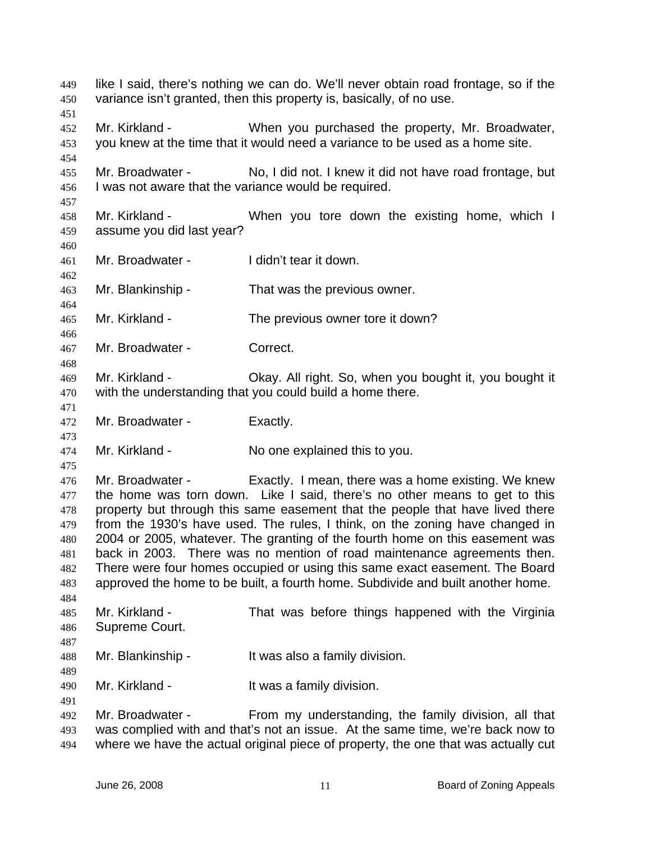like I said, there's nothing we can do. We'll never obtain road frontage, so if the variance isn't granted, then this property is, basically, of no use. 449 450 451 452 453 454 455 456 457 458 459 460 461 462 463 464 465 466 467 468 469 470 471 472 473 474 475 476 477 478 479 480 481 482 483 484 485 486 487 488 489 490 491 492 493 494 Mr. Kirkland - When you purchased the property, Mr. Broadwater, you knew at the time that it would need a variance to be used as a home site. Mr. Broadwater - No, I did not. I knew it did not have road frontage, but I was not aware that the variance would be required. Mr. Kirkland - When you tore down the existing home, which I assume you did last year? Mr. Broadwater - I didn't tear it down. Mr. Blankinship - That was the previous owner. Mr. Kirkland - The previous owner tore it down? Mr. Broadwater - Correct. Mr. Kirkland - Okay. All right. So, when you bought it, you bought it with the understanding that you could build a home there. Mr. Broadwater - Exactly. Mr. Kirkland - No one explained this to you. Mr. Broadwater - Exactly. I mean, there was a home existing. We knew the home was torn down. Like I said, there's no other means to get to this property but through this same easement that the people that have lived there from the 1930's have used. The rules, I think, on the zoning have changed in 2004 or 2005, whatever. The granting of the fourth home on this easement was back in 2003. There was no mention of road maintenance agreements then. There were four homes occupied or using this same exact easement. The Board approved the home to be built, a fourth home. Subdivide and built another home. Mr. Kirkland - That was before things happened with the Virginia Supreme Court. Mr. Blankinship - The Multi was also a family division. Mr. Kirkland - The Music a family division. Mr. Broadwater - From my understanding, the family division, all that was complied with and that's not an issue. At the same time, we're back now to where we have the actual original piece of property, the one that was actually cut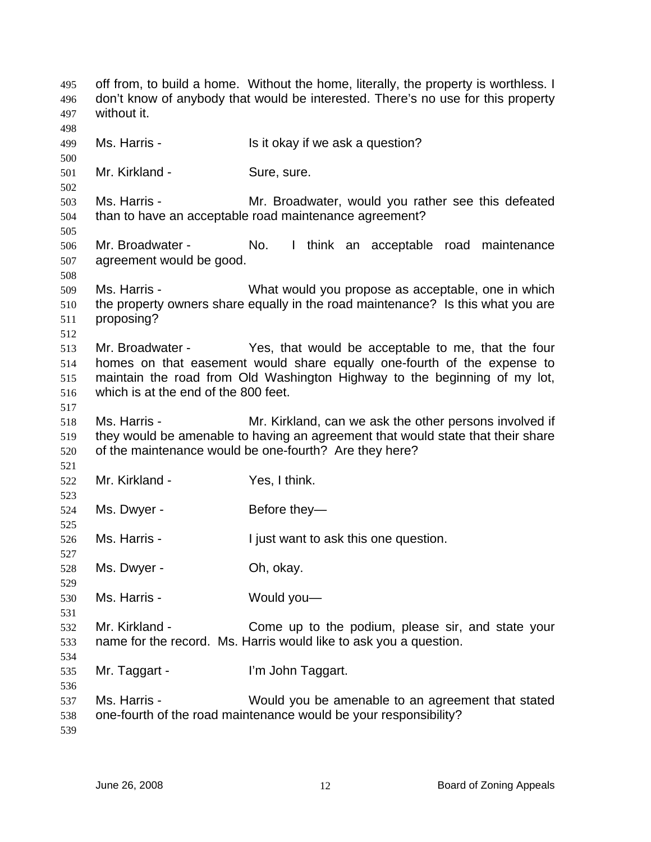off from, to build a home. Without the home, literally, the property is worthless. I don't know of anybody that would be interested. There's no use for this property without it. 495 496 497 498 499 500 501 502 503 504 505 506 507 508 509 510 511 512 513 514 515 516 517 518 519 520 521 522 523 524 525 526 527 528 529 530 531 532 533 534 535 536 537 538 539 Ms. Harris - The Music of the Is it okay if we ask a question? Mr. Kirkland - Sure, sure. Ms. Harris - Mr. Broadwater, would you rather see this defeated than to have an acceptable road maintenance agreement? Mr. Broadwater - No. I think an acceptable road maintenance agreement would be good. Ms. Harris - What would you propose as acceptable, one in which the property owners share equally in the road maintenance? Is this what you are proposing? Mr. Broadwater - Yes, that would be acceptable to me, that the four homes on that easement would share equally one-fourth of the expense to maintain the road from Old Washington Highway to the beginning of my lot, which is at the end of the 800 feet. Ms. Harris - The Mr. Kirkland, can we ask the other persons involved if they would be amenable to having an agreement that would state that their share of the maintenance would be one-fourth? Are they here? Mr. Kirkland - Yes, I think. Ms. Dwyer - Before they-Ms. Harris - The I just want to ask this one question. Ms. Dwyer - Ch, okay. Ms. Harris - Would you— Mr. Kirkland - Come up to the podium, please sir, and state your name for the record. Ms. Harris would like to ask you a question. Mr. Taggart - I'm John Taggart. Ms. Harris - Would you be amenable to an agreement that stated one-fourth of the road maintenance would be your responsibility?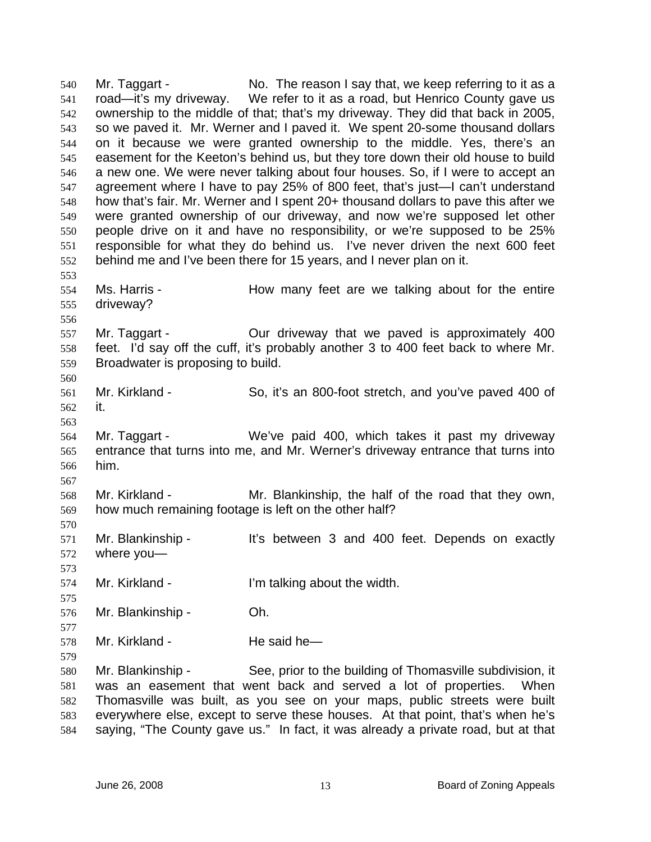Mr. Taggart - No. The reason I say that, we keep referring to it as a road—it's my driveway. We refer to it as a road, but Henrico County gave us ownership to the middle of that; that's my driveway. They did that back in 2005, so we paved it. Mr. Werner and I paved it. We spent 20-some thousand dollars on it because we were granted ownership to the middle. Yes, there's an easement for the Keeton's behind us, but they tore down their old house to build a new one. We were never talking about four houses. So, if I were to accept an agreement where I have to pay 25% of 800 feet, that's just—I can't understand how that's fair. Mr. Werner and I spent 20+ thousand dollars to pave this after we were granted ownership of our driveway, and now we're supposed let other people drive on it and have no responsibility, or we're supposed to be 25% responsible for what they do behind us. I've never driven the next 600 feet behind me and I've been there for 15 years, and I never plan on it. 540 541 542 543 544 545 546 547 548 549 550 551 552 553 554 555 556 557 558 559 560 561 562 563 564 565 566 567 568 569 570 571 572 573 574 575 576 577 578 579 580 581 582 583 584 Ms. Harris - The How many feet are we talking about for the entire driveway? Mr. Taggart - Our driveway that we paved is approximately 400 feet. I'd say off the cuff, it's probably another 3 to 400 feet back to where Mr. Broadwater is proposing to build. Mr. Kirkland - So, it's an 800-foot stretch, and you've paved 400 of it. Mr. Taggart - We've paid 400, which takes it past my driveway entrance that turns into me, and Mr. Werner's driveway entrance that turns into him. Mr. Kirkland - The Mr. Blankinship, the half of the road that they own, how much remaining footage is left on the other half? Mr. Blankinship - It's between 3 and 400 feet. Depends on exactly where you— Mr. Kirkland - **I'm talking about the width.** Mr. Blankinship - Oh. Mr. Kirkland - He said he— Mr. Blankinship - See, prior to the building of Thomasville subdivision, it was an easement that went back and served a lot of properties. When Thomasville was built, as you see on your maps, public streets were built everywhere else, except to serve these houses. At that point, that's when he's saying, "The County gave us." In fact, it was already a private road, but at that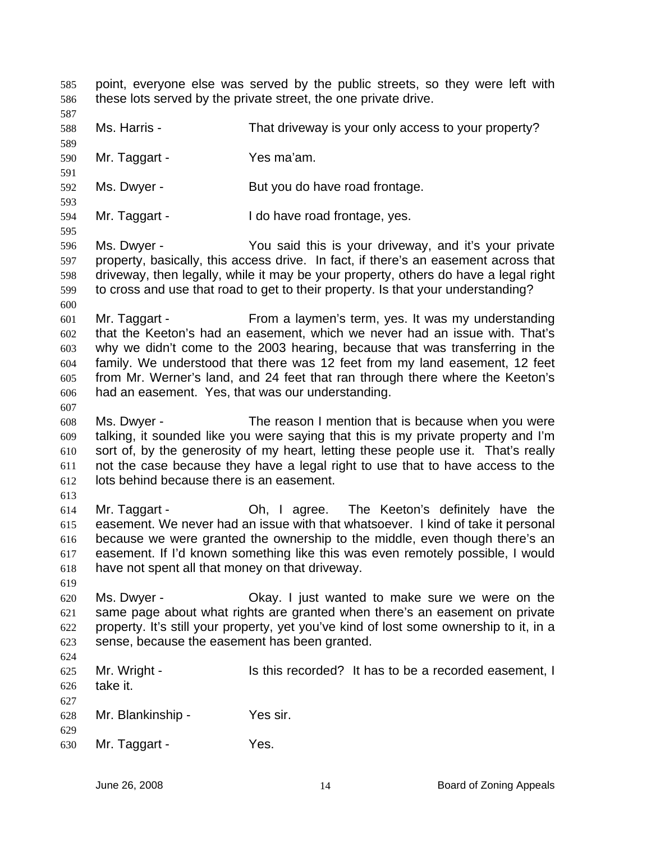point, everyone else was served by the public streets, so they were left with these lots served by the private street, the one private drive. 585 586 587 588 589 590 591 592 593 594 595 596 597 598 599 600 601 602 603 604 605 606 607 608 609 610 611 612 613 614 615 616 617 618 619 620 621 622 623 624 625 626 627 628 629 630 Ms. Harris - That driveway is your only access to your property? Mr. Taggart - Yes ma'am. Ms. Dwyer - But you do have road frontage. Mr. Taggart - I do have road frontage, yes. Ms. Dwyer - You said this is your driveway, and it's your private property, basically, this access drive. In fact, if there's an easement across that driveway, then legally, while it may be your property, others do have a legal right to cross and use that road to get to their property. Is that your understanding? Mr. Taggart - From a laymen's term, yes. It was my understanding that the Keeton's had an easement, which we never had an issue with. That's why we didn't come to the 2003 hearing, because that was transferring in the family. We understood that there was 12 feet from my land easement, 12 feet from Mr. Werner's land, and 24 feet that ran through there where the Keeton's had an easement. Yes, that was our understanding. Ms. Dwyer - The reason I mention that is because when you were talking, it sounded like you were saying that this is my private property and I'm sort of, by the generosity of my heart, letting these people use it. That's really not the case because they have a legal right to use that to have access to the lots behind because there is an easement. Mr. Taggart - Oh, I agree. The Keeton's definitely have the easement. We never had an issue with that whatsoever. I kind of take it personal because we were granted the ownership to the middle, even though there's an easement. If I'd known something like this was even remotely possible, I would have not spent all that money on that driveway. Ms. Dwyer - Okay. I just wanted to make sure we were on the same page about what rights are granted when there's an easement on private property. It's still your property, yet you've kind of lost some ownership to it, in a sense, because the easement has been granted. Mr. Wright - Is this recorded? It has to be a recorded easement, I take it. Mr. Blankinship - Yes sir. Mr. Taggart - Yes.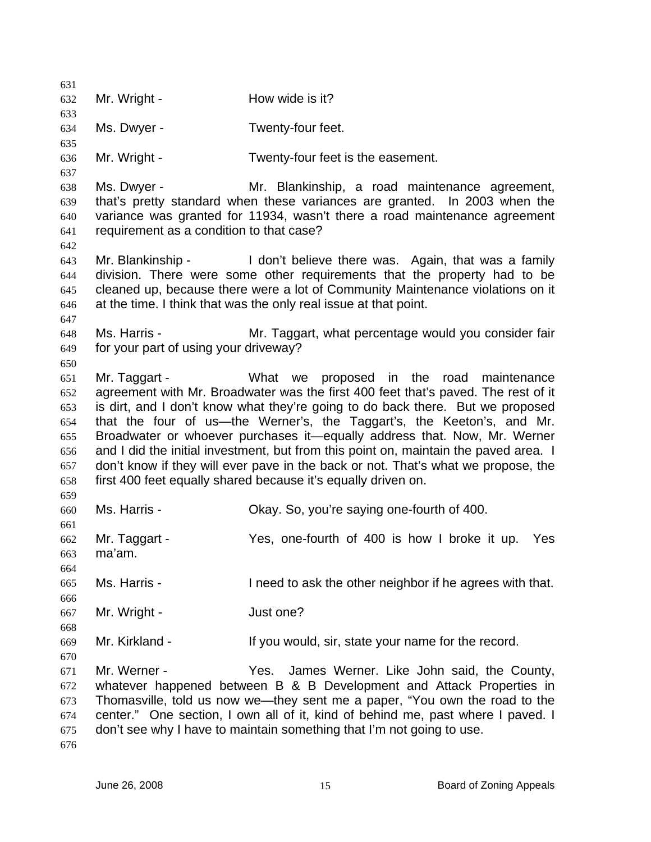631 632 633 634 635 636 637 638 639 640 641 642 643 644 645 646 647 648 649 650 651 652 653 654 655 656 657 658 659 660 661 662 663 664 665 666 667 668 669 670 671 672 673 674 675 676 Mr. Wright - The How wide is it? Ms. Dwyer - Twenty-four feet. Mr. Wright - Twenty-four feet is the easement. Ms. Dwyer - **Mr.** Blankinship, a road maintenance agreement, that's pretty standard when these variances are granted. In 2003 when the variance was granted for 11934, wasn't there a road maintenance agreement requirement as a condition to that case? Mr. Blankinship - I don't believe there was. Again, that was a family division. There were some other requirements that the property had to be cleaned up, because there were a lot of Community Maintenance violations on it at the time. I think that was the only real issue at that point. Ms. Harris - Mr. Taggart, what percentage would you consider fair for your part of using your driveway? Mr. Taggart - What we proposed in the road maintenance agreement with Mr. Broadwater was the first 400 feet that's paved. The rest of it is dirt, and I don't know what they're going to do back there. But we proposed that the four of us—the Werner's, the Taggart's, the Keeton's, and Mr. Broadwater or whoever purchases it—equally address that. Now, Mr. Werner and I did the initial investment, but from this point on, maintain the paved area. I don't know if they will ever pave in the back or not. That's what we propose, the first 400 feet equally shared because it's equally driven on. Ms. Harris - Chay. So, you're saying one-fourth of 400. Mr. Taggart - Yes, one-fourth of 400 is how I broke it up. Yes ma'am. Ms. Harris - I need to ask the other neighbor if he agrees with that. Mr. Wright - **Just one?** Mr. Kirkland - The State you would, sir, state your name for the record. Mr. Werner - Yes. James Werner. Like John said, the County, whatever happened between B & B Development and Attack Properties in Thomasville, told us now we—they sent me a paper, "You own the road to the center." One section, I own all of it, kind of behind me, past where I paved. I don't see why I have to maintain something that I'm not going to use.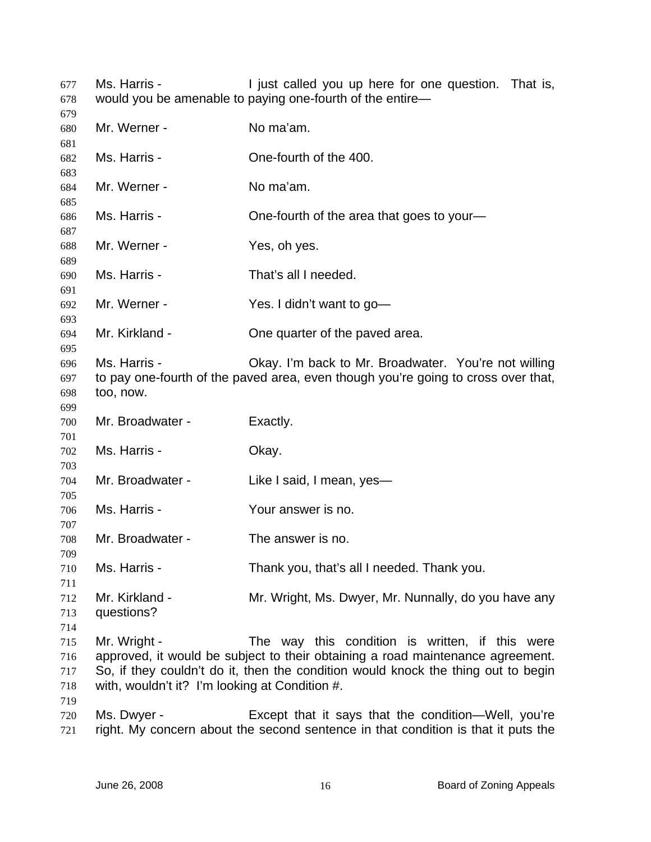Ms. Harris - The Must called you up here for one question. That is, would you be amenable to paying one-fourth of the entire— 

| 679                      |                                                                |                                                                                                                                                                                                                        |
|--------------------------|----------------------------------------------------------------|------------------------------------------------------------------------------------------------------------------------------------------------------------------------------------------------------------------------|
| 680                      | Mr. Werner -                                                   | No ma'am.                                                                                                                                                                                                              |
| 681                      |                                                                |                                                                                                                                                                                                                        |
| 682<br>683               | Ms. Harris -                                                   | One-fourth of the 400.                                                                                                                                                                                                 |
| 684                      | Mr. Werner -                                                   | No ma'am.                                                                                                                                                                                                              |
| 685                      |                                                                |                                                                                                                                                                                                                        |
| 686<br>687               | Ms. Harris -                                                   | One-fourth of the area that goes to your-                                                                                                                                                                              |
| 688<br>689               | Mr. Werner -                                                   | Yes, oh yes.                                                                                                                                                                                                           |
| 690                      | Ms. Harris -                                                   | That's all I needed.                                                                                                                                                                                                   |
| 691<br>692               | Mr. Werner -                                                   | Yes. I didn't want to go-                                                                                                                                                                                              |
| 693<br>694               | Mr. Kirkland -                                                 | One quarter of the paved area.                                                                                                                                                                                         |
| 695<br>696<br>697<br>698 | Ms. Harris -<br>too, now.                                      | Okay. I'm back to Mr. Broadwater. You're not willing<br>to pay one-fourth of the paved area, even though you're going to cross over that,                                                                              |
| 699<br>700               | Mr. Broadwater -                                               | Exactly.                                                                                                                                                                                                               |
| 701<br>702               | Ms. Harris -                                                   | Okay.                                                                                                                                                                                                                  |
| 703<br>704               | Mr. Broadwater -                                               | Like I said, I mean, yes-                                                                                                                                                                                              |
| 705<br>706               | Ms. Harris -                                                   | Your answer is no.                                                                                                                                                                                                     |
| 707<br>708               | Mr. Broadwater -                                               | The answer is no.                                                                                                                                                                                                      |
| 709<br>710<br>711        | Ms. Harris -                                                   | Thank you, that's all I needed. Thank you.                                                                                                                                                                             |
| 712<br>713<br>714        | Mr. Kirkland -<br>questions?                                   | Mr. Wright, Ms. Dwyer, Mr. Nunnally, do you have any                                                                                                                                                                   |
| 715<br>716<br>717<br>718 | Mr. Wright -<br>with, wouldn't it? I'm looking at Condition #. | The way this condition is written, if this were<br>approved, it would be subject to their obtaining a road maintenance agreement.<br>So, if they couldn't do it, then the condition would knock the thing out to begin |
| 719<br>720<br>721        | Ms. Dwyer -                                                    | Except that it says that the condition—Well, you're<br>right. My concern about the second sentence in that condition is that it puts the                                                                               |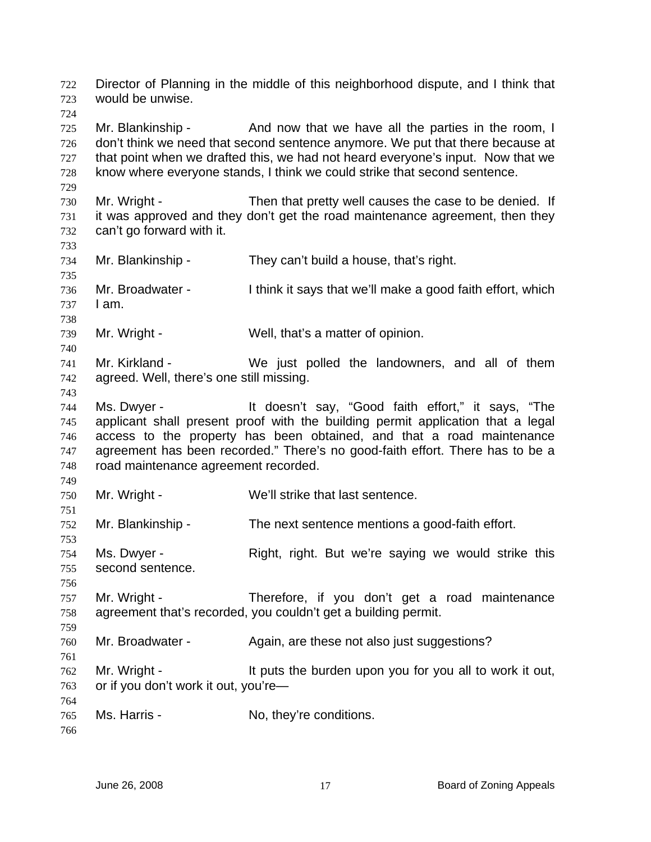Director of Planning in the middle of this neighborhood dispute, and I think that would be unwise. 722 723

725 726 727 728 Mr. Blankinship - And now that we have all the parties in the room, I don't think we need that second sentence anymore. We put that there because at that point when we drafted this, we had not heard everyone's input. Now that we know where everyone stands, I think we could strike that second sentence.

730 731 732 Mr. Wright - Then that pretty well causes the case to be denied. If it was approved and they don't get the road maintenance agreement, then they can't go forward with it.

734 735 Mr. Blankinship - They can't build a house, that's right.

736 737 Mr. Broadwater - I think it says that we'll make a good faith effort, which I am.

739 Mr. Wright - Well, that's a matter of opinion.

741 742 Mr. Kirkland - We just polled the landowners, and all of them agreed. Well, there's one still missing.

744 745 746 747 748 Ms. Dwyer - It doesn't say, "Good faith effort," it says, "The applicant shall present proof with the building permit application that a legal access to the property has been obtained, and that a road maintenance agreement has been recorded." There's no good-faith effort. There has to be a road maintenance agreement recorded.

749 750 Mr. Wright - We'll strike that last sentence.

752 Mr. Blankinship - The next sentence mentions a good-faith effort.

754 755 Ms. Dwyer - The Right, right. But we're saying we would strike this second sentence.

757 758 Mr. Wright - Therefore, if you don't get a road maintenance agreement that's recorded, you couldn't get a building permit.

760 Mr. Broadwater - Again, are these not also just suggestions?

762 763 Mr. Wright - It puts the burden upon you for you all to work it out, or if you don't work it out, you're—

765 Ms. Harris - No, they're conditions.

766

764

724

729

733

738

740

743

751

753

756

759

761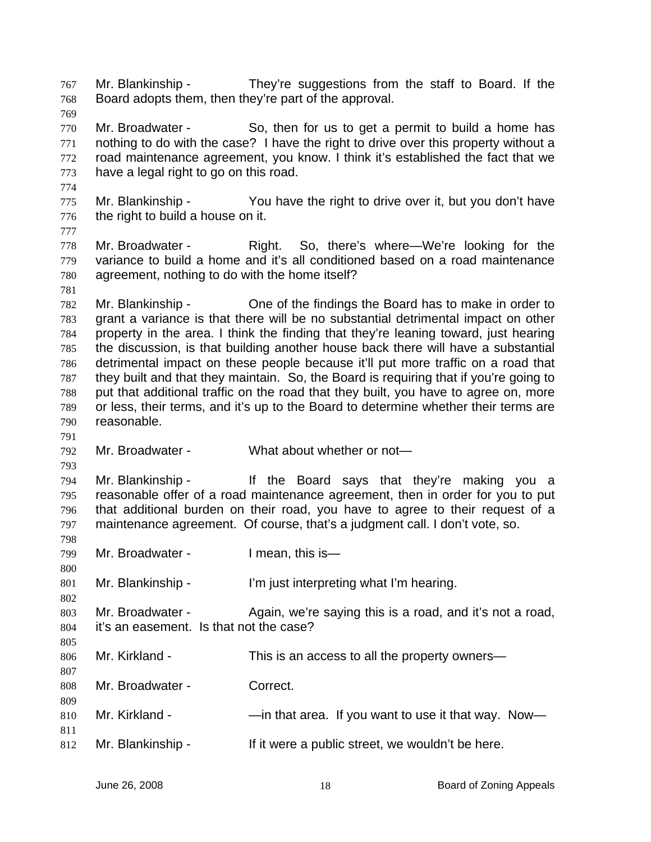Mr. Blankinship - They're suggestions from the staff to Board. If the Board adopts them, then they're part of the approval. 767 768 769 770 771 772 773 774 775 776 777 778 779 780 781 782 783 784 785 786 787 788 789 790 791 792 793 794 795 796 797 798 799 800 801 802 803 804 805 806 807 808 809 810 811 812 Mr. Broadwater - So, then for us to get a permit to build a home has nothing to do with the case? I have the right to drive over this property without a road maintenance agreement, you know. I think it's established the fact that we have a legal right to go on this road. Mr. Blankinship - You have the right to drive over it, but you don't have the right to build a house on it. Mr. Broadwater - Right. So, there's where—We're looking for the variance to build a home and it's all conditioned based on a road maintenance agreement, nothing to do with the home itself? Mr. Blankinship - Che of the findings the Board has to make in order to grant a variance is that there will be no substantial detrimental impact on other property in the area. I think the finding that they're leaning toward, just hearing the discussion, is that building another house back there will have a substantial detrimental impact on these people because it'll put more traffic on a road that they built and that they maintain. So, the Board is requiring that if you're going to put that additional traffic on the road that they built, you have to agree on, more or less, their terms, and it's up to the Board to determine whether their terms are reasonable. Mr. Broadwater - What about whether or not-Mr. Blankinship - If the Board says that they're making you a reasonable offer of a road maintenance agreement, then in order for you to put that additional burden on their road, you have to agree to their request of a maintenance agreement. Of course, that's a judgment call. I don't vote, so. Mr. Broadwater - I mean, this is— Mr. Blankinship - I'm just interpreting what I'm hearing. Mr. Broadwater - Again, we're saying this is a road, and it's not a road, it's an easement. Is that not the case? Mr. Kirkland - This is an access to all the property owners— Mr. Broadwater - Correct. Mr. Kirkland - — —in that area. If you want to use it that way. Now-Mr. Blankinship - If it were a public street, we wouldn't be here.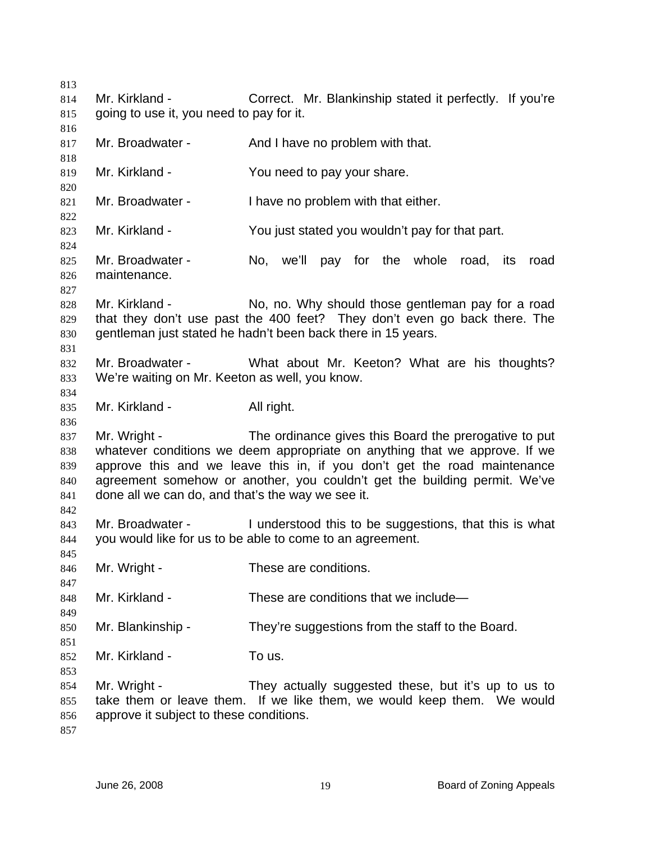Mr. Kirkland - Correct. Mr. Blankinship stated it perfectly. If you're going to use it, you need to pay for it. Mr. Broadwater - And I have no problem with that. Mr. Kirkland - The You need to pay your share. Mr. Broadwater - I have no problem with that either. Mr. Kirkland - You just stated you wouldn't pay for that part. Mr. Broadwater - No, we'll pay for the whole road, its road maintenance. Mr. Kirkland - No, no. Why should those gentleman pay for a road that they don't use past the 400 feet? They don't even go back there. The gentleman just stated he hadn't been back there in 15 years. Mr. Broadwater - What about Mr. Keeton? What are his thoughts? We're waiting on Mr. Keeton as well, you know. Mr. Kirkland - All right. Mr. Wright - The ordinance gives this Board the prerogative to put whatever conditions we deem appropriate on anything that we approve. If we approve this and we leave this in, if you don't get the road maintenance agreement somehow or another, you couldn't get the building permit. We've done all we can do, and that's the way we see it. Mr. Broadwater - Tunderstood this to be suggestions, that this is what you would like for us to be able to come to an agreement. Mr. Wright - These are conditions. Mr. Kirkland - These are conditions that we include— Mr. Blankinship - They're suggestions from the staff to the Board. Mr. Kirkland - To us. Mr. Wright - They actually suggested these, but it's up to us to take them or leave them. If we like them, we would keep them. We would approve it subject to these conditions.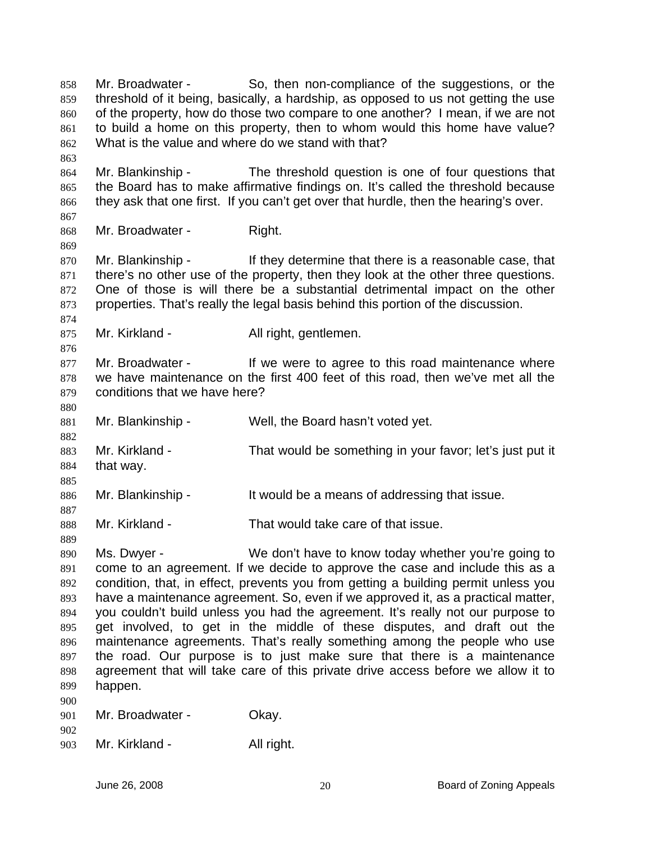Mr. Broadwater - So, then non-compliance of the suggestions, or the threshold of it being, basically, a hardship, as opposed to us not getting the use of the property, how do those two compare to one another? I mean, if we are not to build a home on this property, then to whom would this home have value? What is the value and where do we stand with that? 858 859 860 861 862 863 864 865 866 867 868 869 870 871 872 873 874 875 876 877 878 879 880 881 882 883 884 885 886 887 888 889 890 891 892 893 894 895 896 897 898 899 900 901 902 903 Mr. Blankinship - The threshold question is one of four questions that the Board has to make affirmative findings on. It's called the threshold because they ask that one first. If you can't get over that hurdle, then the hearing's over. Mr. Broadwater - Right. Mr. Blankinship - They determine that there is a reasonable case, that there's no other use of the property, then they look at the other three questions. One of those is will there be a substantial detrimental impact on the other properties. That's really the legal basis behind this portion of the discussion. Mr. Kirkland - All right, gentlemen. Mr. Broadwater - If we were to agree to this road maintenance where we have maintenance on the first 400 feet of this road, then we've met all the conditions that we have here? Mr. Blankinship - Well, the Board hasn't voted yet. Mr. Kirkland - That would be something in your favor; let's just put it that way. Mr. Blankinship - It would be a means of addressing that issue. Mr. Kirkland - That would take care of that issue. Ms. Dwyer - We don't have to know today whether you're going to come to an agreement. If we decide to approve the case and include this as a condition, that, in effect, prevents you from getting a building permit unless you have a maintenance agreement. So, even if we approved it, as a practical matter, you couldn't build unless you had the agreement. It's really not our purpose to get involved, to get in the middle of these disputes, and draft out the maintenance agreements. That's really something among the people who use the road. Our purpose is to just make sure that there is a maintenance agreement that will take care of this private drive access before we allow it to happen. Mr. Broadwater - Okay. Mr. Kirkland - All right.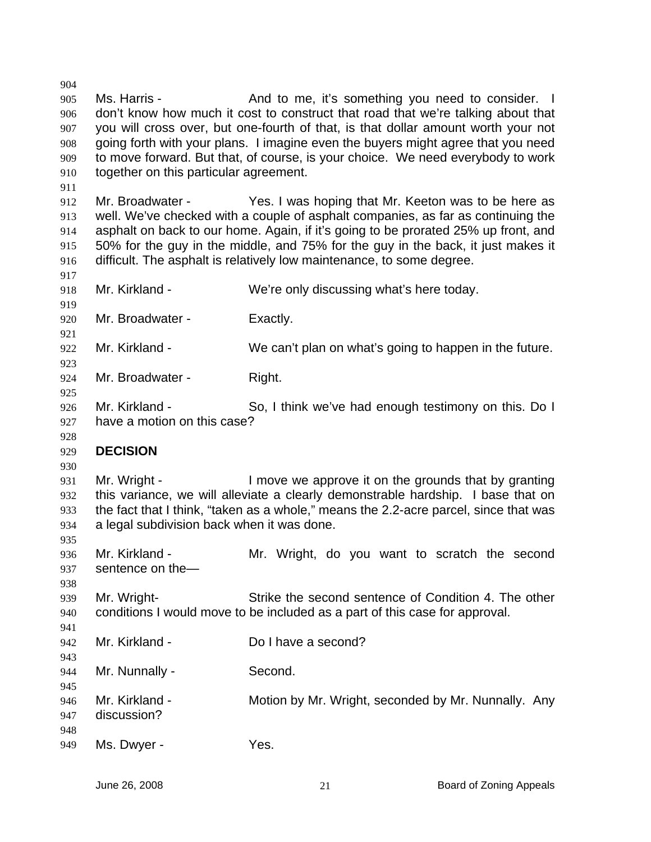904 905 906 907 908 909 910 911 912 913 914 915 916 917 918 919 920 921 922 923 924 925 926 927 928 929 930 931 932 933 934 935 936 937 938 939 940 941 942 943 944 945 946 947 948 949 Ms. Harris - The And to me, it's something you need to consider. don't know how much it cost to construct that road that we're talking about that you will cross over, but one-fourth of that, is that dollar amount worth your not going forth with your plans. I imagine even the buyers might agree that you need to move forward. But that, of course, is your choice. We need everybody to work together on this particular agreement. Mr. Broadwater - Yes. I was hoping that Mr. Keeton was to be here as well. We've checked with a couple of asphalt companies, as far as continuing the asphalt on back to our home. Again, if it's going to be prorated 25% up front, and 50% for the guy in the middle, and 75% for the guy in the back, it just makes it difficult. The asphalt is relatively low maintenance, to some degree. Mr. Kirkland - We're only discussing what's here today. Mr. Broadwater - Exactly. Mr. Kirkland - We can't plan on what's going to happen in the future. Mr. Broadwater - Right. Mr. Kirkland - So, I think we've had enough testimony on this. Do I have a motion on this case? **DECISION**  Mr. Wright - The Sumble ve approve it on the grounds that by granting this variance, we will alleviate a clearly demonstrable hardship. I base that on the fact that I think, "taken as a whole," means the 2.2-acre parcel, since that was a legal subdivision back when it was done. Mr. Kirkland - The Mr. Wright, do you want to scratch the second sentence on the— Mr. Wright- Strike the second sentence of Condition 4. The other conditions I would move to be included as a part of this case for approval. Mr. Kirkland - Do I have a second? Mr. Nunnally - Second. Mr. Kirkland - **Motion by Mr. Wright, seconded by Mr. Nunnally.** Any discussion? Ms. Dwyer - Yes.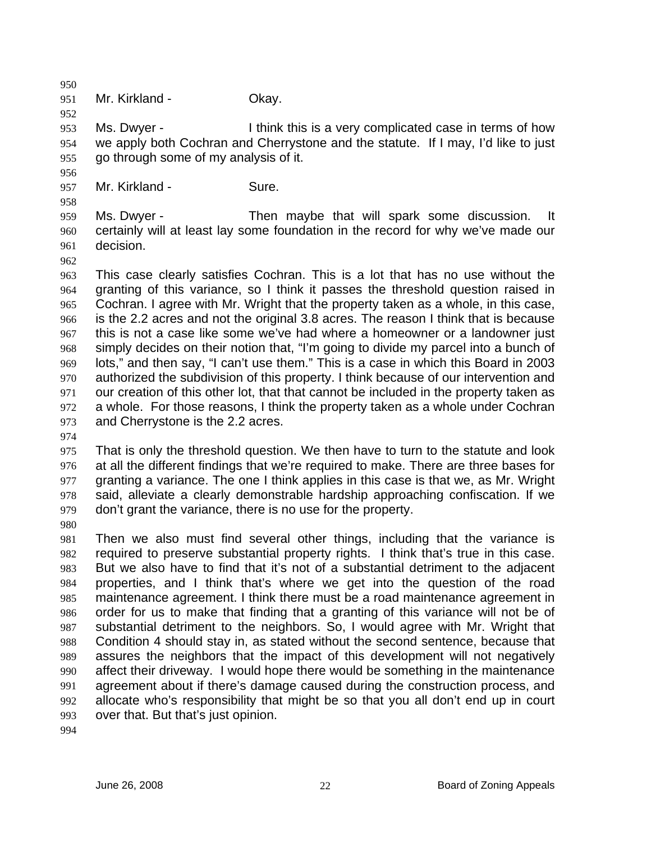950 951

952

956

958

Mr. Kirkland - **Okay.** 

953 954 955 Ms. Dwyer - I think this is a very complicated case in terms of how we apply both Cochran and Cherrystone and the statute. If I may, I'd like to just go through some of my analysis of it.

957 Mr. Kirkland - Sure.

959 960 961 Ms. Dwyer - Then maybe that will spark some discussion. It certainly will at least lay some foundation in the record for why we've made our decision.

962

963 964 965 966 967 968 969 970 971 972 973 This case clearly satisfies Cochran. This is a lot that has no use without the granting of this variance, so I think it passes the threshold question raised in Cochran. I agree with Mr. Wright that the property taken as a whole, in this case, is the 2.2 acres and not the original 3.8 acres. The reason I think that is because this is not a case like some we've had where a homeowner or a landowner just simply decides on their notion that, "I'm going to divide my parcel into a bunch of lots," and then say, "I can't use them." This is a case in which this Board in 2003 authorized the subdivision of this property. I think because of our intervention and our creation of this other lot, that that cannot be included in the property taken as a whole. For those reasons, I think the property taken as a whole under Cochran and Cherrystone is the 2.2 acres.

974

975 976 977 978 979 That is only the threshold question. We then have to turn to the statute and look at all the different findings that we're required to make. There are three bases for granting a variance. The one I think applies in this case is that we, as Mr. Wright said, alleviate a clearly demonstrable hardship approaching confiscation. If we don't grant the variance, there is no use for the property.

980

981 982 983 984 985 986 987 988 989 990 991 992 993 Then we also must find several other things, including that the variance is required to preserve substantial property rights. I think that's true in this case. But we also have to find that it's not of a substantial detriment to the adjacent properties, and I think that's where we get into the question of the road maintenance agreement. I think there must be a road maintenance agreement in order for us to make that finding that a granting of this variance will not be of substantial detriment to the neighbors. So, I would agree with Mr. Wright that Condition 4 should stay in, as stated without the second sentence, because that assures the neighbors that the impact of this development will not negatively affect their driveway. I would hope there would be something in the maintenance agreement about if there's damage caused during the construction process, and allocate who's responsibility that might be so that you all don't end up in court over that. But that's just opinion.

994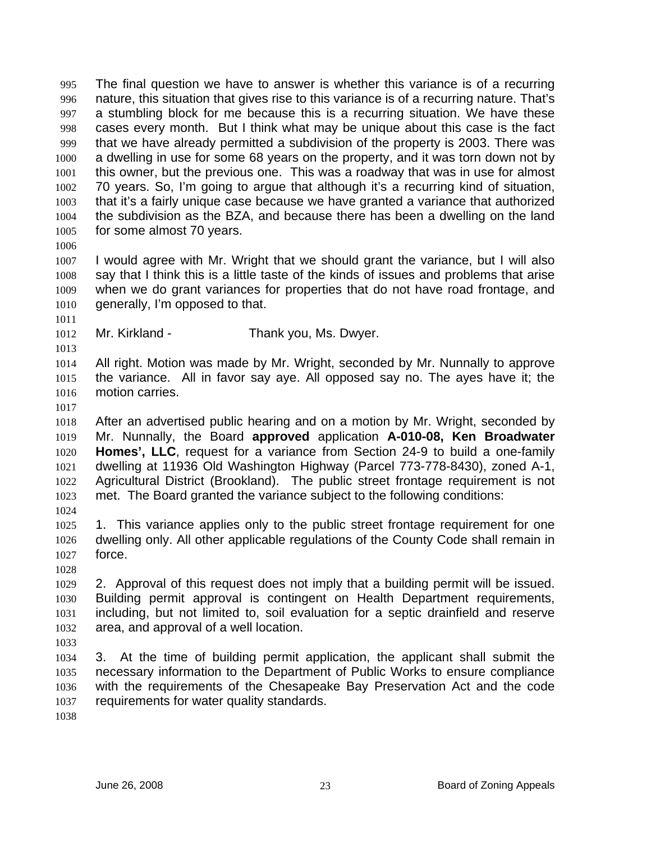The final question we have to answer is whether this variance is of a recurring nature, this situation that gives rise to this variance is of a recurring nature. That's a stumbling block for me because this is a recurring situation. We have these cases every month. But I think what may be unique about this case is the fact that we have already permitted a subdivision of the property is 2003. There was a dwelling in use for some 68 years on the property, and it was torn down not by this owner, but the previous one. This was a roadway that was in use for almost 70 years. So, I'm going to argue that although it's a recurring kind of situation, that it's a fairly unique case because we have granted a variance that authorized the subdivision as the BZA, and because there has been a dwelling on the land for some almost 70 years. 995 996 997 998 999 1000 1001 1002 1003 1004 1005

1006

1011

1013

1007 1008 1009 1010 I would agree with Mr. Wright that we should grant the variance, but I will also say that I think this is a little taste of the kinds of issues and problems that arise when we do grant variances for properties that do not have road frontage, and generally, I'm opposed to that.

1012 Mr. Kirkland - Thank you, Ms. Dwyer.

1014 1015 1016 All right. Motion was made by Mr. Wright, seconded by Mr. Nunnally to approve the variance. All in favor say aye. All opposed say no. The ayes have it; the motion carries.

1017

1018 1019 1020 1021 1022 1023 After an advertised public hearing and on a motion by Mr. Wright, seconded by Mr. Nunnally, the Board **approved** application **A-010-08, Ken Broadwater Homes', LLC**, request for a variance from Section 24-9 to build a one-family dwelling at 11936 Old Washington Highway (Parcel 773-778-8430), zoned A-1, Agricultural District (Brookland). The public street frontage requirement is not met. The Board granted the variance subject to the following conditions:

1024

1025 1026 1027 1. This variance applies only to the public street frontage requirement for one dwelling only. All other applicable regulations of the County Code shall remain in force.

1028

1029 1030 1031 1032 2. Approval of this request does not imply that a building permit will be issued. Building permit approval is contingent on Health Department requirements, including, but not limited to, soil evaluation for a septic drainfield and reserve area, and approval of a well location.

1033

1034 1035 1036 1037 3. At the time of building permit application, the applicant shall submit the necessary information to the Department of Public Works to ensure compliance with the requirements of the Chesapeake Bay Preservation Act and the code requirements for water quality standards.

1038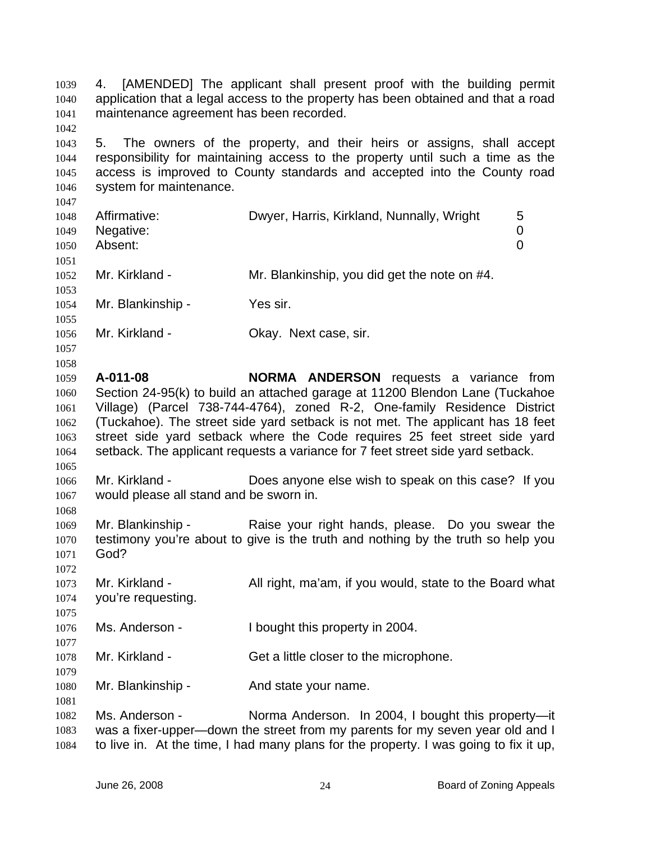4. [AMENDED] The applicant shall present proof with the building permit application that a legal access to the property has been obtained and that a road maintenance agreement has been recorded. 1039 1040 1041

1043 1044 1045 1046 5. The owners of the property, and their heirs or assigns, shall accept responsibility for maintaining access to the property until such a time as the access is improved to County standards and accepted into the County road system for maintenance.

| 1048<br>1049<br>1050 | Affirmative:<br>Negative:<br>Absent: | Dwyer, Harris, Kirkland, Nunnally, Wright    | 5<br>0<br>0 |
|----------------------|--------------------------------------|----------------------------------------------|-------------|
| 1051<br>1052<br>1053 | Mr. Kirkland -                       | Mr. Blankinship, you did get the note on #4. |             |
| 1054<br>1055         | Mr. Blankinship -                    | Yes sir.                                     |             |

1056 Mr. Kirkland - **Chay.** Next case, sir.

1042

1047

1057

1068

1075

1077

1079

1081

1058 1059 1060 1061 1062 1063 1064 1065 **A-011-08 NORMA ANDERSON** requests a variance from Section 24-95(k) to build an attached garage at 11200 Blendon Lane (Tuckahoe Village) (Parcel 738-744-4764), zoned R-2, One-family Residence District (Tuckahoe). The street side yard setback is not met. The applicant has 18 feet street side yard setback where the Code requires 25 feet street side yard setback. The applicant requests a variance for 7 feet street side yard setback.

1066 1067 Mr. Kirkland - Does anyone else wish to speak on this case? If you would please all stand and be sworn in.

1069 1070 1071 1072 Mr. Blankinship - Raise your right hands, please. Do you swear the testimony you're about to give is the truth and nothing by the truth so help you God?

1073 1074 Mr. Kirkland - All right, ma'am, if you would, state to the Board what you're requesting.

1076 Ms. Anderson - I bought this property in 2004.

1078 Mr. Kirkland - Get a little closer to the microphone.

1080 Mr. Blankinship - The And state your name.

1082 1083 1084 Ms. Anderson - Norma Anderson. In 2004, I bought this property--was a fixer-upper—down the street from my parents for my seven year old and I to live in. At the time, I had many plans for the property. I was going to fix it up,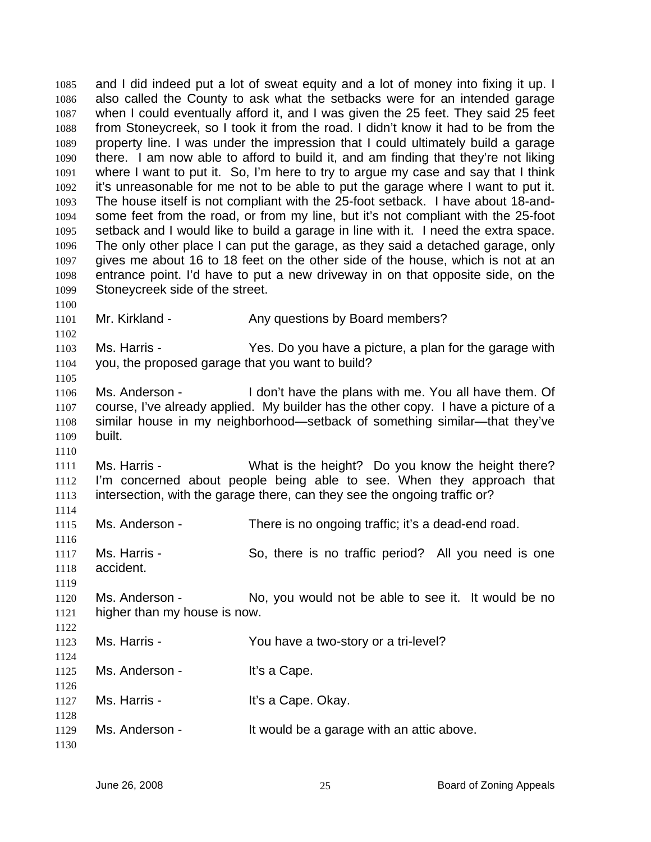and I did indeed put a lot of sweat equity and a lot of money into fixing it up. I also called the County to ask what the setbacks were for an intended garage when I could eventually afford it, and I was given the 25 feet. They said 25 feet from Stoneycreek, so I took it from the road. I didn't know it had to be from the property line. I was under the impression that I could ultimately build a garage there. I am now able to afford to build it, and am finding that they're not liking where I want to put it. So, I'm here to try to argue my case and say that I think it's unreasonable for me not to be able to put the garage where I want to put it. The house itself is not compliant with the 25-foot setback. I have about 18-andsome feet from the road, or from my line, but it's not compliant with the 25-foot setback and I would like to build a garage in line with it. I need the extra space. The only other place I can put the garage, as they said a detached garage, only gives me about 16 to 18 feet on the other side of the house, which is not at an entrance point. I'd have to put a new driveway in on that opposite side, on the Stoneycreek side of the street. 1085 1086 1087 1088 1089 1090 1091 1092 1093 1094 1095 1096 1097 1098 1099 1100 1101 1102 1103 1104 1105 1106 1107 1108 1109 1110 1111 1112 1113 1114 1115 1116 1117 Mr. Kirkland - Any questions by Board members? Ms. Harris - The Yes. Do you have a picture, a plan for the garage with you, the proposed garage that you want to build? Ms. Anderson - I don't have the plans with me. You all have them. Of course, I've already applied. My builder has the other copy. I have a picture of a similar house in my neighborhood—setback of something similar—that they've built. Ms. Harris - What is the height? Do you know the height there? I'm concerned about people being able to see. When they approach that intersection, with the garage there, can they see the ongoing traffic or? Ms. Anderson - There is no ongoing traffic; it's a dead-end road. Ms. Harris - So, there is no traffic period? All you need is one

1118 1119 accident.

1120 1121 Ms. Anderson - No, you would not be able to see it. It would be no higher than my house is now.

| 1123         | Ms. Harris -   | You have a two-story or a tri-level?      |
|--------------|----------------|-------------------------------------------|
| 1124         |                |                                           |
| 1125<br>1126 | Ms. Anderson - | It's a Cape.                              |
| 1127         | Ms. Harris -   | It's a Cape. Okay.                        |
| 1128         |                |                                           |
| 1129         | Ms. Anderson - | It would be a garage with an attic above. |
| 1130         |                |                                           |

1122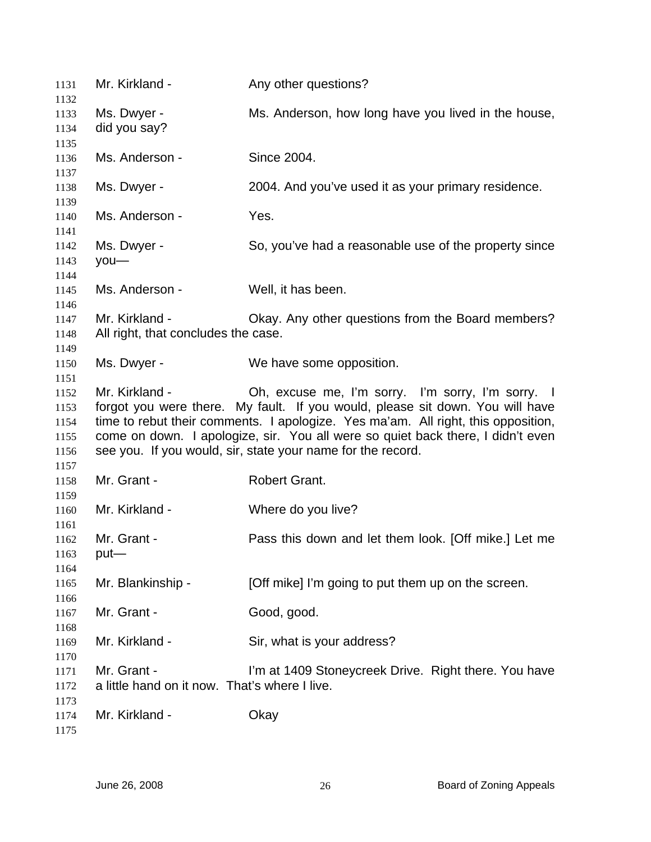| 1131                                         | Mr. Kirkland -                                               | Any other questions?                                                                                                                                                                                                                                                                                                                                                      |
|----------------------------------------------|--------------------------------------------------------------|---------------------------------------------------------------------------------------------------------------------------------------------------------------------------------------------------------------------------------------------------------------------------------------------------------------------------------------------------------------------------|
| 1132<br>1133                                 | Ms. Dwyer -                                                  | Ms. Anderson, how long have you lived in the house,                                                                                                                                                                                                                                                                                                                       |
| 1134                                         | did you say?                                                 |                                                                                                                                                                                                                                                                                                                                                                           |
| 1135                                         |                                                              |                                                                                                                                                                                                                                                                                                                                                                           |
| 1136                                         | Ms. Anderson -                                               | Since 2004.                                                                                                                                                                                                                                                                                                                                                               |
| 1137                                         |                                                              |                                                                                                                                                                                                                                                                                                                                                                           |
| 1138                                         | Ms. Dwyer -                                                  | 2004. And you've used it as your primary residence.                                                                                                                                                                                                                                                                                                                       |
| 1139<br>1140                                 | Ms. Anderson -                                               | Yes.                                                                                                                                                                                                                                                                                                                                                                      |
| 1141<br>1142<br>1143<br>1144                 | Ms. Dwyer -<br>$you$ —                                       | So, you've had a reasonable use of the property since                                                                                                                                                                                                                                                                                                                     |
| 1145<br>1146                                 | Ms. Anderson -                                               | Well, it has been.                                                                                                                                                                                                                                                                                                                                                        |
| 1147<br>1148<br>1149                         | Mr. Kirkland -<br>All right, that concludes the case.        | Okay. Any other questions from the Board members?                                                                                                                                                                                                                                                                                                                         |
| 1150<br>1151                                 | Ms. Dwyer -                                                  | We have some opposition.                                                                                                                                                                                                                                                                                                                                                  |
| 1152<br>1153<br>1154<br>1155<br>1156<br>1157 | Mr. Kirkland -                                               | Oh, excuse me, I'm sorry. I'm sorry, I'm sorry. I<br>forgot you were there. My fault. If you would, please sit down. You will have<br>time to rebut their comments. I apologize. Yes ma'am. All right, this opposition,<br>come on down. I apologize, sir. You all were so quiet back there, I didn't even<br>see you. If you would, sir, state your name for the record. |
| 1158<br>1159                                 | Mr. Grant -                                                  | Robert Grant.                                                                                                                                                                                                                                                                                                                                                             |
| 1160<br>1161                                 | Mr. Kirkland -                                               | Where do you live?                                                                                                                                                                                                                                                                                                                                                        |
| 1162<br>1163<br>1164                         | Mr. Grant -<br>put-                                          | Pass this down and let them look. [Off mike.] Let me                                                                                                                                                                                                                                                                                                                      |
| 1165<br>1166                                 | Mr. Blankinship -                                            | [Off mike] I'm going to put them up on the screen.                                                                                                                                                                                                                                                                                                                        |
| 1167<br>1168                                 | Mr. Grant -                                                  | Good, good.                                                                                                                                                                                                                                                                                                                                                               |
| 1169<br>1170                                 | Mr. Kirkland -                                               | Sir, what is your address?                                                                                                                                                                                                                                                                                                                                                |
| 1171<br>1172                                 | Mr. Grant -<br>a little hand on it now. That's where I live. | I'm at 1409 Stoneycreek Drive. Right there. You have                                                                                                                                                                                                                                                                                                                      |
| 1173<br>1174<br>1175                         | Mr. Kirkland -                                               | Okay                                                                                                                                                                                                                                                                                                                                                                      |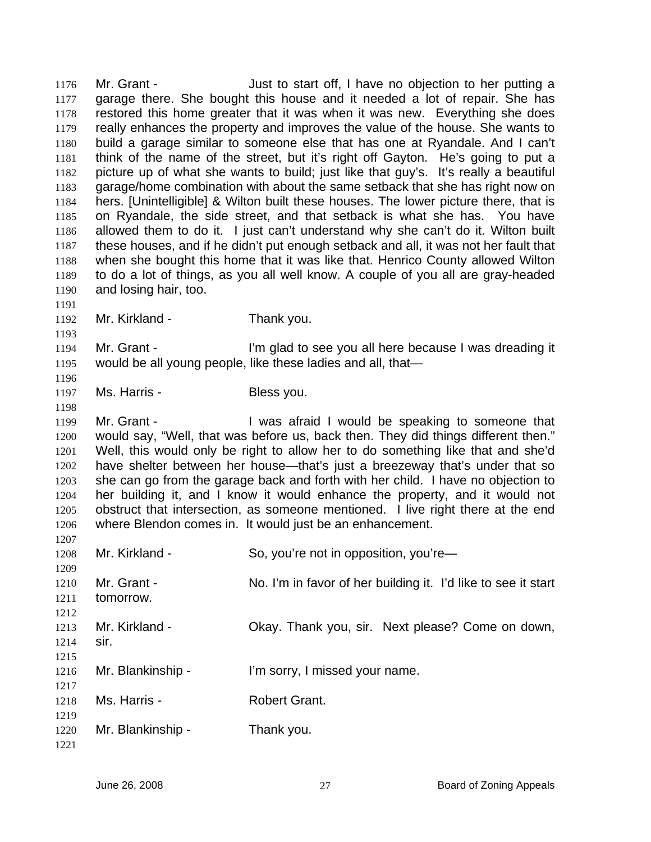Mr. Grant - Just to start off, I have no objection to her putting a garage there. She bought this house and it needed a lot of repair. She has restored this home greater that it was when it was new. Everything she does really enhances the property and improves the value of the house. She wants to build a garage similar to someone else that has one at Ryandale. And I can't think of the name of the street, but it's right off Gayton. He's going to put a picture up of what she wants to build; just like that guy's. It's really a beautiful garage/home combination with about the same setback that she has right now on hers. [Unintelligible] & Wilton built these houses. The lower picture there, that is on Ryandale, the side street, and that setback is what she has. You have allowed them to do it. I just can't understand why she can't do it. Wilton built these houses, and if he didn't put enough setback and all, it was not her fault that when she bought this home that it was like that. Henrico County allowed Wilton to do a lot of things, as you all well know. A couple of you all are gray-headed and losing hair, too. 1176 1177 1178 1179 1180 1181 1182 1183 1184 1185 1186 1187 1188 1189 1190 1191 1192 1193 1194 1195 1196 1197 1198 1199 1200 1201 1202 1203 1204 1205 1206 1207 1208 1209 1210 1211 1212 1213 1214 1215 1216 1217 1218 1219 1220 Mr. Kirkland - Thank you. Mr. Grant - I'm glad to see you all here because I was dreading it would be all young people, like these ladies and all, that— Ms. Harris - Bless you. Mr. Grant - The Mustafraid I would be speaking to someone that would say, "Well, that was before us, back then. They did things different then." Well, this would only be right to allow her to do something like that and she'd have shelter between her house—that's just a breezeway that's under that so she can go from the garage back and forth with her child. I have no objection to her building it, and I know it would enhance the property, and it would not obstruct that intersection, as someone mentioned. I live right there at the end where Blendon comes in. It would just be an enhancement. Mr. Kirkland - So, you're not in opposition, you're— Mr. Grant - No. I'm in favor of her building it. I'd like to see it start tomorrow. Mr. Kirkland - Okay. Thank you, sir. Next please? Come on down, sir. Mr. Blankinship - I'm sorry, I missed your name. Ms. Harris - **Robert Grant.** Mr. Blankinship - Thank you.

1221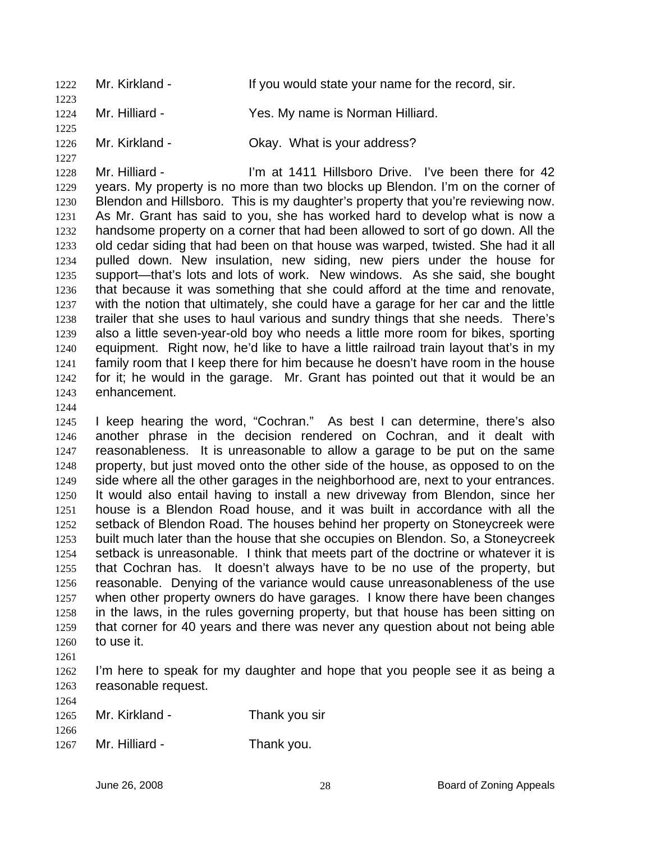1222 Mr. Kirkland - If you would state your name for the record, sir. 1223 1224 Mr. Hilliard - The Yes. My name is Norman Hilliard.

1226 Mr. Kirkland - Ckay. What is your address?

1228 1229 1230 1231 1232 1233 1234 1235 1236 1237 1238 1239 1240 1241 1242 1243 Mr. Hilliard - The Same of the Hillsboro Drive. I've been there for 42 years. My property is no more than two blocks up Blendon. I'm on the corner of Blendon and Hillsboro. This is my daughter's property that you're reviewing now. As Mr. Grant has said to you, she has worked hard to develop what is now a handsome property on a corner that had been allowed to sort of go down. All the old cedar siding that had been on that house was warped, twisted. She had it all pulled down. New insulation, new siding, new piers under the house for support—that's lots and lots of work. New windows. As she said, she bought that because it was something that she could afford at the time and renovate, with the notion that ultimately, she could have a garage for her car and the little trailer that she uses to haul various and sundry things that she needs. There's also a little seven-year-old boy who needs a little more room for bikes, sporting equipment. Right now, he'd like to have a little railroad train layout that's in my family room that I keep there for him because he doesn't have room in the house for it; he would in the garage. Mr. Grant has pointed out that it would be an enhancement.

1244

1225

1227

1245 1246 1247 1248 1249 1250 1251 1252 1253 1254 1255 1256 1257 1258 1259 1260 I keep hearing the word, "Cochran." As best I can determine, there's also another phrase in the decision rendered on Cochran, and it dealt with reasonableness. It is unreasonable to allow a garage to be put on the same property, but just moved onto the other side of the house, as opposed to on the side where all the other garages in the neighborhood are, next to your entrances. It would also entail having to install a new driveway from Blendon, since her house is a Blendon Road house, and it was built in accordance with all the setback of Blendon Road. The houses behind her property on Stoneycreek were built much later than the house that she occupies on Blendon. So, a Stoneycreek setback is unreasonable. I think that meets part of the doctrine or whatever it is that Cochran has. It doesn't always have to be no use of the property, but reasonable. Denying of the variance would cause unreasonableness of the use when other property owners do have garages. I know there have been changes in the laws, in the rules governing property, but that house has been sitting on that corner for 40 years and there was never any question about not being able to use it.

1261

1264

1266

1262 1263 I'm here to speak for my daughter and hope that you people see it as being a reasonable request.

| 1265 | Mr. Kirkland - | Thank you sir |
|------|----------------|---------------|
|      |                |               |

1267 Mr. Hilliard - Thank you.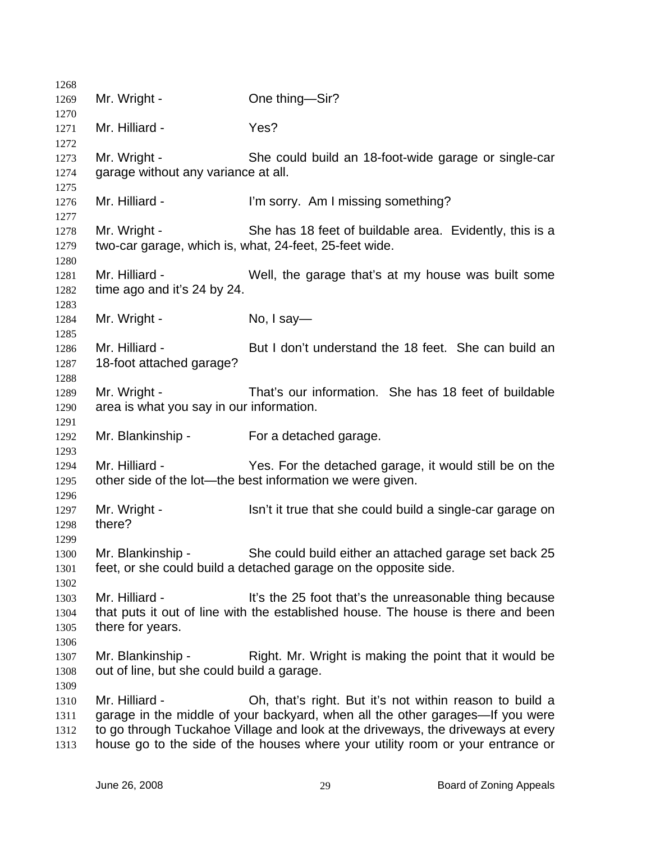| 1268 |                                            |                                                                                  |
|------|--------------------------------------------|----------------------------------------------------------------------------------|
| 1269 | Mr. Wright -                               | One thing-Sir?                                                                   |
| 1270 |                                            |                                                                                  |
| 1271 | Mr. Hilliard -                             | Yes?                                                                             |
| 1272 |                                            |                                                                                  |
| 1273 | Mr. Wright -                               | She could build an 18-foot-wide garage or single-car                             |
| 1274 | garage without any variance at all.        |                                                                                  |
| 1275 |                                            |                                                                                  |
| 1276 | Mr. Hilliard -                             | I'm sorry. Am I missing something?                                               |
| 1277 |                                            |                                                                                  |
| 1278 | Mr. Wright -                               | She has 18 feet of buildable area. Evidently, this is a                          |
| 1279 |                                            | two-car garage, which is, what, 24-feet, 25-feet wide.                           |
| 1280 |                                            |                                                                                  |
| 1281 | Mr. Hilliard -                             | Well, the garage that's at my house was built some                               |
| 1282 | time ago and it's 24 by 24.                |                                                                                  |
| 1283 |                                            |                                                                                  |
| 1284 | Mr. Wright -                               | No, $1$ say-                                                                     |
| 1285 |                                            |                                                                                  |
| 1286 | Mr. Hilliard -                             | But I don't understand the 18 feet. She can build an                             |
| 1287 | 18-foot attached garage?                   |                                                                                  |
| 1288 |                                            |                                                                                  |
| 1289 | Mr. Wright -                               | That's our information. She has 18 feet of buildable                             |
| 1290 | area is what you say in our information.   |                                                                                  |
| 1291 |                                            |                                                                                  |
| 1292 | Mr. Blankinship - For a detached garage.   |                                                                                  |
| 1293 |                                            |                                                                                  |
| 1294 | Mr. Hilliard -                             | Yes. For the detached garage, it would still be on the                           |
| 1295 |                                            | other side of the lot—the best information we were given.                        |
| 1296 |                                            |                                                                                  |
| 1297 | Mr. Wright -                               | Isn't it true that she could build a single-car garage on                        |
| 1298 | there?                                     |                                                                                  |
| 1299 |                                            |                                                                                  |
| 1300 | Mr. Blankinship -                          | She could build either an attached garage set back 25                            |
| 1301 |                                            | feet, or she could build a detached garage on the opposite side.                 |
| 1302 |                                            |                                                                                  |
| 1303 | Mr. Hilliard -                             | It's the 25 foot that's the unreasonable thing because                           |
|      |                                            | that puts it out of line with the established house. The house is there and been |
| 1304 |                                            |                                                                                  |
| 1305 | there for years.                           |                                                                                  |
| 1306 |                                            |                                                                                  |
| 1307 | Mr. Blankinship -                          | Right. Mr. Wright is making the point that it would be                           |
| 1308 | out of line, but she could build a garage. |                                                                                  |
| 1309 |                                            |                                                                                  |
| 1310 | Mr. Hilliard -                             | Oh, that's right. But it's not within reason to build a                          |
| 1311 |                                            | garage in the middle of your backyard, when all the other garages-If you were    |
| 1312 |                                            | to go through Tuckahoe Village and look at the driveways, the driveways at every |
| 1313 |                                            | house go to the side of the houses where your utility room or your entrance or   |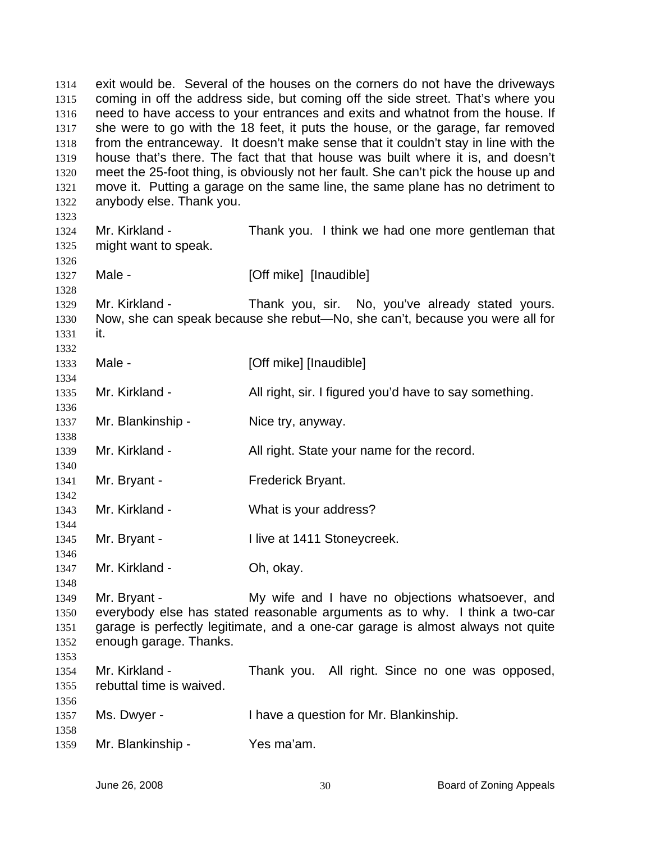exit would be. Several of the houses on the corners do not have the driveways coming in off the address side, but coming off the side street. That's where you need to have access to your entrances and exits and whatnot from the house. If she were to go with the 18 feet, it puts the house, or the garage, far removed from the entranceway. It doesn't make sense that it couldn't stay in line with the house that's there. The fact that that house was built where it is, and doesn't meet the 25-foot thing, is obviously not her fault. She can't pick the house up and move it. Putting a garage on the same line, the same plane has no detriment to anybody else. Thank you. 1314 1315 1316 1317 1318 1319 1320 1321 1322 1323 1324 1325 1326 1327 1328 1329 1330 1331 1332 1333 1334 1335 1336 1337 1338 1339 1340 1341 1342 1343 1344 1345 1346 1347 1348 1349 1350 1351 1352 1353 1354 1355 1356 1357 1358 1359 Mr. Kirkland - Thank you. I think we had one more gentleman that might want to speak. Male - **Example 2** [Off mike] [Inaudible] Mr. Kirkland - Thank you, sir. No, you've already stated yours. Now, she can speak because she rebut—No, she can't, because you were all for it. Male - **[Off mike]** [Inaudible] Mr. Kirkland - All right, sir. I figured you'd have to say something. Mr. Blankinship - Nice try, anyway. Mr. Kirkland - All right. State your name for the record. Mr. Bryant - Frederick Bryant. Mr. Kirkland - What is your address? Mr. Bryant - **I live at 1411 Stoneycreek.** Mr. Kirkland - Oh, okay. Mr. Bryant - My wife and I have no objections whatsoever, and everybody else has stated reasonable arguments as to why. I think a two-car garage is perfectly legitimate, and a one-car garage is almost always not quite enough garage. Thanks. Mr. Kirkland - Thank you. All right. Since no one was opposed, rebuttal time is waived. Ms. Dwyer - Thave a question for Mr. Blankinship. Mr. Blankinship - Yes ma'am.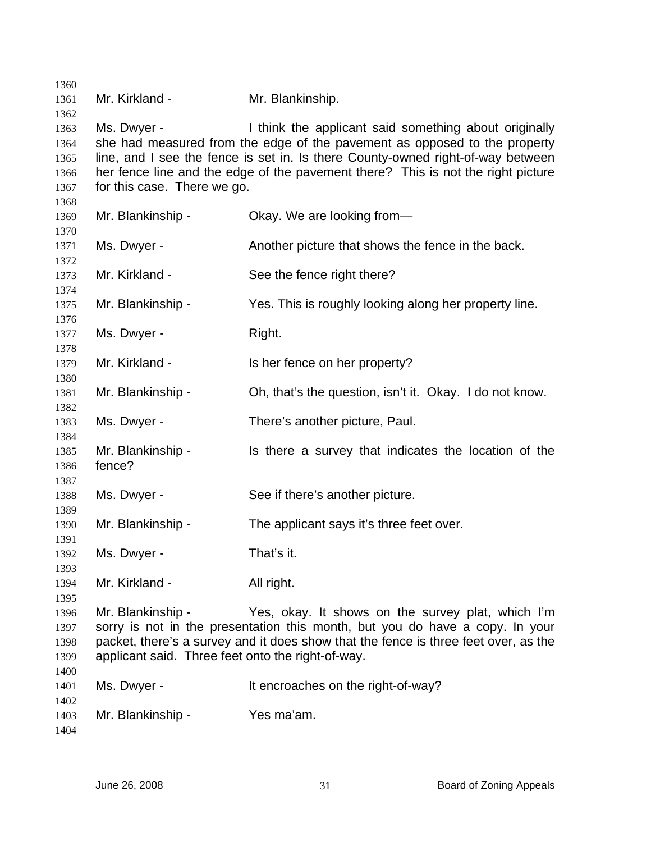| 1360         |                                                   |                                                                                     |
|--------------|---------------------------------------------------|-------------------------------------------------------------------------------------|
| 1361         | Mr. Kirkland -                                    | Mr. Blankinship.                                                                    |
| 1362         |                                                   |                                                                                     |
| 1363         | Ms. Dwyer -                                       | I think the applicant said something about originally                               |
| 1364         |                                                   | she had measured from the edge of the pavement as opposed to the property           |
| 1365         |                                                   | line, and I see the fence is set in. Is there County-owned right-of-way between     |
| 1366         |                                                   | her fence line and the edge of the pavement there? This is not the right picture    |
| 1367         | for this case. There we go.                       |                                                                                     |
| 1368         |                                                   |                                                                                     |
| 1369         | Mr. Blankinship -                                 | Okay. We are looking from-                                                          |
| 1370         |                                                   |                                                                                     |
| 1371         | Ms. Dwyer -                                       | Another picture that shows the fence in the back.                                   |
| 1372         |                                                   |                                                                                     |
| 1373         | Mr. Kirkland -                                    | See the fence right there?                                                          |
| 1374         |                                                   |                                                                                     |
| 1375         | Mr. Blankinship -                                 | Yes. This is roughly looking along her property line.                               |
| 1376         |                                                   |                                                                                     |
| 1377         | Ms. Dwyer -                                       | Right.                                                                              |
| 1378         |                                                   |                                                                                     |
| 1379         | Mr. Kirkland -                                    | Is her fence on her property?                                                       |
| 1380         |                                                   |                                                                                     |
| 1381<br>1382 | Mr. Blankinship -                                 | Oh, that's the question, isn't it. Okay. I do not know.                             |
| 1383         | Ms. Dwyer -                                       | There's another picture, Paul.                                                      |
| 1384         |                                                   |                                                                                     |
| 1385         | Mr. Blankinship -                                 | Is there a survey that indicates the location of the                                |
| 1386         | fence?                                            |                                                                                     |
| 1387         |                                                   |                                                                                     |
| 1388         | Ms. Dwyer -                                       | See if there's another picture.                                                     |
| 1389         |                                                   |                                                                                     |
| 1390         | Mr. Blankinship -                                 | The applicant says it's three feet over.                                            |
| 1391         |                                                   |                                                                                     |
| 1392         | Ms. Dwyer -                                       | That's it.                                                                          |
| 1393         |                                                   |                                                                                     |
| 1394         | Mr. Kirkland -                                    | All right.                                                                          |
| 1395         |                                                   |                                                                                     |
| 1396         | Mr. Blankinship -                                 | Yes, okay. It shows on the survey plat, which I'm                                   |
| 1397         |                                                   | sorry is not in the presentation this month, but you do have a copy. In your        |
| 1398         |                                                   | packet, there's a survey and it does show that the fence is three feet over, as the |
| 1399         | applicant said. Three feet onto the right-of-way. |                                                                                     |
| 1400         |                                                   |                                                                                     |
| 1401         | Ms. Dwyer -                                       | It encroaches on the right-of-way?                                                  |
| 1402         |                                                   |                                                                                     |
| 1403         | Mr. Blankinship -                                 | Yes ma'am.                                                                          |
| 1404         |                                                   |                                                                                     |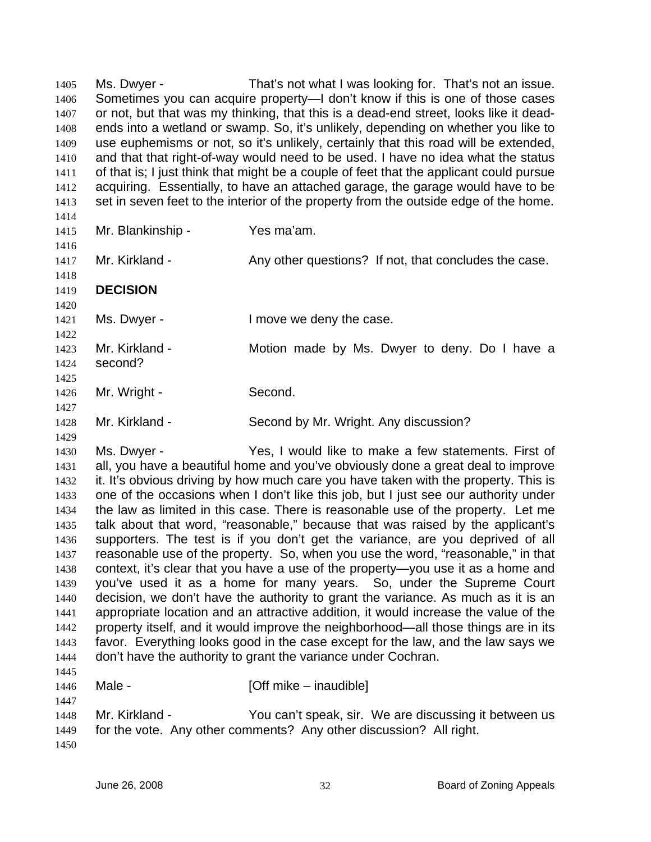Ms. Dwyer - That's not what I was looking for. That's not an issue. Sometimes you can acquire property—I don't know if this is one of those cases or not, but that was my thinking, that this is a dead-end street, looks like it deadends into a wetland or swamp. So, it's unlikely, depending on whether you like to use euphemisms or not, so it's unlikely, certainly that this road will be extended, and that that right-of-way would need to be used. I have no idea what the status of that is; I just think that might be a couple of feet that the applicant could pursue acquiring. Essentially, to have an attached garage, the garage would have to be set in seven feet to the interior of the property from the outside edge of the home. 1405 1406 1407 1408 1409 1410 1411 1412 1413 1414 1415 1416 1417 1418 1419 1420 1421 1422 1423 1424 1425 1426 1427 1428 1429 1430 1431 1432 1433 1434 1435 1436 1437 1438 1439 1440 1441 1442 1443 1444 1445 1446 1447 1448 1449 1450 Mr. Blankinship - Yes ma'am. Mr. Kirkland - Any other questions? If not, that concludes the case. **DECISION**  Ms. Dwyer - The Move we deny the case. Mr. Kirkland - The Motion made by Ms. Dwyer to deny. Do I have a second? Mr. Wright - Second. Mr. Kirkland - Second by Mr. Wright. Any discussion? Ms. Dwyer - Yes, I would like to make a few statements. First of all, you have a beautiful home and you've obviously done a great deal to improve it. It's obvious driving by how much care you have taken with the property. This is one of the occasions when I don't like this job, but I just see our authority under the law as limited in this case. There is reasonable use of the property. Let me talk about that word, "reasonable," because that was raised by the applicant's supporters. The test is if you don't get the variance, are you deprived of all reasonable use of the property. So, when you use the word, "reasonable," in that context, it's clear that you have a use of the property—you use it as a home and you've used it as a home for many years. So, under the Supreme Court decision, we don't have the authority to grant the variance. As much as it is an appropriate location and an attractive addition, it would increase the value of the property itself, and it would improve the neighborhood—all those things are in its favor. Everything looks good in the case except for the law, and the law says we don't have the authority to grant the variance under Cochran. Male - **[Off mike – inaudible]** Mr. Kirkland - The You can't speak, sir. We are discussing it between us for the vote. Any other comments? Any other discussion? All right.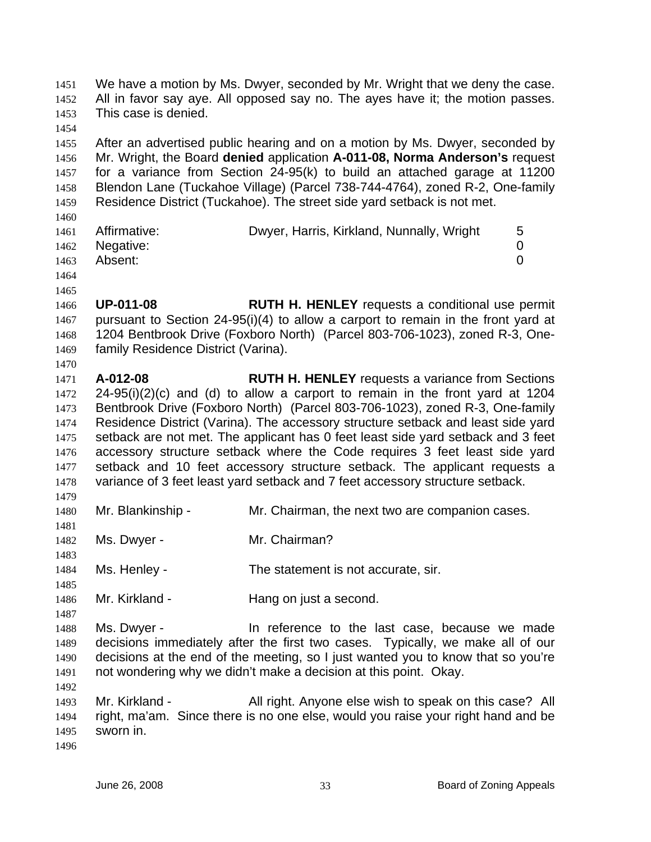We have a motion by Ms. Dwyer, seconded by Mr. Wright that we deny the case. All in favor say aye. All opposed say no. The ayes have it; the motion passes. This case is denied. 1451 1452 1453 1454

1455 1456 1457 1458 1459 After an advertised public hearing and on a motion by Ms. Dwyer, seconded by Mr. Wright, the Board **denied** application **A-011-08, Norma Anderson's** request for a variance from Section 24-95(k) to build an attached garage at 11200 Blendon Lane (Tuckahoe Village) (Parcel 738-744-4764), zoned R-2, One-family Residence District (Tuckahoe). The street side yard setback is not met.

| 1460 |                |                                           |   |
|------|----------------|-------------------------------------------|---|
| 1461 | Affirmative:   | Dwyer, Harris, Kirkland, Nunnally, Wright | 5 |
|      | 1462 Negative: |                                           |   |
| 1463 | Absent:        |                                           |   |
| 1464 |                |                                           |   |

1465

1470

1481

1483

1485

1492

1466 1467 1468 1469 **UP-011-08 RUTH H. HENLEY** requests a conditional use permit pursuant to Section 24-95(i)(4) to allow a carport to remain in the front yard at 1204 Bentbrook Drive (Foxboro North) (Parcel 803-706-1023), zoned R-3, Onefamily Residence District (Varina).

1471 1472 1473 1474 1475 1476 1477 1478 1479 **A-012-08 RUTH H. HENLEY** requests a variance from Sections 24-95(i)(2)(c) and (d) to allow a carport to remain in the front yard at 1204 Bentbrook Drive (Foxboro North) (Parcel 803-706-1023), zoned R-3, One-family Residence District (Varina). The accessory structure setback and least side yard setback are not met. The applicant has 0 feet least side yard setback and 3 feet accessory structure setback where the Code requires 3 feet least side yard setback and 10 feet accessory structure setback. The applicant requests a variance of 3 feet least yard setback and 7 feet accessory structure setback.

- 1480 Mr. Blankinship - Mr. Chairman, the next two are companion cases.
- 1482 Ms. Dwyer - Mr. Chairman?

1484 Ms. Henley - The statement is not accurate, sir.

1486 Mr. Kirkland - **Hang on just a second.** 

1487 1488 1489 1490 1491 Ms. Dwyer - The reference to the last case, because we made decisions immediately after the first two cases. Typically, we make all of our decisions at the end of the meeting, so I just wanted you to know that so you're not wondering why we didn't make a decision at this point. Okay.

1493 1494 1495 1496 Mr. Kirkland - All right. Anyone else wish to speak on this case? All right, ma'am. Since there is no one else, would you raise your right hand and be sworn in.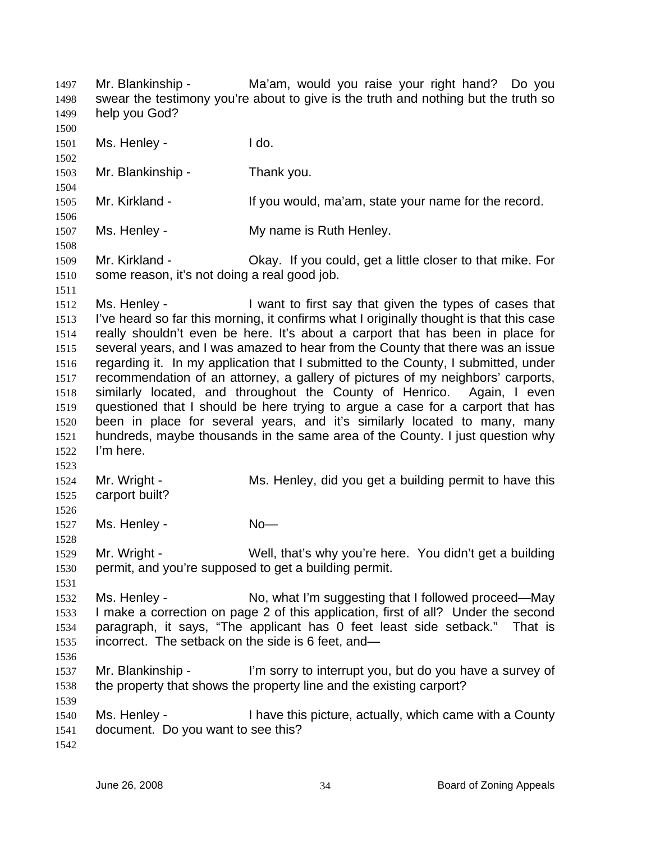Mr. Blankinship - Ma'am, would you raise your right hand? Do you swear the testimony you're about to give is the truth and nothing but the truth so help you God? 1497 1498 1499 1500 1501 1502 1503 1504 1505 1506 1507 1508 1509 1510 1511 1512 1513 1514 1515 1516 1517 1518 1519 1520 1521 1522 1523 1524 1525 1526 1527 1528 1529 1530 1531 1532 1533 1534 1535 1536 1537 1538 1539 1540 1541 1542 Ms. Henley - The Research Hotel Hotel Hotel Hotel Hotel Hotel Hotel Hotel Hotel Hotel Hotel Hotel Hotel Hotel Hotel Hotel Hotel Hotel Hotel Hotel Hotel Hotel Hotel Hotel Hotel Hotel Hotel Hotel Hotel Hotel Hotel Hotel Hote Mr. Blankinship - Thank you. Mr. Kirkland - The Music of the Vou would, ma'am, state your name for the record. Ms. Henley - The My name is Ruth Henley. Mr. Kirkland - Okay. If you could, get a little closer to that mike. For some reason, it's not doing a real good job. Ms. Henley - I want to first say that given the types of cases that I've heard so far this morning, it confirms what I originally thought is that this case really shouldn't even be here. It's about a carport that has been in place for several years, and I was amazed to hear from the County that there was an issue regarding it. In my application that I submitted to the County, I submitted, under recommendation of an attorney, a gallery of pictures of my neighbors' carports, similarly located, and throughout the County of Henrico. Again, I even questioned that I should be here trying to argue a case for a carport that has been in place for several years, and it's similarly located to many, many hundreds, maybe thousands in the same area of the County. I just question why I'm here. Mr. Wright - Ms. Henley, did you get a building permit to have this carport built? Ms. Henley - No-Mr. Wright - Well, that's why you're here. You didn't get a building permit, and you're supposed to get a building permit. Ms. Henley - No, what I'm suggesting that I followed proceed—May I make a correction on page 2 of this application, first of all? Under the second paragraph, it says, "The applicant has 0 feet least side setback." That is incorrect. The setback on the side is 6 feet, and— Mr. Blankinship - I'm sorry to interrupt you, but do you have a survey of the property that shows the property line and the existing carport? Ms. Henley - I have this picture, actually, which came with a County document. Do you want to see this?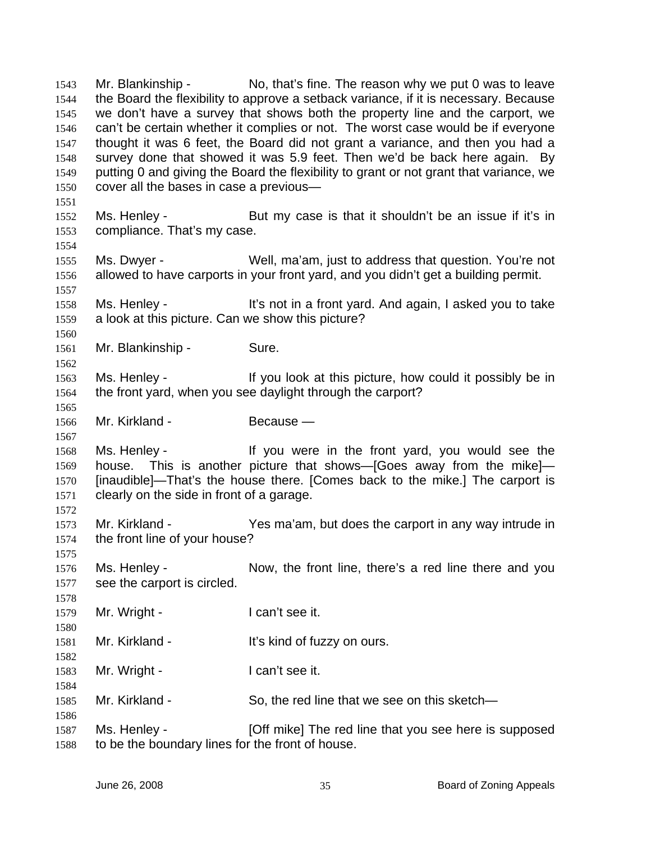Mr. Blankinship - No, that's fine. The reason why we put 0 was to leave the Board the flexibility to approve a setback variance, if it is necessary. Because we don't have a survey that shows both the property line and the carport, we can't be certain whether it complies or not. The worst case would be if everyone thought it was 6 feet, the Board did not grant a variance, and then you had a survey done that showed it was 5.9 feet. Then we'd be back here again. By putting 0 and giving the Board the flexibility to grant or not grant that variance, we cover all the bases in case a previous— 1543 1544 1545 1546 1547 1548 1549 1550 1551 1552 1553 1554 1555 1556 1557 1558 1559 1560 1561 1562 1563 1564 1565 1566 1567 1568 1569 1570 1571 1572 1573 1574 1575 1576 1577 1578 1579 1580 1581 1582 1583 1584 1585 1586 1587 1588 Ms. Henley - But my case is that it shouldn't be an issue if it's in compliance. That's my case. Ms. Dwyer - Well, ma'am, just to address that question. You're not allowed to have carports in your front yard, and you didn't get a building permit. Ms. Henley - It's not in a front yard. And again, I asked you to take a look at this picture. Can we show this picture? Mr. Blankinship - Sure. Ms. Henley - The Music of this picture, how could it possibly be in the front yard, when you see daylight through the carport? Mr. Kirkland - Because — Ms. Henley - The Music of the front yard, you would see the house. This is another picture that shows—[Goes away from the mike]— [inaudible]—That's the house there. [Comes back to the mike.] The carport is clearly on the side in front of a garage. Mr. Kirkland - Yes ma'am, but does the carport in any way intrude in the front line of your house? Ms. Henley - Now, the front line, there's a red line there and you see the carport is circled. Mr. Wright - I can't see it. Mr. Kirkland - It's kind of fuzzy on ours. Mr. Wright - I can't see it. Mr. Kirkland - So, the red line that we see on this sketch-Ms. Henley - [Off mike] The red line that you see here is supposed to be the boundary lines for the front of house.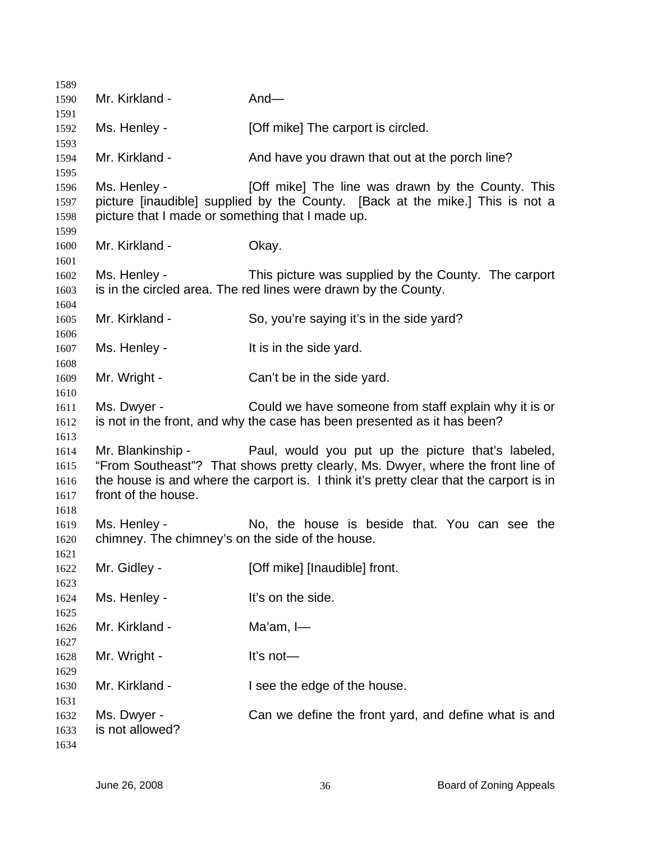| 1589                                         |                                                                  |                                                                                                                                                                                                                                  |
|----------------------------------------------|------------------------------------------------------------------|----------------------------------------------------------------------------------------------------------------------------------------------------------------------------------------------------------------------------------|
| 1590                                         | Mr. Kirkland -                                                   | And $-$                                                                                                                                                                                                                          |
| 1591                                         |                                                                  |                                                                                                                                                                                                                                  |
| 1592<br>1593                                 | Ms. Henley -                                                     | [Off mike] The carport is circled.                                                                                                                                                                                               |
| 1594<br>1595                                 | Mr. Kirkland -                                                   | And have you drawn that out at the porch line?                                                                                                                                                                                   |
| 1596<br>1597<br>1598                         | Ms. Henley -<br>picture that I made or something that I made up. | [Off mike] The line was drawn by the County. This<br>picture [inaudible] supplied by the County. [Back at the mike.] This is not a                                                                                               |
| 1599<br>1600<br>1601                         | Mr. Kirkland -                                                   | Okay.                                                                                                                                                                                                                            |
| 1602<br>1603<br>1604                         | Ms. Henley -                                                     | This picture was supplied by the County. The carport<br>is in the circled area. The red lines were drawn by the County.                                                                                                          |
| 1605<br>1606                                 | Mr. Kirkland -                                                   | So, you're saying it's in the side yard?                                                                                                                                                                                         |
| 1607<br>1608                                 | Ms. Henley -                                                     | It is in the side yard.                                                                                                                                                                                                          |
| 1609<br>1610                                 | Mr. Wright -                                                     | Can't be in the side yard.                                                                                                                                                                                                       |
| 1611<br>1612                                 | Ms. Dwyer -                                                      | Could we have someone from staff explain why it is or<br>is not in the front, and why the case has been presented as it has been?                                                                                                |
| 1613<br>1614<br>1615<br>1616<br>1617<br>1618 | Mr. Blankinship -<br>front of the house.                         | Paul, would you put up the picture that's labeled,<br>"From Southeast"? That shows pretty clearly, Ms. Dwyer, where the front line of<br>the house is and where the carport is. I think it's pretty clear that the carport is in |
| 1619<br>1620                                 | Ms. Henley -<br>chimney. The chimney's on the side of the house. | No, the house is beside that. You can see the                                                                                                                                                                                    |
| 1621<br>1622<br>1623                         | Mr. Gidley -                                                     | [Off mike] [Inaudible] front.                                                                                                                                                                                                    |
| 1624<br>1625                                 | Ms. Henley -                                                     | It's on the side.                                                                                                                                                                                                                |
| 1626<br>1627                                 | Mr. Kirkland -                                                   | Ma'am, $I$ —                                                                                                                                                                                                                     |
| 1628<br>1629                                 | Mr. Wright -                                                     | It's not-                                                                                                                                                                                                                        |
| 1630<br>1631                                 | Mr. Kirkland -                                                   | I see the edge of the house.                                                                                                                                                                                                     |
| 1632<br>1633<br>1634                         | Ms. Dwyer -<br>is not allowed?                                   | Can we define the front yard, and define what is and                                                                                                                                                                             |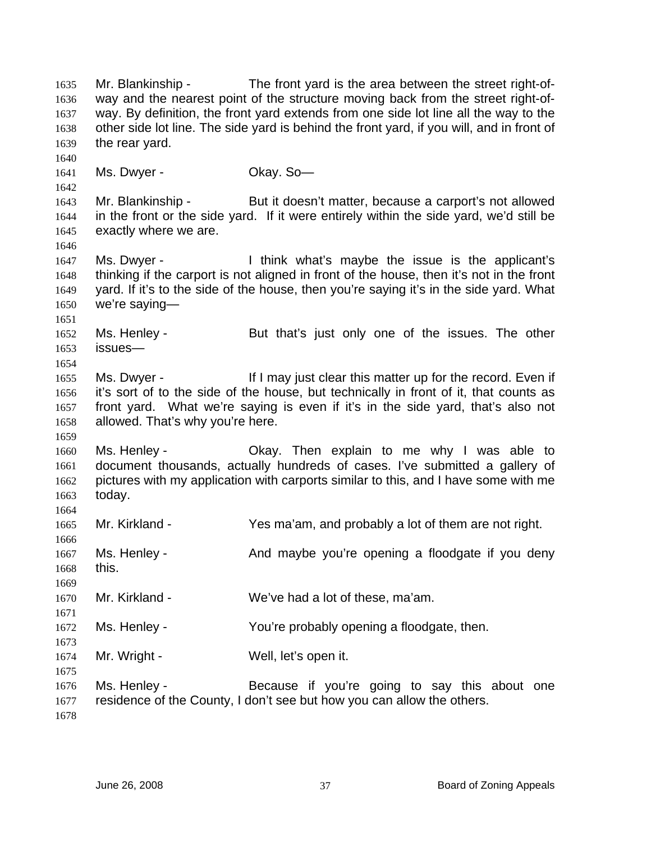Mr. Blankinship - The front yard is the area between the street right-ofway and the nearest point of the structure moving back from the street right-ofway. By definition, the front yard extends from one side lot line all the way to the other side lot line. The side yard is behind the front yard, if you will, and in front of the rear yard. 1635 1636 1637 1638 1639 1640 1641 1642 1643 1644 1645 1646 1647 1648 1649 1650 1651 1652 1653 1654 1655 1656 1657 1658 1659 1660 1661 1662 1663 1664 1665 1666 1667 1668 1669 1670 1671 1672 1673 1674 1675 1676 1677 1678 Ms. Dwyer - Ckay. So-Mr. Blankinship - But it doesn't matter, because a carport's not allowed in the front or the side yard. If it were entirely within the side yard, we'd still be exactly where we are. Ms. Dwyer - I think what's maybe the issue is the applicant's thinking if the carport is not aligned in front of the house, then it's not in the front yard. If it's to the side of the house, then you're saying it's in the side yard. What we're saying— Ms. Henley - But that's just only one of the issues. The other issues— Ms. Dwyer - The If I may just clear this matter up for the record. Even if it's sort of to the side of the house, but technically in front of it, that counts as front yard. What we're saying is even if it's in the side yard, that's also not allowed. That's why you're here. Ms. Henley - Ckay. Then explain to me why I was able to document thousands, actually hundreds of cases. I've submitted a gallery of pictures with my application with carports similar to this, and I have some with me today. Mr. Kirkland - Yes ma'am, and probably a lot of them are not right. Ms. Henley - The And maybe you're opening a floodgate if you deny this. Mr. Kirkland - We've had a lot of these, ma'am. Ms. Henley - The You're probably opening a floodgate, then. Mr. Wright - Well, let's open it. Ms. Henley - Because if you're going to say this about one residence of the County, I don't see but how you can allow the others.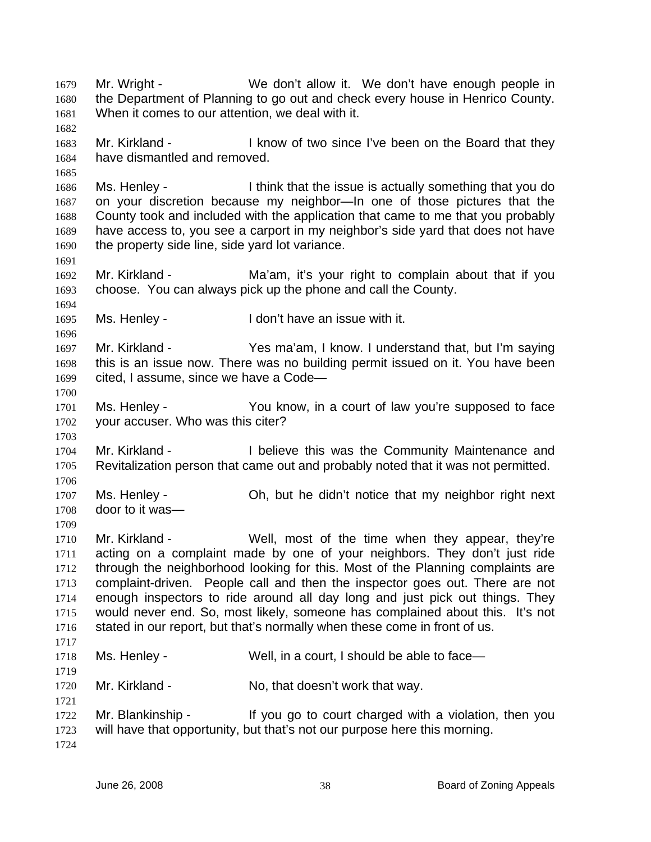Mr. Wright - We don't allow it. We don't have enough people in the Department of Planning to go out and check every house in Henrico County. When it comes to our attention, we deal with it. 1679 1680 1681 1682 1683 1684 1685 1686 1687 1688 1689 1690 1691 1692 1693 1694 1695 1696 1697 1698 1699 1700 1701 1702 1703 1704 1705 1706 1707 1708 1709 1710 1711 1712 1713 1714 1715 1716 1717 1718 1719 1720 1721 1722 1723 1724 Mr. Kirkland - The Read of two since I've been on the Board that they have dismantled and removed. Ms. Henley - I think that the issue is actually something that you do on your discretion because my neighbor—In one of those pictures that the County took and included with the application that came to me that you probably have access to, you see a carport in my neighbor's side yard that does not have the property side line, side yard lot variance. Mr. Kirkland - The Ma'am, it's your right to complain about that if you choose. You can always pick up the phone and call the County. Ms. Henley - The Music Henley - I don't have an issue with it. Mr. Kirkland - Yes ma'am, I know. I understand that, but I'm saying this is an issue now. There was no building permit issued on it. You have been cited, I assume, since we have a Code— Ms. Henley - You know, in a court of law you're supposed to face your accuser. Who was this citer? Mr. Kirkland - I believe this was the Community Maintenance and Revitalization person that came out and probably noted that it was not permitted. Ms. Henley - Ch, but he didn't notice that my neighbor right next door to it was— Mr. Kirkland - Well, most of the time when they appear, they're acting on a complaint made by one of your neighbors. They don't just ride through the neighborhood looking for this. Most of the Planning complaints are complaint-driven. People call and then the inspector goes out. There are not enough inspectors to ride around all day long and just pick out things. They would never end. So, most likely, someone has complained about this. It's not stated in our report, but that's normally when these come in front of us. Ms. Henley - Well, in a court, I should be able to face— Mr. Kirkland - No, that doesn't work that way. Mr. Blankinship - If you go to court charged with a violation, then you will have that opportunity, but that's not our purpose here this morning.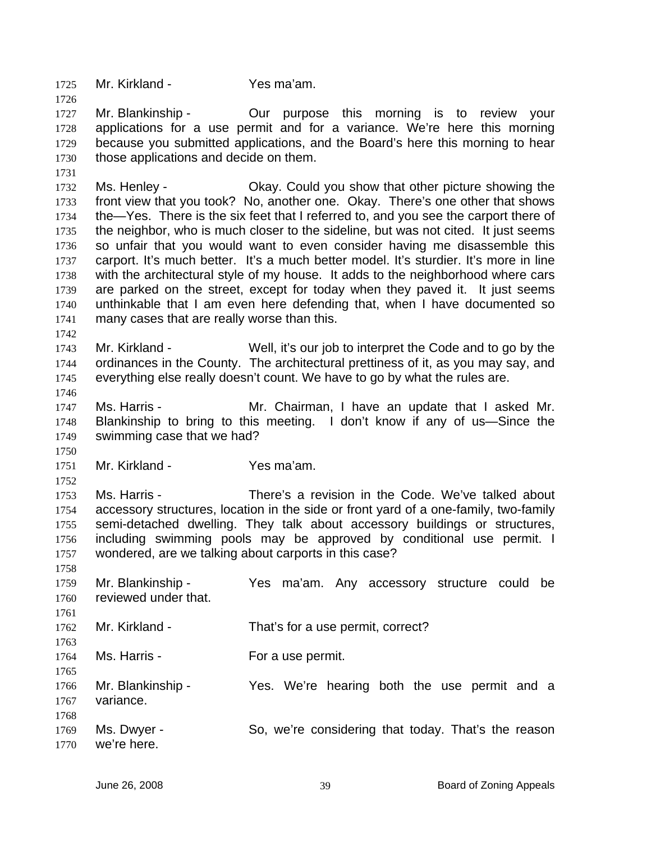1725 Mr. Kirkland - Yes ma'am.

1726

1731

1742

1746

1750

1727 1728 1729 1730 Mr. Blankinship - The Our purpose this morning is to review your applications for a use permit and for a variance. We're here this morning because you submitted applications, and the Board's here this morning to hear those applications and decide on them.

1732 1733 1734 1735 1736 1737 1738 1739 1740 1741 Ms. Henley - Chay. Could you show that other picture showing the front view that you took? No, another one. Okay. There's one other that shows the—Yes. There is the six feet that I referred to, and you see the carport there of the neighbor, who is much closer to the sideline, but was not cited. It just seems so unfair that you would want to even consider having me disassemble this carport. It's much better. It's a much better model. It's sturdier. It's more in line with the architectural style of my house. It adds to the neighborhood where cars are parked on the street, except for today when they paved it. It just seems unthinkable that I am even here defending that, when I have documented so many cases that are really worse than this.

1743 1744 1745 Mr. Kirkland - Well, it's our job to interpret the Code and to go by the ordinances in the County. The architectural prettiness of it, as you may say, and everything else really doesn't count. We have to go by what the rules are.

1747 1748 1749 Ms. Harris - Mr. Chairman, I have an update that I asked Mr. Blankinship to bring to this meeting. I don't know if any of us—Since the swimming case that we had?

1751 Mr. Kirkland - Yes ma'am.

1752 1753 1754 1755 1756 1757 Ms. Harris - There's a revision in the Code. We've talked about accessory structures, location in the side or front yard of a one-family, two-family semi-detached dwelling. They talk about accessory buildings or structures, including swimming pools may be approved by conditional use permit. I wondered, are we talking about carports in this case?

1758 1759 1760 1761 1762 1763 1764 1765 1766 1767 1768 1769 Mr. Blankinship - The Yes ma'am. Any accessory structure could be reviewed under that. Mr. Kirkland - That's for a use permit, correct? Ms. Harris - The Music For a use permit. Mr. Blankinship - Yes. We're hearing both the use permit and a variance. Ms. Dwyer - So, we're considering that today. That's the reason

1770 we're here.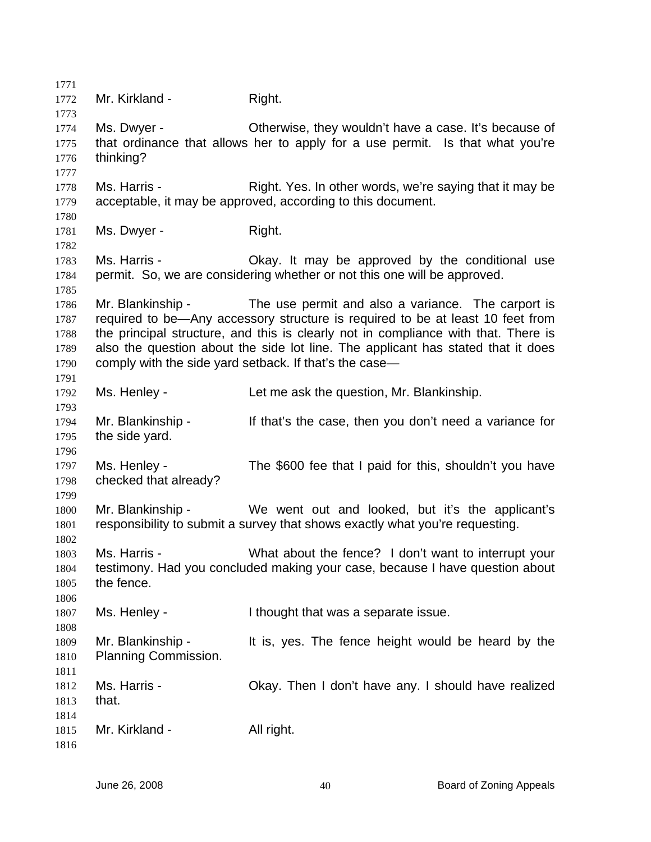1771 1772 1773 1774 1775 1776 1777 1778 1779 1780 1781 1782 1783 1784 1785 1786 1787 1788 1789 1790 1791 1792 1793 1794 1795 1796 1797 1798 1799 1800 1801 1802 1803 1804 1805 1806 1807 1808 1809 1810 1811 1812 1813 1814 1815 1816 Mr. Kirkland - Right. Ms. Dwyer - Cherwise, they wouldn't have a case. It's because of that ordinance that allows her to apply for a use permit. Is that what you're thinking? Ms. Harris - Right. Yes. In other words, we're saying that it may be acceptable, it may be approved, according to this document. Ms. Dwyer - Right. Ms. Harris - Okay. It may be approved by the conditional use permit. So, we are considering whether or not this one will be approved. Mr. Blankinship - The use permit and also a variance. The carport is required to be—Any accessory structure is required to be at least 10 feet from the principal structure, and this is clearly not in compliance with that. There is also the question about the side lot line. The applicant has stated that it does comply with the side yard setback. If that's the case— Ms. Henley - Let me ask the question, Mr. Blankinship. Mr. Blankinship - If that's the case, then you don't need a variance for the side yard. Ms. Henley - The \$600 fee that I paid for this, shouldn't you have checked that already? Mr. Blankinship - We went out and looked, but it's the applicant's responsibility to submit a survey that shows exactly what you're requesting. Ms. Harris - What about the fence? I don't want to interrupt your testimony. Had you concluded making your case, because I have question about the fence. Ms. Henley - Thought that was a separate issue. Mr. Blankinship - It is, yes. The fence height would be heard by the Planning Commission. Ms. Harris - Chay. Then I don't have any. I should have realized that. Mr. Kirkland - All right.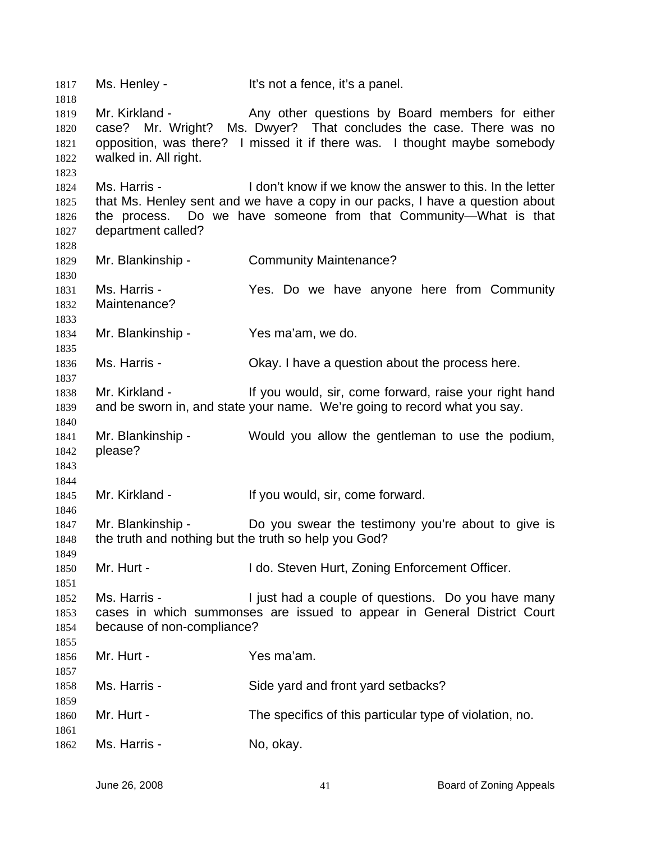1817 Ms. Henley - It's not a fence, it's a panel. 1818 1819 1820 1821 1822 1823 1824 1825 1826 1827 1828 1829 1830 1831 1832 1833 1834 1835 1836 1837 1838 1839 1840 1841 1842 1843 1844 1845 1846 1847 1848 1849 1850 1851 1852 1853 1854 1855 1856 1857 1858 1859 1860 1861 1862 Mr. Kirkland - Any other questions by Board members for either case? Mr. Wright? Ms. Dwyer? That concludes the case. There was no opposition, was there? I missed it if there was. I thought maybe somebody walked in. All right. Ms. Harris - I don't know if we know the answer to this. In the letter that Ms. Henley sent and we have a copy in our packs, I have a question about the process. Do we have someone from that Community—What is that department called? Mr. Blankinship - Community Maintenance? Ms. Harris - The Yes. Do we have anyone here from Community Maintenance? Mr. Blankinship - Yes ma'am, we do. Ms. Harris - Chay. I have a question about the process here. Mr. Kirkland - If you would, sir, come forward, raise your right hand and be sworn in, and state your name. We're going to record what you say. Mr. Blankinship - Would you allow the gentleman to use the podium, please? Mr. Kirkland - The Muslim of the US of Mr. Kirkland - If you would, sir, come forward. Mr. Blankinship - Do you swear the testimony you're about to give is the truth and nothing but the truth so help you God? Mr. Hurt - The I do. Steven Hurt, Zoning Enforcement Officer. Ms. Harris - The Solive Higust had a couple of questions. Do you have many cases in which summonses are issued to appear in General District Court because of non-compliance? Mr. Hurt - Yes ma'am. Ms. Harris - Side yard and front yard setbacks? Mr. Hurt - The specifics of this particular type of violation, no. Ms. Harris - No, okay.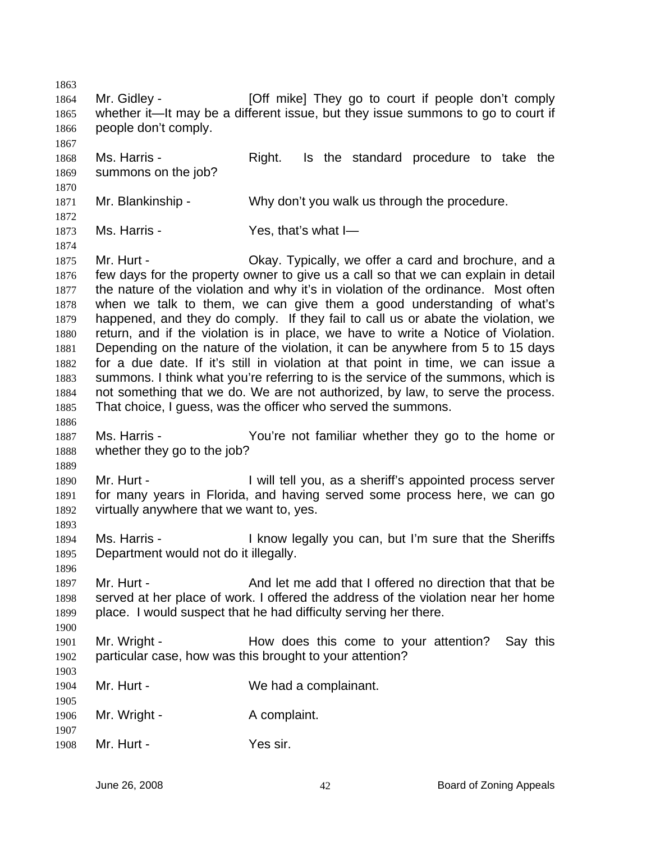1863 1864 1865 1866 1867 1868 1869 1870 1871 1872 1873 1874 1875 1876 1877 1878 1879 1880 1881 1882 1883 1884 1885 1886 1887 1888 1889 1890 1891 1892 1893 1894 1895 1896 1897 1898 1899 1900 1901 1902 1903 1904 1905 1906 1907 1908 Mr. Gidley - **[Off mike]** They go to court if people don't comply whether it—It may be a different issue, but they issue summons to go to court if people don't comply. Ms. Harris - The Right. Is the standard procedure to take the summons on the job? Mr. Blankinship - Why don't you walk us through the procedure. Ms. Harris - The Mes, that's what I-Mr. Hurt - Chay. Typically, we offer a card and brochure, and a few days for the property owner to give us a call so that we can explain in detail the nature of the violation and why it's in violation of the ordinance. Most often when we talk to them, we can give them a good understanding of what's happened, and they do comply. If they fail to call us or abate the violation, we return, and if the violation is in place, we have to write a Notice of Violation. Depending on the nature of the violation, it can be anywhere from 5 to 15 days for a due date. If it's still in violation at that point in time, we can issue a summons. I think what you're referring to is the service of the summons, which is not something that we do. We are not authorized, by law, to serve the process. That choice, I guess, was the officer who served the summons. Ms. Harris - You're not familiar whether they go to the home or whether they go to the job? Mr. Hurt - I will tell you, as a sheriff's appointed process server for many years in Florida, and having served some process here, we can go virtually anywhere that we want to, yes. Ms. Harris - The Music Regally you can, but I'm sure that the Sheriffs Department would not do it illegally. Mr. Hurt - And let me add that I offered no direction that that be served at her place of work. I offered the address of the violation near her home place. I would suspect that he had difficulty serving her there. Mr. Wright - The How does this come to your attention? Say this particular case, how was this brought to your attention? Mr. Hurt - We had a complainant. Mr. Wright - A complaint. Mr. Hurt - Yes sir.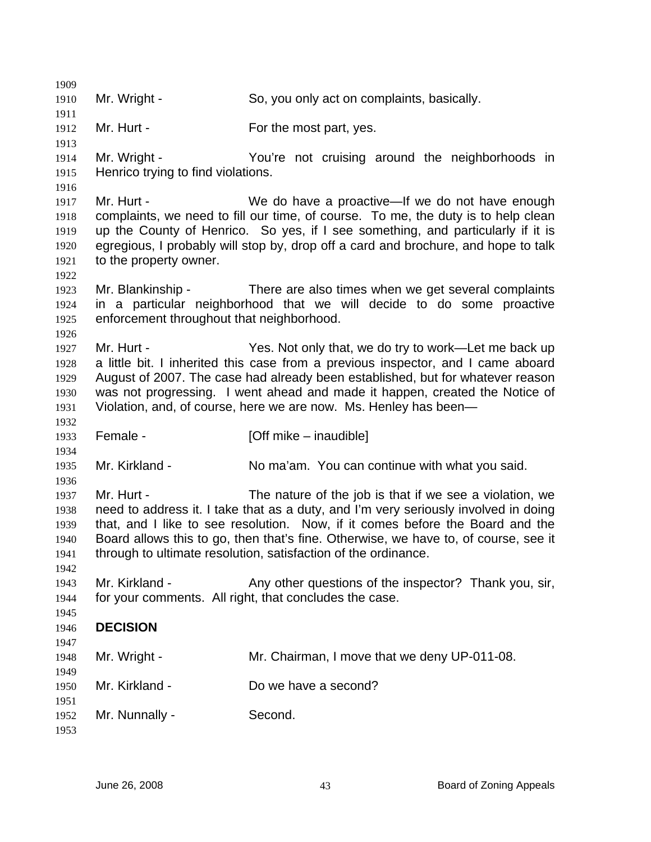1909 1910 1911 1912 1913 1914 1915 1916 1917 1918 1919 1920 1921 1922 1923 1924 1925 1926 1927 1928 1929 1930 1931 1932 1933 1934 1935 1936 1937 1938 1939 1940 1941 1942 1943 1944 1945 1946 1947 1948 1949 1950 1951 1952 1953 Mr. Wright - So, you only act on complaints, basically. Mr. Hurt - For the most part, yes. Mr. Wright - The You're not cruising around the neighborhoods in Henrico trying to find violations. Mr. Hurt - We do have a proactive—If we do not have enough complaints, we need to fill our time, of course. To me, the duty is to help clean up the County of Henrico. So yes, if I see something, and particularly if it is egregious, I probably will stop by, drop off a card and brochure, and hope to talk to the property owner. Mr. Blankinship - There are also times when we get several complaints in a particular neighborhood that we will decide to do some proactive enforcement throughout that neighborhood. Mr. Hurt - Yes. Not only that, we do try to work—Let me back up a little bit. I inherited this case from a previous inspector, and I came aboard August of 2007. The case had already been established, but for whatever reason was not progressing. I went ahead and made it happen, created the Notice of Violation, and, of course, here we are now. Ms. Henley has been— Female - [Off mike – inaudible] Mr. Kirkland - No ma'am. You can continue with what you said. Mr. Hurt - The nature of the job is that if we see a violation, we need to address it. I take that as a duty, and I'm very seriously involved in doing that, and I like to see resolution. Now, if it comes before the Board and the Board allows this to go, then that's fine. Otherwise, we have to, of course, see it through to ultimate resolution, satisfaction of the ordinance. Mr. Kirkland - Any other questions of the inspector? Thank you, sir, for your comments. All right, that concludes the case. **DECISION**  Mr. Wright - Mr. Chairman, I move that we deny UP-011-08. Mr. Kirkland - Do we have a second? Mr. Nunnally - Second.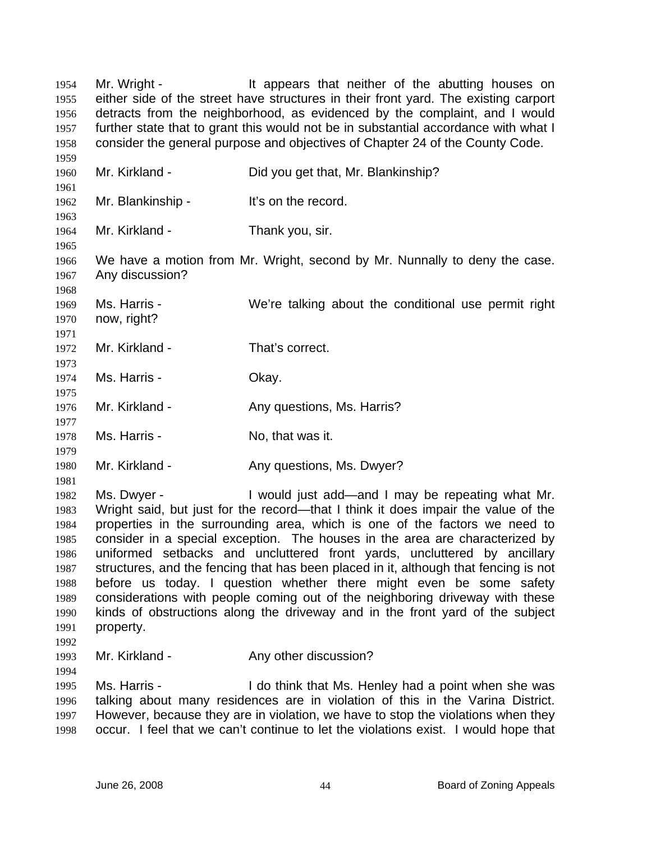Mr. Wright - The It appears that neither of the abutting houses on either side of the street have structures in their front yard. The existing carport detracts from the neighborhood, as evidenced by the complaint, and I would further state that to grant this would not be in substantial accordance with what I consider the general purpose and objectives of Chapter 24 of the County Code. 1954 1955 1956 1957 1958 1959 1960 1961 1962 1963 1964 1965 1966 1967 1968 1969 1970 1971 1972 1973 1974 1975 1976 1977 1978 1979 1980 1981 1982 1983 1984 1985 1986 1987 1988 1989 1990 1991 1992 1993 1994 1995 1996 1997 1998 Mr. Kirkland - Did you get that, Mr. Blankinship? Mr. Blankinship - It's on the record. Mr. Kirkland - Thank you, sir. We have a motion from Mr. Wright, second by Mr. Nunnally to deny the case. Any discussion? Ms. Harris - We're talking about the conditional use permit right now, right? Mr. Kirkland - That's correct. Ms. Harris - Chay. Mr. Kirkland - Any questions, Ms. Harris? Ms. Harris - No, that was it. Mr. Kirkland - The Any questions, Ms. Dwyer? Ms. Dwyer - I would just add—and I may be repeating what Mr. Wright said, but just for the record—that I think it does impair the value of the properties in the surrounding area, which is one of the factors we need to consider in a special exception. The houses in the area are characterized by uniformed setbacks and uncluttered front yards, uncluttered by ancillary structures, and the fencing that has been placed in it, although that fencing is not before us today. I question whether there might even be some safety considerations with people coming out of the neighboring driveway with these kinds of obstructions along the driveway and in the front yard of the subject property. Mr. Kirkland - **Any other discussion?** Ms. Harris - The Music Henley had a point when she was talking about many residences are in violation of this in the Varina District. However, because they are in violation, we have to stop the violations when they occur. I feel that we can't continue to let the violations exist. I would hope that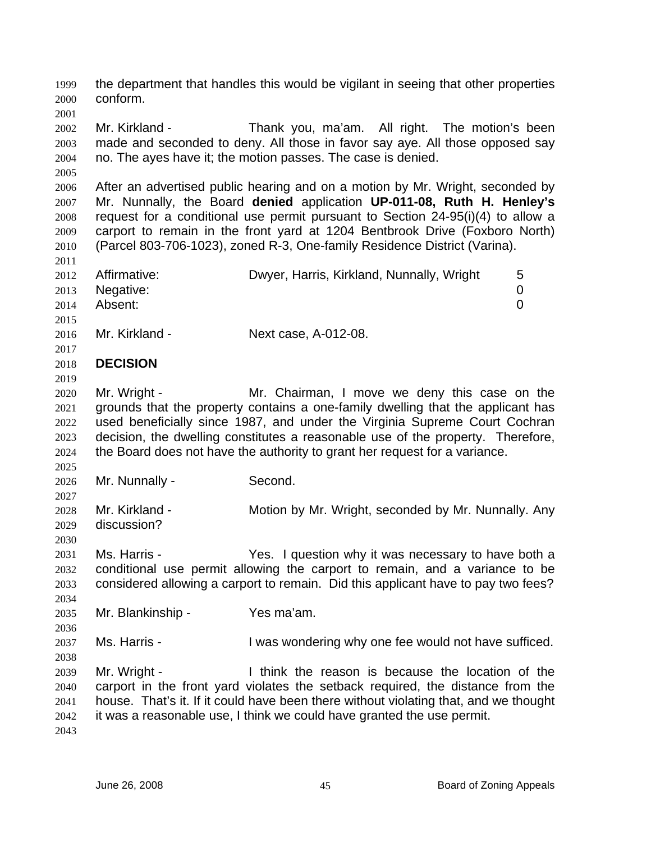the department that handles this would be vigilant in seeing that other properties conform. 1999 2000

2002 2003 2004 Mr. Kirkland - Thank you, ma'am. All right. The motion's been made and seconded to deny. All those in favor say aye. All those opposed say no. The ayes have it; the motion passes. The case is denied.

2006 2007 2008 2009 2010 After an advertised public hearing and on a motion by Mr. Wright, seconded by Mr. Nunnally, the Board **denied** application **UP-011-08, Ruth H. Henley's** request for a conditional use permit pursuant to Section 24-95(i)(4) to allow a carport to remain in the front yard at 1204 Bentbrook Drive (Foxboro North) (Parcel 803-706-1023), zoned R-3, One-family Residence District (Varina).

| 2012<br>2013 | Affirmative:<br>Negative: | Dwyer, Harris, Kirkland, Nunnally, Wright | $\mathbf b$ |
|--------------|---------------------------|-------------------------------------------|-------------|
| 2014         | Absent:                   |                                           |             |
| 2015         |                           |                                           |             |
| 2016         | Mr. Kirkland -            | Next case, A-012-08.                      |             |
| 2017         |                           |                                           |             |

## 2018 **DECISION**

2001

2005

2011

2019

2030

2034

2036

2038

2020 2021 2022 2023 2024 Mr. Wright - The Mr. Chairman, I move we deny this case on the grounds that the property contains a one-family dwelling that the applicant has used beneficially since 1987, and under the Virginia Supreme Court Cochran decision, the dwelling constitutes a reasonable use of the property. Therefore, the Board does not have the authority to grant her request for a variance.

- 2025 2026
	- Mr. Nunnally Second.

2027 2028 2029 Mr. Kirkland - **Motion by Mr. Wright, seconded by Mr. Nunnally. Any** discussion?

2031 2032 2033 Ms. Harris - Yes. I question why it was necessary to have both a conditional use permit allowing the carport to remain, and a variance to be considered allowing a carport to remain. Did this applicant have to pay two fees?

2035 Mr. Blankinship - Yes ma'am.

2037 Ms. Harris - The Mus wondering why one fee would not have sufficed.

2039 2040 2041 2042 2043 Mr. Wright - I think the reason is because the location of the carport in the front yard violates the setback required, the distance from the house. That's it. If it could have been there without violating that, and we thought it was a reasonable use, I think we could have granted the use permit.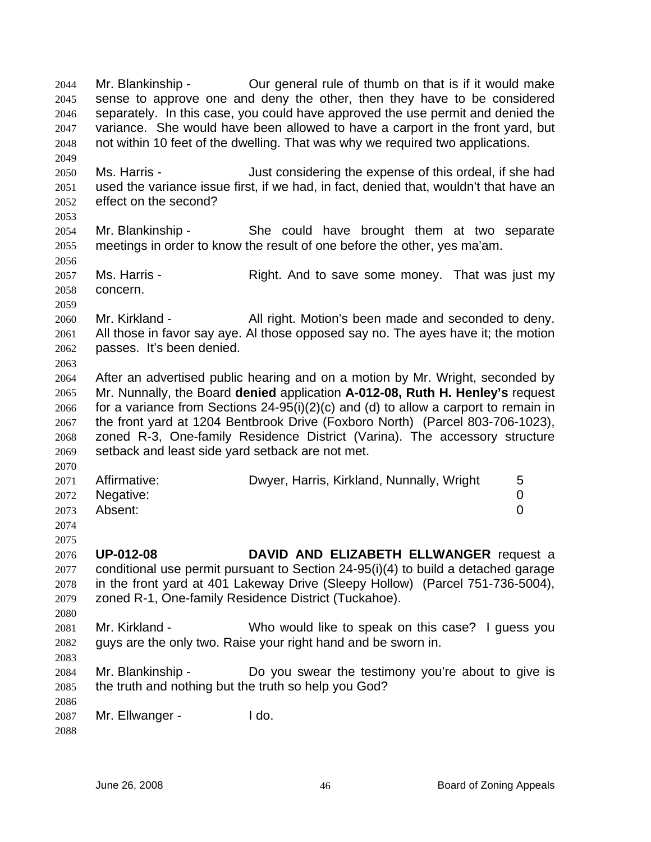Mr. Blankinship - Our general rule of thumb on that is if it would make sense to approve one and deny the other, then they have to be considered separately. In this case, you could have approved the use permit and denied the variance. She would have been allowed to have a carport in the front yard, but not within 10 feet of the dwelling. That was why we required two applications. 2044 2045 2046 2047 2048 2049 2050 2051 2052 2053 2054 2055 2056 2057 2058 2059 2060 2061 2062 2063 2064 2065 2066 2067 2068 2069 2070 2071 2072 2073 2074 2075 2076 2077 2078 2079 2080 2081 2082 2083 2084 2085 2086 2087 2088 Ms. Harris - Just considering the expense of this ordeal, if she had used the variance issue first, if we had, in fact, denied that, wouldn't that have an effect on the second? Mr. Blankinship - She could have brought them at two separate meetings in order to know the result of one before the other, yes ma'am. Ms. Harris - The Right. And to save some money. That was just my concern. Mr. Kirkland - **All right. Motion's been made and seconded to deny.** All those in favor say aye. Al those opposed say no. The ayes have it; the motion passes. It's been denied. After an advertised public hearing and on a motion by Mr. Wright, seconded by Mr. Nunnally, the Board **denied** application **A-012-08, Ruth H. Henley's** request for a variance from Sections 24-95(i)(2)(c) and (d) to allow a carport to remain in the front yard at 1204 Bentbrook Drive (Foxboro North) (Parcel 803-706-1023), zoned R-3, One-family Residence District (Varina). The accessory structure setback and least side yard setback are not met. Affirmative: **Dwyer, Harris, Kirkland, Nunnally, Wright** 5 Negative: 0 Absent: 0 **UP-012-08 DAVID AND ELIZABETH ELLWANGER** request a conditional use permit pursuant to Section 24-95(i)(4) to build a detached garage in the front yard at 401 Lakeway Drive (Sleepy Hollow) (Parcel 751-736-5004), zoned R-1, One-family Residence District (Tuckahoe). Mr. Kirkland - Who would like to speak on this case? I guess you guys are the only two. Raise your right hand and be sworn in. Mr. Blankinship - Do you swear the testimony you're about to give is the truth and nothing but the truth so help you God? Mr. Ellwanger - I do.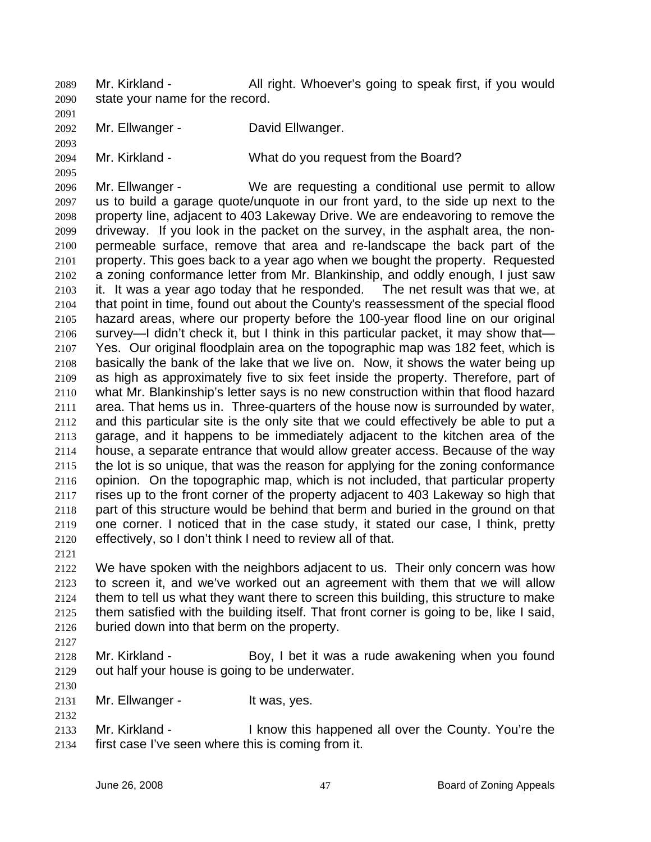Mr. Kirkland - All right. Whoever's going to speak first, if you would state your name for the record. 2089 2090

2091

2093

2095

2092 Mr. Ellwanger - **David Ellwanger.** 

2094 Mr. Kirkland - What do you request from the Board?

2096 2097 2098 2099 2100 2101 2102 2103 2104 2105 2106 2107 2108 2109 2110 2111 2112 2113 2114 2115 2116 2117 2118 2119 2120 Mr. Ellwanger - We are requesting a conditional use permit to allow us to build a garage quote/unquote in our front yard, to the side up next to the property line, adjacent to 403 Lakeway Drive. We are endeavoring to remove the driveway. If you look in the packet on the survey, in the asphalt area, the nonpermeable surface, remove that area and re-landscape the back part of the property. This goes back to a year ago when we bought the property. Requested a zoning conformance letter from Mr. Blankinship, and oddly enough, I just saw it. It was a year ago today that he responded. The net result was that we, at that point in time, found out about the County's reassessment of the special flood hazard areas, where our property before the 100-year flood line on our original survey—I didn't check it, but I think in this particular packet, it may show that— Yes. Our original floodplain area on the topographic map was 182 feet, which is basically the bank of the lake that we live on. Now, it shows the water being up as high as approximately five to six feet inside the property. Therefore, part of what Mr. Blankinship's letter says is no new construction within that flood hazard area. That hems us in. Three-quarters of the house now is surrounded by water, and this particular site is the only site that we could effectively be able to put a garage, and it happens to be immediately adjacent to the kitchen area of the house, a separate entrance that would allow greater access. Because of the way the lot is so unique, that was the reason for applying for the zoning conformance opinion. On the topographic map, which is not included, that particular property rises up to the front corner of the property adjacent to 403 Lakeway so high that part of this structure would be behind that berm and buried in the ground on that one corner. I noticed that in the case study, it stated our case, I think, pretty effectively, so I don't think I need to review all of that.

2121

2122 2123 2124 2125 2126 We have spoken with the neighbors adjacent to us. Their only concern was how to screen it, and we've worked out an agreement with them that we will allow them to tell us what they want there to screen this building, this structure to make them satisfied with the building itself. That front corner is going to be, like I said, buried down into that berm on the property.

2127

2130

2132

2128 2129 Mr. Kirkland - Boy, I bet it was a rude awakening when you found out half your house is going to be underwater.

2131 Mr. Ellwanger - It was, yes.

2133 2134 Mr. Kirkland - I know this happened all over the County. You're the first case I've seen where this is coming from it.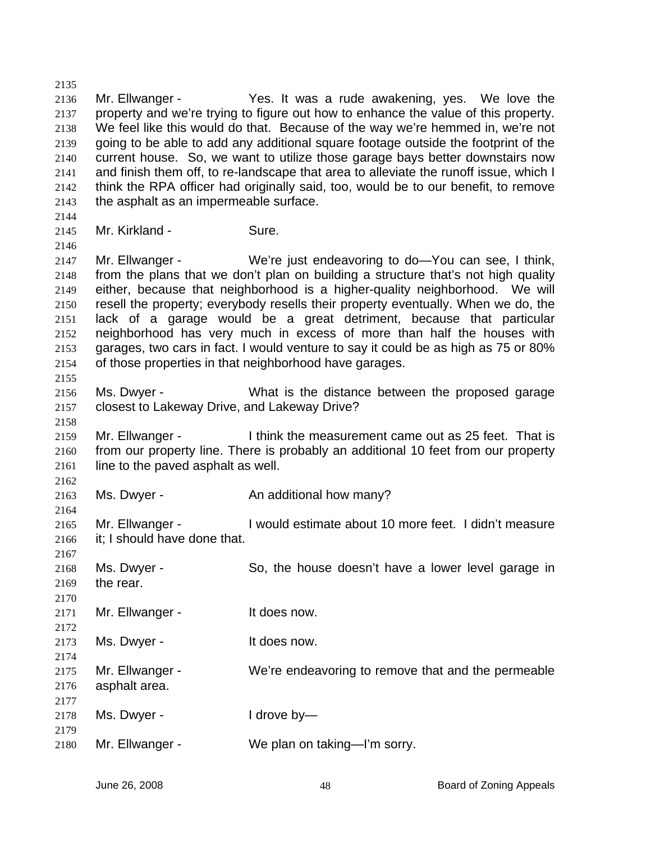2136 2137 2138 2139 2140 2141 2142 2143 2144 2145 2146 2147 2148 2149 2150 2151 2152 2153 2154 2155 2156 2157 2158 2159 2160 2161 2162 2163 2164 2165 2166 2167 2168 2169 2170 2171 2172 2173 2174 2175 2176 2177 2178 2179 2180 Mr. Ellwanger - The Yes. It was a rude awakening, yes. We love the property and we're trying to figure out how to enhance the value of this property. We feel like this would do that. Because of the way we're hemmed in, we're not going to be able to add any additional square footage outside the footprint of the current house. So, we want to utilize those garage bays better downstairs now and finish them off, to re-landscape that area to alleviate the runoff issue, which I think the RPA officer had originally said, too, would be to our benefit, to remove the asphalt as an impermeable surface. Mr. Kirkland - Sure. Mr. Ellwanger - We're just endeavoring to do—You can see, I think, from the plans that we don't plan on building a structure that's not high quality either, because that neighborhood is a higher-quality neighborhood. We will resell the property; everybody resells their property eventually. When we do, the lack of a garage would be a great detriment, because that particular neighborhood has very much in excess of more than half the houses with garages, two cars in fact. I would venture to say it could be as high as 75 or 80% of those properties in that neighborhood have garages. Ms. Dwyer - The What is the distance between the proposed garage closest to Lakeway Drive, and Lakeway Drive? Mr. Ellwanger - I think the measurement came out as 25 feet. That is from our property line. There is probably an additional 10 feet from our property line to the paved asphalt as well. Ms. Dwyer - **An additional how many?** Mr. Ellwanger - I would estimate about 10 more feet. I didn't measure it; I should have done that. Ms. Dwyer - So, the house doesn't have a lower level garage in the rear. Mr. Ellwanger - The Muslim of the does now. Ms. Dwyer - The Music of the does now. Mr. Ellwanger - We're endeavoring to remove that and the permeable asphalt area. Ms. Dwyer - I drove by— Mr. Ellwanger - We plan on taking—I'm sorry.

2135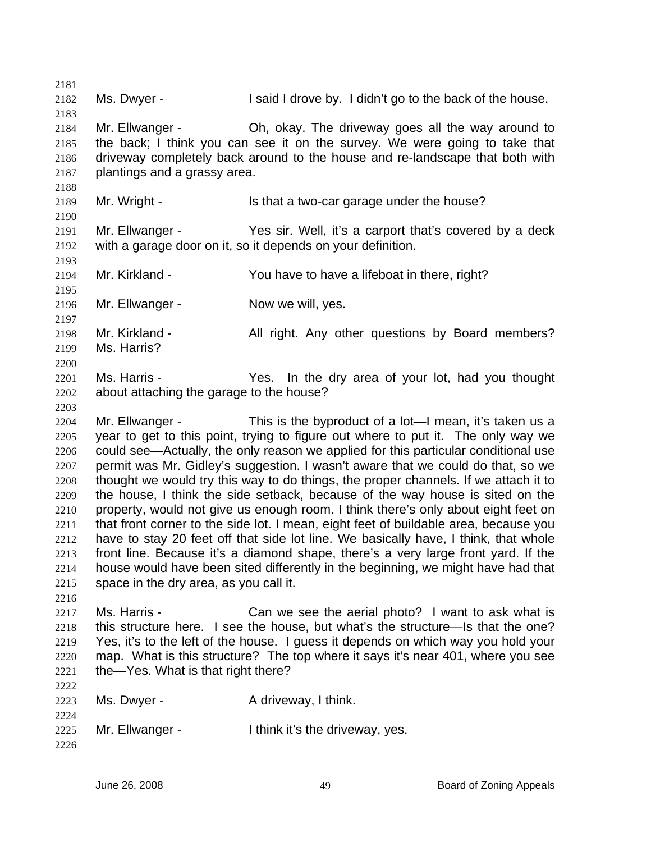2181 2182 2183 2184 2185 2186 2187 2188 2189 2190 2191 2192 2193 2194 2195 2196 2197 2198 2199 2200 2201 2202 2203 2204 2205 2206 2207 2208 2209 2210 2211 2212 2213 2214 2215 2216 2217 2218 2219 2220 2221 2222 2223 2224 2225 2226 Ms. Dwyer - I said I drove by. I didn't go to the back of the house. Mr. Ellwanger - Ch, okay. The driveway goes all the way around to the back; I think you can see it on the survey. We were going to take that driveway completely back around to the house and re-landscape that both with plantings and a grassy area. Mr. Wright - Is that a two-car garage under the house? Mr. Ellwanger - Yes sir. Well, it's a carport that's covered by a deck with a garage door on it, so it depends on your definition. Mr. Kirkland - You have to have a lifeboat in there, right? Mr. Ellwanger - Now we will, yes. Mr. Kirkland - All right. Any other questions by Board members? Ms. Harris? Ms. Harris - The Yes. In the dry area of your lot, had you thought about attaching the garage to the house? Mr. Ellwanger - This is the byproduct of a lot—I mean, it's taken us a year to get to this point, trying to figure out where to put it. The only way we could see—Actually, the only reason we applied for this particular conditional use permit was Mr. Gidley's suggestion. I wasn't aware that we could do that, so we thought we would try this way to do things, the proper channels. If we attach it to the house, I think the side setback, because of the way house is sited on the property, would not give us enough room. I think there's only about eight feet on that front corner to the side lot. I mean, eight feet of buildable area, because you have to stay 20 feet off that side lot line. We basically have, I think, that whole front line. Because it's a diamond shape, there's a very large front yard. If the house would have been sited differently in the beginning, we might have had that space in the dry area, as you call it. Ms. Harris - Can we see the aerial photo? I want to ask what is this structure here. I see the house, but what's the structure—Is that the one? Yes, it's to the left of the house. I guess it depends on which way you hold your map. What is this structure? The top where it says it's near 401, where you see the—Yes. What is that right there? Ms. Dwyer - A driveway, I think. Mr. Ellwanger - Think it's the driveway, yes.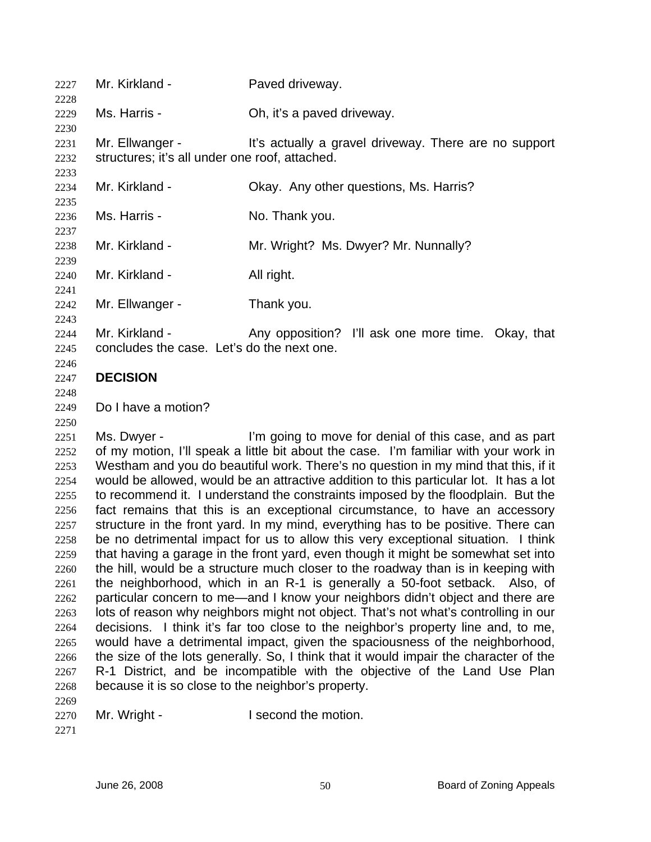| 2227                 | Mr. Kirkland -                                                    | Paved driveway.                                                                                                                                                                                                                                                      |
|----------------------|-------------------------------------------------------------------|----------------------------------------------------------------------------------------------------------------------------------------------------------------------------------------------------------------------------------------------------------------------|
| 2228<br>2229<br>2230 | Ms. Harris -                                                      | Oh, it's a paved driveway.                                                                                                                                                                                                                                           |
| 2231<br>2232         | Mr. Ellwanger -<br>structures; it's all under one roof, attached. | It's actually a gravel driveway. There are no support                                                                                                                                                                                                                |
| 2233<br>2234<br>2235 | Mr. Kirkland -                                                    | Okay. Any other questions, Ms. Harris?                                                                                                                                                                                                                               |
| 2236<br>2237         | Ms. Harris -                                                      | No. Thank you.                                                                                                                                                                                                                                                       |
| 2238<br>2239         | Mr. Kirkland -                                                    | Mr. Wright? Ms. Dwyer? Mr. Nunnally?                                                                                                                                                                                                                                 |
| 2240<br>2241         | Mr. Kirkland -                                                    | All right.                                                                                                                                                                                                                                                           |
| 2242<br>2243         | Mr. Ellwanger -                                                   | Thank you.                                                                                                                                                                                                                                                           |
| 2244<br>2245<br>2246 | Mr. Kirkland -<br>concludes the case. Let's do the next one.      | Any opposition? I'll ask one more time. Okay, that                                                                                                                                                                                                                   |
| 2247<br>2248         | <b>DECISION</b>                                                   |                                                                                                                                                                                                                                                                      |
| 2249<br>2250         | Do I have a motion?                                               |                                                                                                                                                                                                                                                                      |
| 2251                 | Ms. Dwyer -                                                       | I'm going to move for denial of this case, and as part                                                                                                                                                                                                               |
| 2252<br>2253<br>2254 |                                                                   | of my motion, I'll speak a little bit about the case. I'm familiar with your work in<br>Westham and you do beautiful work. There's no question in my mind that this, if it<br>would be allowed, would be an attractive addition to this particular lot. It has a lot |
| 2255                 |                                                                   | to recommend it. I understand the constraints imposed by the floodplain. But the                                                                                                                                                                                     |
| 2256                 |                                                                   | fact remains that this is an exceptional circumstance, to have an accessory                                                                                                                                                                                          |
| 2257                 |                                                                   | structure in the front yard. In my mind, everything has to be positive. There can                                                                                                                                                                                    |
| 2258                 |                                                                   | be no detrimental impact for us to allow this very exceptional situation. I think                                                                                                                                                                                    |
| 2259                 |                                                                   | that having a garage in the front yard, even though it might be somewhat set into<br>the hill, would be a structure much closer to the roadway than is in keeping with                                                                                               |
| 2260<br>2261         |                                                                   | the neighborhood, which in an R-1 is generally a 50-foot setback. Also, of                                                                                                                                                                                           |
| 2262                 |                                                                   | particular concern to me—and I know your neighbors didn't object and there are                                                                                                                                                                                       |
| 2263                 |                                                                   | lots of reason why neighbors might not object. That's not what's controlling in our                                                                                                                                                                                  |

2264 2265 2266 2267 2268 decisions. I think it's far too close to the neighbor's property line and, to me, would have a detrimental impact, given the spaciousness of the neighborhood, the size of the lots generally. So, I think that it would impair the character of the R-1 District, and be incompatible with the objective of the Land Use Plan because it is so close to the neighbor's property.

2270 Mr. Wright - I second the motion.

2271

2269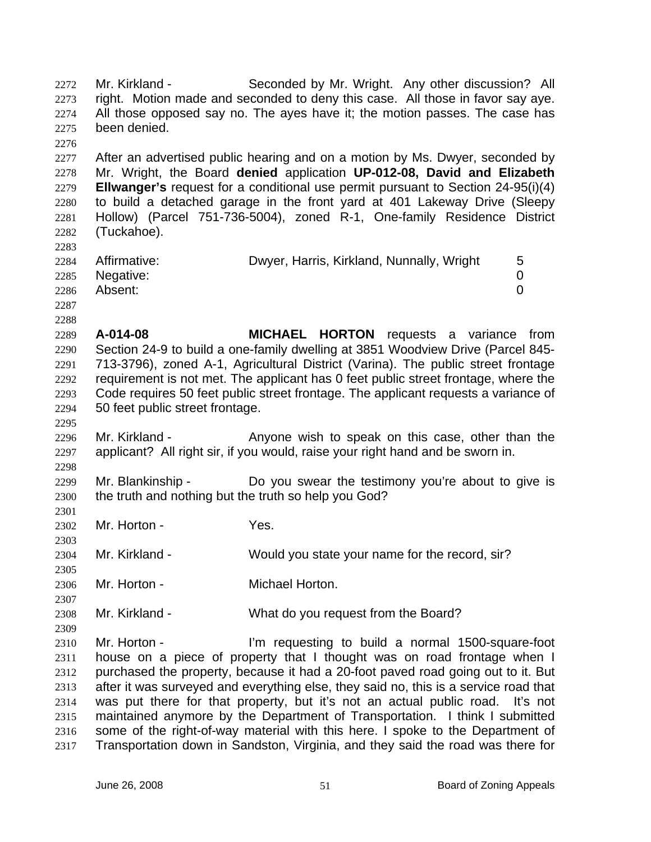Mr. Kirkland - Seconded by Mr. Wright. Any other discussion? All right. Motion made and seconded to deny this case. All those in favor say aye. All those opposed say no. The ayes have it; the motion passes. The case has been denied. 2272 2273 2274 2275 2276 2277 2278 2279 2280 2281 2282 2283 2284 2285 2286 2287 2288 2289 2290 2291 2292 2293 2294 2295 2296 2297 2298 2299 2300 2301 2302 2303 2304 2305 2306 2307 2308 2309 2310 2311 2312 2313 2314 2315 2316 2317 After an advertised public hearing and on a motion by Ms. Dwyer, seconded by Mr. Wright, the Board **denied** application **UP-012-08, David and Elizabeth Ellwanger's** request for a conditional use permit pursuant to Section 24-95(i)(4) to build a detached garage in the front yard at 401 Lakeway Drive (Sleepy Hollow) (Parcel 751-736-5004), zoned R-1, One-family Residence District (Tuckahoe). Affirmative: **Dwyer, Harris, Kirkland, Nunnally, Wright** 5 Negative: 0 Absent: 0 **A-014-08 MICHAEL HORTON** requests a variance from Section 24-9 to build a one-family dwelling at 3851 Woodview Drive (Parcel 845- 713-3796), zoned A-1, Agricultural District (Varina). The public street frontage requirement is not met. The applicant has 0 feet public street frontage, where the Code requires 50 feet public street frontage. The applicant requests a variance of 50 feet public street frontage. Mr. Kirkland - The Anyone wish to speak on this case, other than the applicant? All right sir, if you would, raise your right hand and be sworn in. Mr. Blankinship - Do you swear the testimony you're about to give is the truth and nothing but the truth so help you God? Mr. Horton - Yes. Mr. Kirkland - Would you state your name for the record, sir? Mr. Horton - **Michael Horton.** Mr. Kirkland - What do you request from the Board? Mr. Horton - I'm requesting to build a normal 1500-square-foot house on a piece of property that I thought was on road frontage when I purchased the property, because it had a 20-foot paved road going out to it. But after it was surveyed and everything else, they said no, this is a service road that was put there for that property, but it's not an actual public road. It's not maintained anymore by the Department of Transportation. I think I submitted some of the right-of-way material with this here. I spoke to the Department of Transportation down in Sandston, Virginia, and they said the road was there for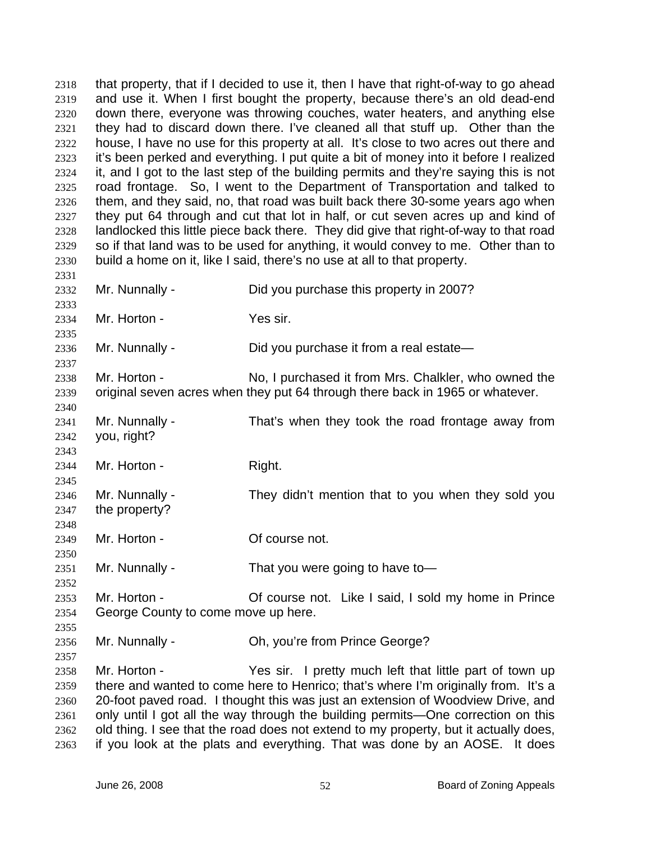that property, that if I decided to use it, then I have that right-of-way to go ahead and use it. When I first bought the property, because there's an old dead-end down there, everyone was throwing couches, water heaters, and anything else they had to discard down there. I've cleaned all that stuff up. Other than the house, I have no use for this property at all. It's close to two acres out there and it's been perked and everything. I put quite a bit of money into it before I realized it, and I got to the last step of the building permits and they're saying this is not road frontage. So, I went to the Department of Transportation and talked to them, and they said, no, that road was built back there 30-some years ago when they put 64 through and cut that lot in half, or cut seven acres up and kind of landlocked this little piece back there. They did give that right-of-way to that road so if that land was to be used for anything, it would convey to me. Other than to build a home on it, like I said, there's no use at all to that property. 2318 2319 2320 2321 2322 2323 2324 2325 2326 2327 2328 2329 2330 2331 2332 2333 2334 2335 2336 2337 2338 2339 2340 2341 2342 2343 2344 2345 2346 2347 2348 2349 2350 2351 2352 2353 2354 2355 2356 2357 2358 2359 2360 2361 2362 Mr. Nunnally - Did you purchase this property in 2007? Mr. Horton - Yes sir. Mr. Nunnally - Did you purchase it from a real estate— Mr. Horton - No, I purchased it from Mrs. Chalkler, who owned the original seven acres when they put 64 through there back in 1965 or whatever. Mr. Nunnally - That's when they took the road frontage away from you, right? Mr. Horton - Right. Mr. Nunnally - They didn't mention that to you when they sold you the property? Mr. Horton - **Of course not.** Mr. Nunnally - That you were going to have to-Mr. Horton - **Of course not.** Like I said, I sold my home in Prince George County to come move up here. Mr. Nunnally - Ch, you're from Prince George? Mr. Horton - Yes sir. I pretty much left that little part of town up there and wanted to come here to Henrico; that's where I'm originally from. It's a 20-foot paved road. I thought this was just an extension of Woodview Drive, and only until I got all the way through the building permits—One correction on this old thing. I see that the road does not extend to my property, but it actually does,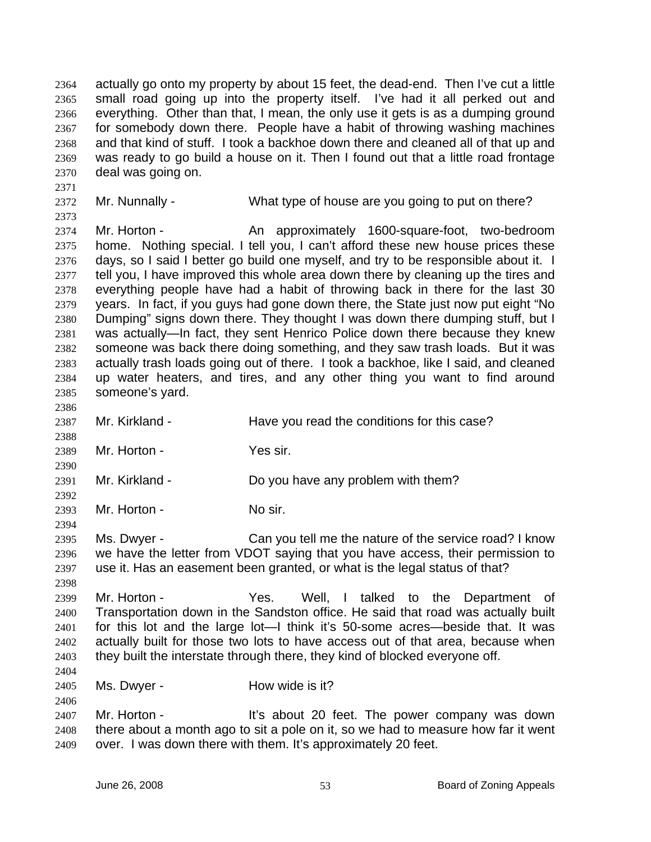actually go onto my property by about 15 feet, the dead-end. Then I've cut a little small road going up into the property itself. I've had it all perked out and everything. Other than that, I mean, the only use it gets is as a dumping ground for somebody down there. People have a habit of throwing washing machines and that kind of stuff. I took a backhoe down there and cleaned all of that up and was ready to go build a house on it. Then I found out that a little road frontage deal was going on. 2364 2365 2366 2367 2368 2369 2370

2372 Mr. Nunnally - What type of house are you going to put on there?

2374 2375 2376 2377 2378 2379 2380 2381 2382 2383 2384 2385 Mr. Horton - An approximately 1600-square-foot, two-bedroom home. Nothing special. I tell you, I can't afford these new house prices these days, so I said I better go build one myself, and try to be responsible about it. I tell you, I have improved this whole area down there by cleaning up the tires and everything people have had a habit of throwing back in there for the last 30 years. In fact, if you guys had gone down there, the State just now put eight "No Dumping" signs down there. They thought I was down there dumping stuff, but I was actually—In fact, they sent Henrico Police down there because they knew someone was back there doing something, and they saw trash loads. But it was actually trash loads going out of there. I took a backhoe, like I said, and cleaned up water heaters, and tires, and any other thing you want to find around someone's yard.

2386

2390

2392

2394

2404

2406

2371

2373

2387 2388 Mr. Kirkland - Have you read the conditions for this case?

2389 Mr. Horton - Yes sir.

2391 Mr. Kirkland - Do you have any problem with them?

2393 Mr. Horton - No sir.

2395 2396 2397 Ms. Dwyer - Can you tell me the nature of the service road? I know we have the letter from VDOT saying that you have access, their permission to use it. Has an easement been granted, or what is the legal status of that?

2398 2399 2400 2401 2402 2403 Mr. Horton - Yes. Well, I talked to the Department of Transportation down in the Sandston office. He said that road was actually built for this lot and the large lot—I think it's 50-some acres—beside that. It was actually built for those two lots to have access out of that area, because when they built the interstate through there, they kind of blocked everyone off.

2405 Ms. Dwyer - How wide is it?

2407 2408 2409 Mr. Horton - It's about 20 feet. The power company was down there about a month ago to sit a pole on it, so we had to measure how far it went over. I was down there with them. It's approximately 20 feet.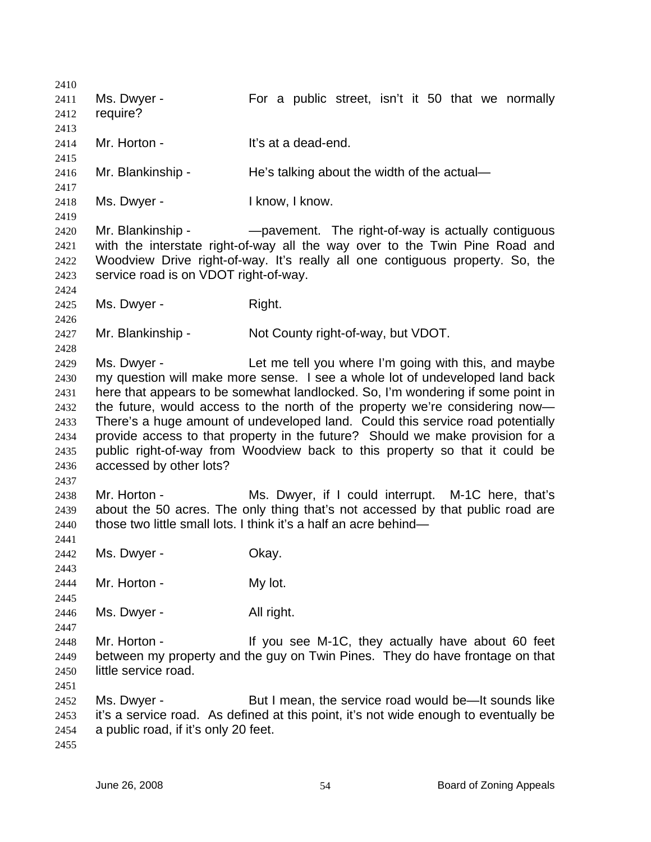2410 2411 2412 2413 2414 2415 2416 2417 2418 2419 2420 2421 2422 2423 2424 2425 2426 2427 2428 2429 2430 2431 2432 2433 2434 2435 2436 2437 2438 2439 2440 2441 2442 2443 2444 2445 2446 2447 2448 2449 2450 2451 2452 2453 2454 2455 Ms. Dwyer - For a public street, isn't it 50 that we normally require? Mr. Horton - It's at a dead-end. Mr. Blankinship - He's talking about the width of the actual— Ms. Dwyer - I know, I know. Mr. Blankinship - — — — — pavement. The right-of-way is actually contiguous with the interstate right-of-way all the way over to the Twin Pine Road and Woodview Drive right-of-way. It's really all one contiguous property. So, the service road is on VDOT right-of-way. Ms. Dwyer - Right. Mr. Blankinship - Not County right-of-way, but VDOT. Ms. Dwyer - The Let me tell you where I'm going with this, and maybe my question will make more sense. I see a whole lot of undeveloped land back here that appears to be somewhat landlocked. So, I'm wondering if some point in the future, would access to the north of the property we're considering now— There's a huge amount of undeveloped land. Could this service road potentially provide access to that property in the future? Should we make provision for a public right-of-way from Woodview back to this property so that it could be accessed by other lots? Mr. Horton - Ms. Dwyer, if I could interrupt. M-1C here, that's about the 50 acres. The only thing that's not accessed by that public road are those two little small lots. I think it's a half an acre behind— Ms. Dwyer - Chay. Mr. Horton - My lot. Ms. Dwyer - All right. Mr. Horton - The M-1C, they actually have about 60 feet between my property and the guy on Twin Pines. They do have frontage on that little service road. Ms. Dwyer - But I mean, the service road would be—It sounds like it's a service road. As defined at this point, it's not wide enough to eventually be a public road, if it's only 20 feet.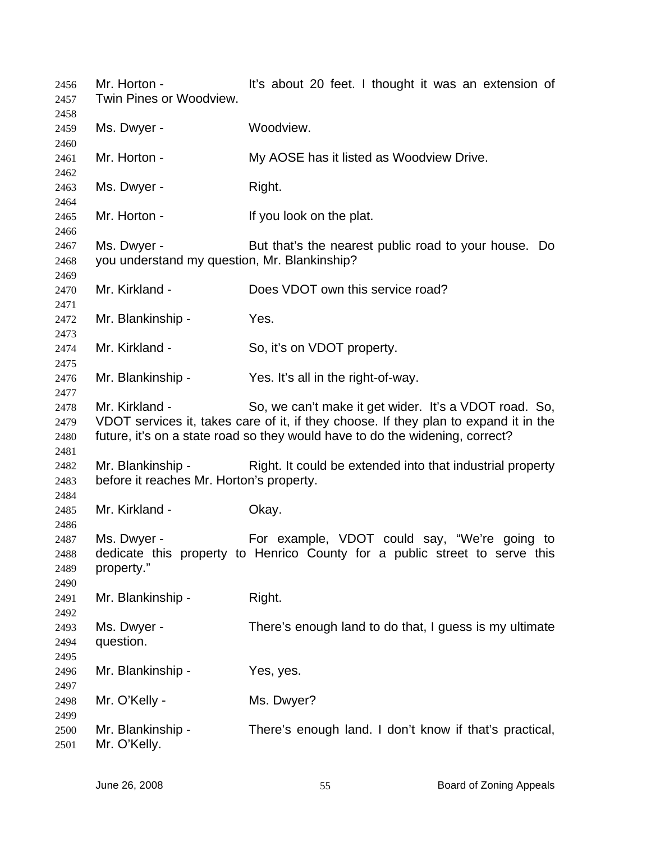Mr. Horton - It's about 20 feet. I thought it was an extension of Twin Pines or Woodview. Ms. Dwyer - Woodview. Mr. Horton - **My AOSE has it listed as Woodview Drive.** Ms. Dwyer - Right. Mr. Horton - The Music Herbert Herbert Herbert Herbert Herbert Herbert Herbert Herbert Herbert Herbert Herbert Ms. Dwyer - But that's the nearest public road to your house. Do you understand my question, Mr. Blankinship? Mr. Kirkland - **Does VDOT** own this service road? Mr. Blankinship - Yes. Mr. Kirkland - So, it's on VDOT property. Mr. Blankinship - Yes. It's all in the right-of-way. Mr. Kirkland - So, we can't make it get wider. It's a VDOT road. So, VDOT services it, takes care of it, if they choose. If they plan to expand it in the future, it's on a state road so they would have to do the widening, correct? Mr. Blankinship - Right. It could be extended into that industrial property before it reaches Mr. Horton's property. Mr. Kirkland - **Okay.** Ms. Dwyer - For example, VDOT could say, "We're going to dedicate this property to Henrico County for a public street to serve this property." Mr. Blankinship - Right. Ms. Dwyer - There's enough land to do that, I guess is my ultimate question. Mr. Blankinship - Yes, yes. Mr. O'Kelly - Ms. Dwyer? Mr. Blankinship - There's enough land. I don't know if that's practical, Mr. O'Kelly.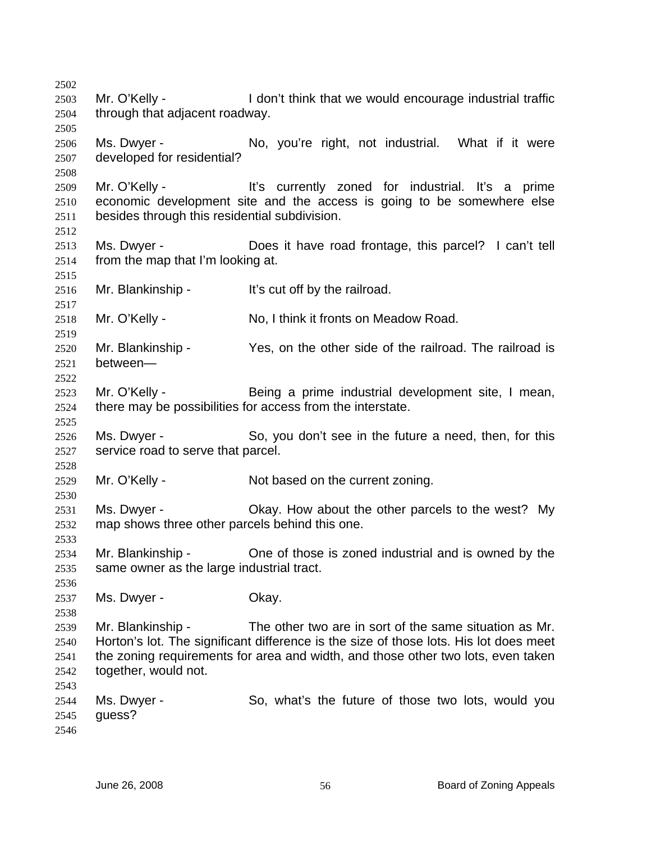2502 2503 2504 2505 2506 2507 2508 2509 2510 2511 2512 2513 2514 2515 2516 2517 2518 2519 2520 2521 2522 2523 2524 2525 2526 2527 2528 2529 2530 2531 2532 2533 2534 2535 2536 2537 2538 2539 2540 2541 2542 2543 2544 2545 2546 Mr. O'Kelly - I don't think that we would encourage industrial traffic through that adjacent roadway. Ms. Dwyer - No, you're right, not industrial. What if it were developed for residential? Mr. O'Kelly - The It's currently zoned for industrial. It's a prime economic development site and the access is going to be somewhere else besides through this residential subdivision. Ms. Dwyer - Does it have road frontage, this parcel? I can't tell from the map that I'm looking at. Mr. Blankinship - It's cut off by the railroad. Mr. O'Kelly - No, I think it fronts on Meadow Road. Mr. Blankinship - Yes, on the other side of the railroad. The railroad is between— Mr. O'Kelly - Being a prime industrial development site, I mean, there may be possibilities for access from the interstate. Ms. Dwyer - So, you don't see in the future a need, then, for this service road to serve that parcel. Mr. O'Kelly - Not based on the current zoning. Ms. Dwyer - Okay. How about the other parcels to the west? My map shows three other parcels behind this one. Mr. Blankinship - Che of those is zoned industrial and is owned by the same owner as the large industrial tract. Ms. Dwyer - Chay. Mr. Blankinship - The other two are in sort of the same situation as Mr. Horton's lot. The significant difference is the size of those lots. His lot does meet the zoning requirements for area and width, and those other two lots, even taken together, would not. Ms. Dwyer - So, what's the future of those two lots, would you guess?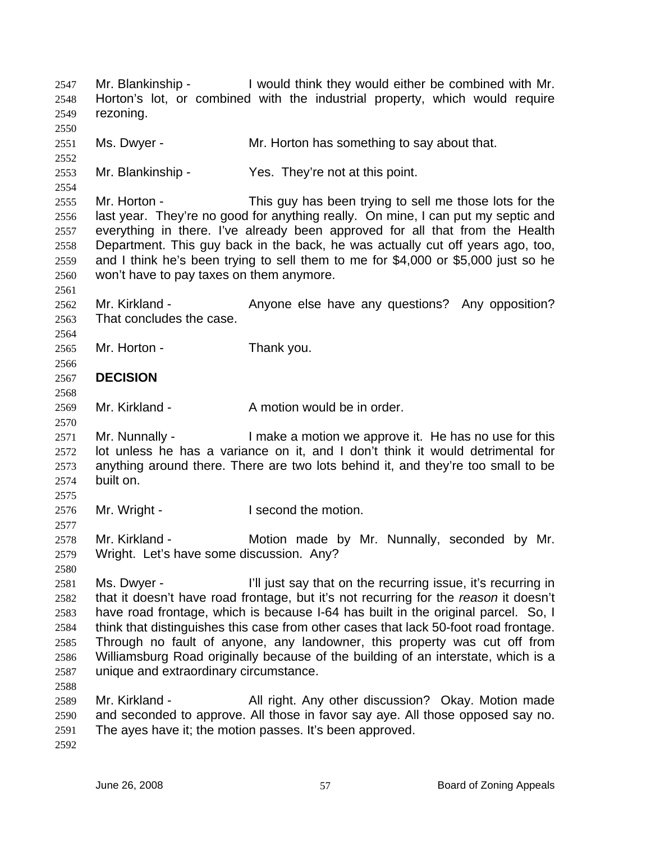Mr. Blankinship - I would think they would either be combined with Mr. Horton's lot, or combined with the industrial property, which would require rezoning. 2547 2548 2549 2550 2551 2552 2553 2554 2555 2556 2557 2558 2559 2560 2561 2562 2563 2564 2565 2566 2567 2568 2569 2570 2571 2572 2573 2574 2575 2576 2577 2578 2579 2580 2581 2582 2583 2584 2585 2586 2587 2588 2589 2590 2591 2592 Ms. Dwyer - Mr. Horton has something to say about that. Mr. Blankinship - Yes. They're not at this point. Mr. Horton - This guy has been trying to sell me those lots for the last year. They're no good for anything really. On mine, I can put my septic and everything in there. I've already been approved for all that from the Health Department. This guy back in the back, he was actually cut off years ago, too, and I think he's been trying to sell them to me for \$4,000 or \$5,000 just so he won't have to pay taxes on them anymore. Mr. Kirkland - Anyone else have any questions? Any opposition? That concludes the case. Mr. Horton - Thank you. **DECISION**  Mr. Kirkland - A motion would be in order. Mr. Nunnally - The Music a motion we approve it. He has no use for this lot unless he has a variance on it, and I don't think it would detrimental for anything around there. There are two lots behind it, and they're too small to be built on. Mr. Wright - I second the motion. Mr. Kirkland - The Motion made by Mr. Nunnally, seconded by Mr. Wright. Let's have some discussion. Any? Ms. Dwyer - The I'll just say that on the recurring issue, it's recurring in that it doesn't have road frontage, but it's not recurring for the *reason* it doesn't have road frontage, which is because I-64 has built in the original parcel. So, I think that distinguishes this case from other cases that lack 50-foot road frontage. Through no fault of anyone, any landowner, this property was cut off from Williamsburg Road originally because of the building of an interstate, which is a unique and extraordinary circumstance. Mr. Kirkland - All right. Any other discussion? Okay. Motion made and seconded to approve. All those in favor say aye. All those opposed say no. The ayes have it; the motion passes. It's been approved.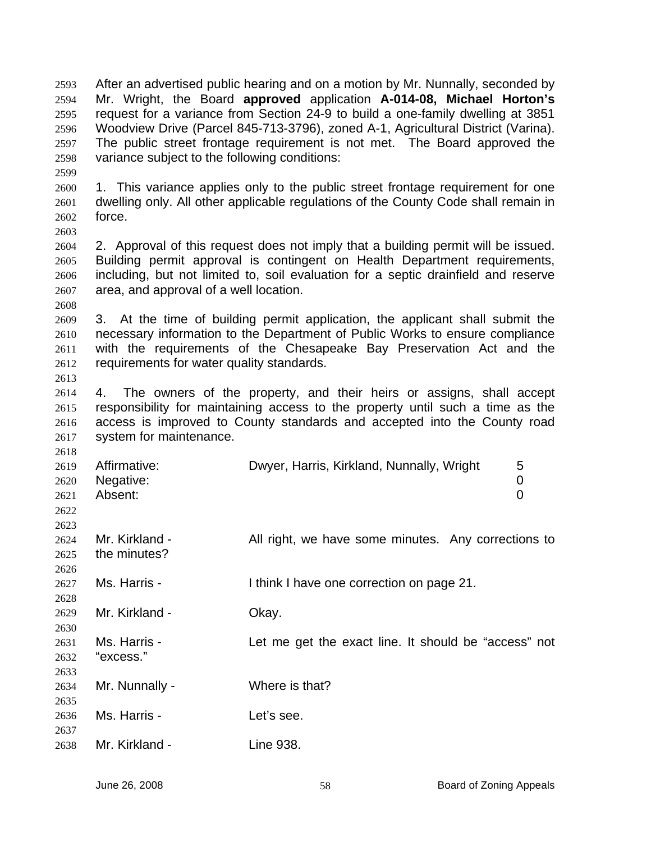After an advertised public hearing and on a motion by Mr. Nunnally, seconded by Mr. Wright, the Board **approved** application **A-014-08, Michael Horton's**  request for a variance from Section 24-9 to build a one-family dwelling at 3851 Woodview Drive (Parcel 845-713-3796), zoned A-1, Agricultural District (Varina). The public street frontage requirement is not met. The Board approved the variance subject to the following conditions: 2593 2594 2595 2596 2597 2598

2600 2601 2602 2603 1. This variance applies only to the public street frontage requirement for one dwelling only. All other applicable regulations of the County Code shall remain in force.

2604 2605 2606 2607 2. Approval of this request does not imply that a building permit will be issued. Building permit approval is contingent on Health Department requirements, including, but not limited to, soil evaluation for a septic drainfield and reserve area, and approval of a well location.

2609 2610 2611 2612 3. At the time of building permit application, the applicant shall submit the necessary information to the Department of Public Works to ensure compliance with the requirements of the Chesapeake Bay Preservation Act and the requirements for water quality standards.

2614 2615 2616 2617 4. The owners of the property, and their heirs or assigns, shall accept responsibility for maintaining access to the property until such a time as the access is improved to County standards and accepted into the County road system for maintenance.

| 2618 |                |                                                      |
|------|----------------|------------------------------------------------------|
| 2619 | Affirmative:   | Dwyer, Harris, Kirkland, Nunnally, Wright<br>5       |
| 2620 | Negative:      | 0                                                    |
| 2621 | Absent:        | 0                                                    |
| 2622 |                |                                                      |
| 2623 |                |                                                      |
| 2624 | Mr. Kirkland - | All right, we have some minutes. Any corrections to  |
| 2625 | the minutes?   |                                                      |
| 2626 |                |                                                      |
| 2627 | Ms. Harris -   | I think I have one correction on page 21.            |
| 2628 |                |                                                      |
| 2629 | Mr. Kirkland - | Okay.                                                |
| 2630 |                |                                                      |
| 2631 | Ms. Harris -   | Let me get the exact line. It should be "access" not |
| 2632 | "excess."      |                                                      |
| 2633 |                |                                                      |
| 2634 | Mr. Nunnally - | Where is that?                                       |
| 2635 |                |                                                      |
| 2636 | Ms. Harris -   | Let's see.                                           |
| 2637 |                |                                                      |
| 2638 | Mr. Kirkland - | Line 938.                                            |

2599

2608

2613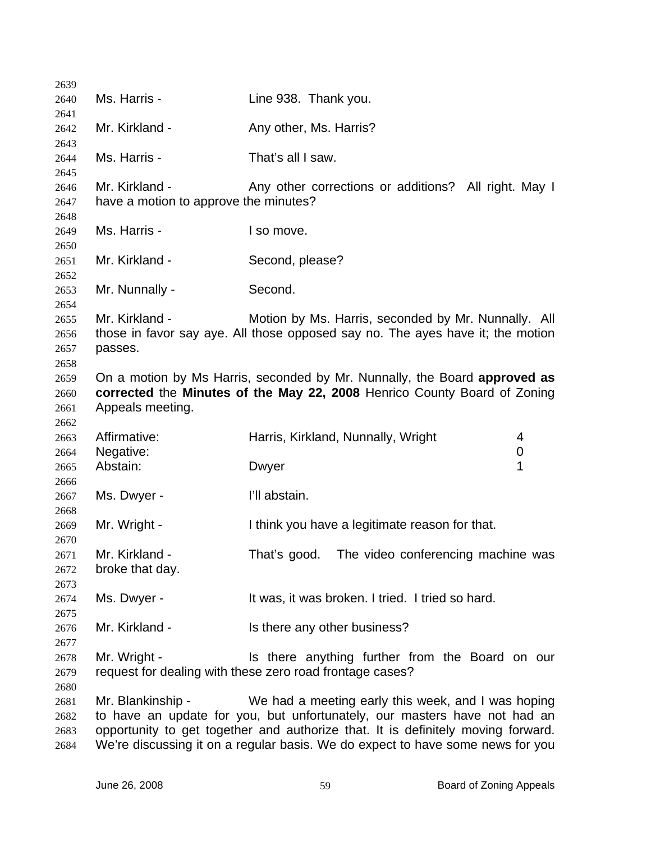| 2639         |                                       |                                                                                                                                       |  |
|--------------|---------------------------------------|---------------------------------------------------------------------------------------------------------------------------------------|--|
| 2640         | Ms. Harris -                          | Line 938. Thank you.                                                                                                                  |  |
| 2641<br>2642 | Mr. Kirkland -                        | Any other, Ms. Harris?                                                                                                                |  |
| 2643         |                                       |                                                                                                                                       |  |
| 2644<br>2645 | Ms. Harris -                          | That's all I saw.                                                                                                                     |  |
| 2646         | Mr. Kirkland -                        | Any other corrections or additions? All right. May I                                                                                  |  |
| 2647         | have a motion to approve the minutes? |                                                                                                                                       |  |
| 2648         |                                       |                                                                                                                                       |  |
| 2649<br>2650 | Ms. Harris -                          | I so move.                                                                                                                            |  |
| 2651         | Mr. Kirkland -                        | Second, please?                                                                                                                       |  |
| 2652<br>2653 | Mr. Nunnally -                        | Second.                                                                                                                               |  |
| 2654         |                                       |                                                                                                                                       |  |
| 2655<br>2656 | Mr. Kirkland -                        | Motion by Ms. Harris, seconded by Mr. Nunnally. All<br>those in favor say aye. All those opposed say no. The ayes have it; the motion |  |
| 2657         | passes.                               |                                                                                                                                       |  |
| 2658         |                                       |                                                                                                                                       |  |
| 2659         |                                       | On a motion by Ms Harris, seconded by Mr. Nunnally, the Board approved as                                                             |  |
| 2660         |                                       | corrected the Minutes of the May 22, 2008 Henrico County Board of Zoning                                                              |  |
| 2661         | Appeals meeting.                      |                                                                                                                                       |  |
| 2662         |                                       |                                                                                                                                       |  |
| 2663         | Affirmative:                          | Harris, Kirkland, Nunnally, Wright<br>4                                                                                               |  |
| 2664         | Negative:                             | 0                                                                                                                                     |  |
| 2665         | Abstain:                              | 1<br>Dwyer                                                                                                                            |  |
| 2666         |                                       |                                                                                                                                       |  |
| 2667         | Ms. Dwyer -                           | I'll abstain.                                                                                                                         |  |
| 2668<br>2669 | Mr. Wright -                          | I think you have a legitimate reason for that.                                                                                        |  |
| 2670         |                                       |                                                                                                                                       |  |
| 2671         | Mr. Kirkland -                        | The video conferencing machine was<br>That's good.                                                                                    |  |
| 2672         | broke that day.                       |                                                                                                                                       |  |
| 2673         |                                       |                                                                                                                                       |  |
| 2674         | Ms. Dwyer -                           | It was, it was broken. I tried. I tried so hard.                                                                                      |  |
| 2675         |                                       |                                                                                                                                       |  |
| 2676         | Mr. Kirkland -                        | Is there any other business?                                                                                                          |  |
| 2677         |                                       |                                                                                                                                       |  |
| 2678         | Mr. Wright -                          | Is there anything further from the Board on our                                                                                       |  |
| 2679         |                                       | request for dealing with these zero road frontage cases?                                                                              |  |
| 2680         |                                       |                                                                                                                                       |  |
| 2681         | Mr. Blankinship -                     | We had a meeting early this week, and I was hoping                                                                                    |  |
| 2682         |                                       | to have an update for you, but unfortunately, our masters have not had an                                                             |  |
| 2683         |                                       | opportunity to get together and authorize that. It is definitely moving forward.                                                      |  |
| 2684         |                                       | We're discussing it on a regular basis. We do expect to have some news for you                                                        |  |
|              |                                       |                                                                                                                                       |  |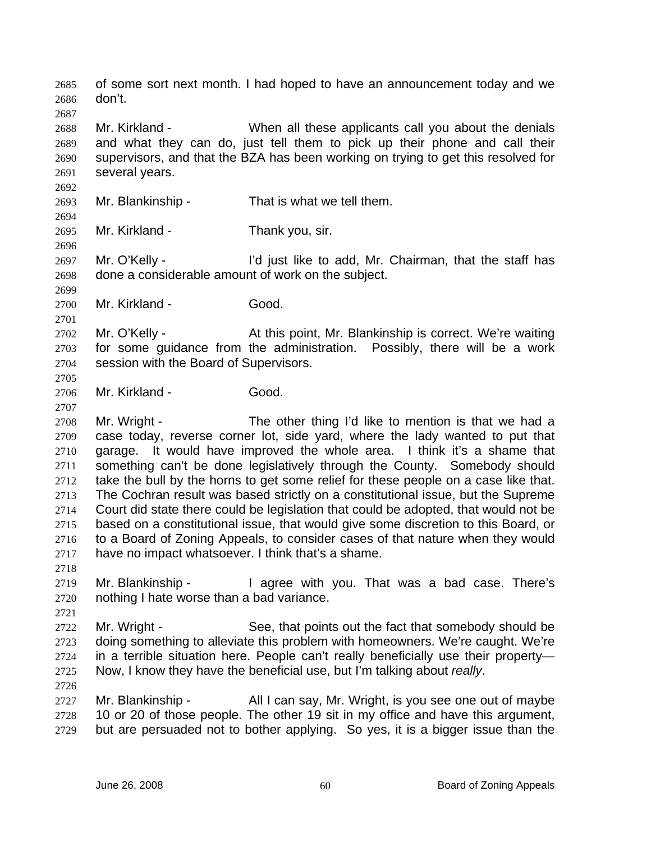of some sort next month. I had hoped to have an announcement today and we don't. 2685 2686 2687 2688 2689 2690 2691 2692 2693 2694 2695 2696 2697 2698 2699 2700 2701 2702 2703 2704 2705 2706 2707 2708 2709 2710 2711 2712 2713 2714 2715 2716 2717 2718 2719 2720 2721 2722 2723 2724 2725 2726 2727 2728 2729 Mr. Kirkland - When all these applicants call you about the denials and what they can do, just tell them to pick up their phone and call their supervisors, and that the BZA has been working on trying to get this resolved for several years. Mr. Blankinship - That is what we tell them. Mr. Kirkland - Thank you, sir. Mr. O'Kelly - The light like to add, Mr. Chairman, that the staff has done a considerable amount of work on the subject. Mr. Kirkland - Good. Mr. O'Kelly - At this point, Mr. Blankinship is correct. We're waiting for some guidance from the administration. Possibly, there will be a work session with the Board of Supervisors. Mr. Kirkland - Good. Mr. Wright - The other thing I'd like to mention is that we had a case today, reverse corner lot, side yard, where the lady wanted to put that garage. It would have improved the whole area. I think it's a shame that something can't be done legislatively through the County. Somebody should take the bull by the horns to get some relief for these people on a case like that. The Cochran result was based strictly on a constitutional issue, but the Supreme Court did state there could be legislation that could be adopted, that would not be based on a constitutional issue, that would give some discretion to this Board, or to a Board of Zoning Appeals, to consider cases of that nature when they would have no impact whatsoever. I think that's a shame. Mr. Blankinship - I agree with you. That was a bad case. There's nothing I hate worse than a bad variance. Mr. Wright - See, that points out the fact that somebody should be doing something to alleviate this problem with homeowners. We're caught. We're in a terrible situation here. People can't really beneficially use their property— Now, I know they have the beneficial use, but I'm talking about *really*. Mr. Blankinship - All I can say, Mr. Wright, is you see one out of maybe 10 or 20 of those people. The other 19 sit in my office and have this argument, but are persuaded not to bother applying. So yes, it is a bigger issue than the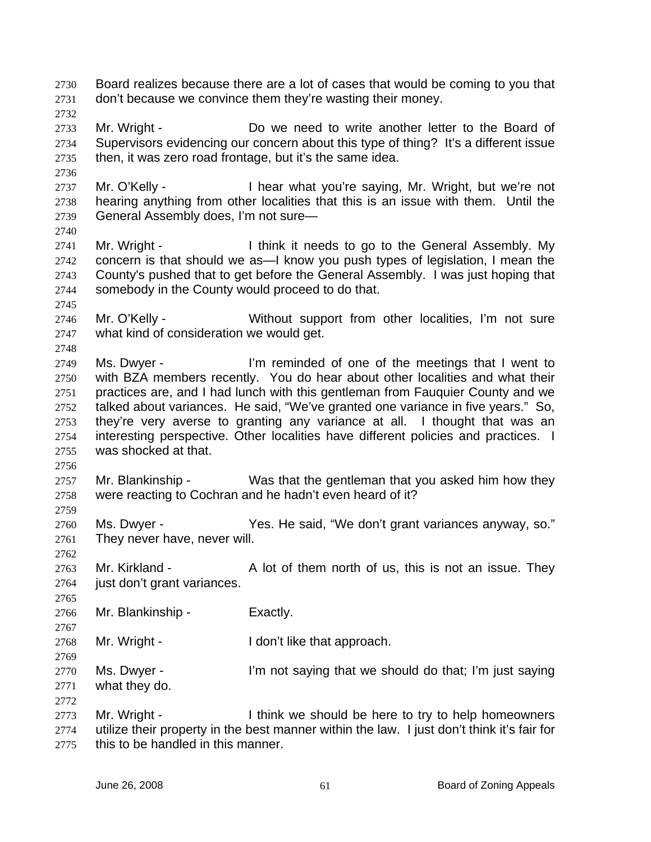Board realizes because there are a lot of cases that would be coming to you that don't because we convince them they're wasting their money. 2730 2731

2732

2736

2733 2734 2735 Mr. Wright - Do we need to write another letter to the Board of Supervisors evidencing our concern about this type of thing? It's a different issue then, it was zero road frontage, but it's the same idea.

2737 2738 2739 Mr. O'Kelly - I hear what you're saying, Mr. Wright, but we're not hearing anything from other localities that this is an issue with them. Until the General Assembly does, I'm not sure—

2740

2745

2748

2741 2742 2743 2744 Mr. Wright - I think it needs to go to the General Assembly. My concern is that should we as—I know you push types of legislation, I mean the County's pushed that to get before the General Assembly. I was just hoping that somebody in the County would proceed to do that.

2746 2747 Mr. O'Kelly - Without support from other localities, I'm not sure what kind of consideration we would get.

- 2749 2750 2751 2752 2753 2754 2755 Ms. Dwyer - I'm reminded of one of the meetings that I went to with BZA members recently. You do hear about other localities and what their practices are, and I had lunch with this gentleman from Fauquier County and we talked about variances. He said, "We've granted one variance in five years." So, they're very averse to granting any variance at all. I thought that was an interesting perspective. Other localities have different policies and practices. I was shocked at that.
- 2756

2759

2762

2765

2767

2769

2772

2757 2758 Mr. Blankinship - Was that the gentleman that you asked him how they were reacting to Cochran and he hadn't even heard of it?

2760 2761 Ms. Dwyer - The Said, "We don't grant variances anyway, so." They never have, never will.

2763 2764 Mr. Kirkland - A lot of them north of us, this is not an issue. They just don't grant variances.

2766 Mr. Blankinship - Exactly.

2768 Mr. Wright - I don't like that approach.

2770 2771 Ms. Dwyer - I'm not saying that we should do that; I'm just saying what they do.

2773 2774 2775 Mr. Wright - Think we should be here to try to help homeowners utilize their property in the best manner within the law. I just don't think it's fair for this to be handled in this manner.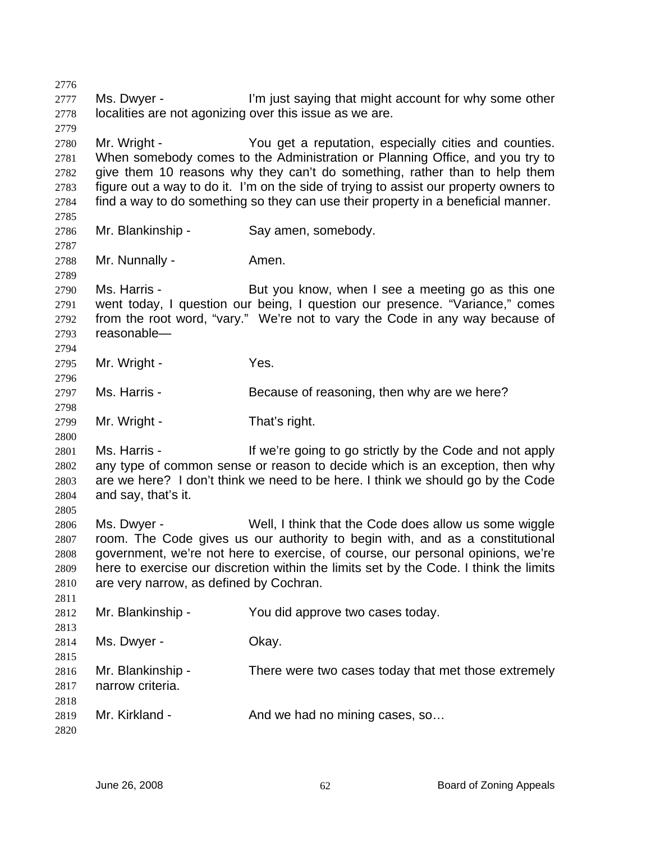2776 2777 2778 2779 2780 2781 2782 2783 2784 2785 2786 2787 2788 2789 2790 2791 2792 2793 2794 2795 2796 2797 2798 2799 2800 2801 2802 2803 2804 2805 2806 2807 2808 2809 2810 2811 2812 2813 2814 2815 2816 2817 2818 2819 2820 Ms. Dwyer - I'm just saying that might account for why some other localities are not agonizing over this issue as we are. Mr. Wright - You get a reputation, especially cities and counties. When somebody comes to the Administration or Planning Office, and you try to give them 10 reasons why they can't do something, rather than to help them figure out a way to do it. I'm on the side of trying to assist our property owners to find a way to do something so they can use their property in a beneficial manner. Mr. Blankinship - Say amen, somebody. Mr. Nunnally - Amen. Ms. Harris - But you know, when I see a meeting go as this one went today, I question our being, I question our presence. "Variance," comes from the root word, "vary." We're not to vary the Code in any way because of reasonable— Mr. Wright - Yes. Ms. Harris - Because of reasoning, then why are we here? Mr. Wright - That's right. Ms. Harris - If we're going to go strictly by the Code and not apply any type of common sense or reason to decide which is an exception, then why are we here? I don't think we need to be here. I think we should go by the Code and say, that's it. Ms. Dwyer - Well, I think that the Code does allow us some wiggle room. The Code gives us our authority to begin with, and as a constitutional government, we're not here to exercise, of course, our personal opinions, we're here to exercise our discretion within the limits set by the Code. I think the limits are very narrow, as defined by Cochran. Mr. Blankinship - You did approve two cases today. Ms. Dwyer - Chay. Mr. Blankinship - There were two cases today that met those extremely narrow criteria. Mr. Kirkland - And we had no mining cases, so...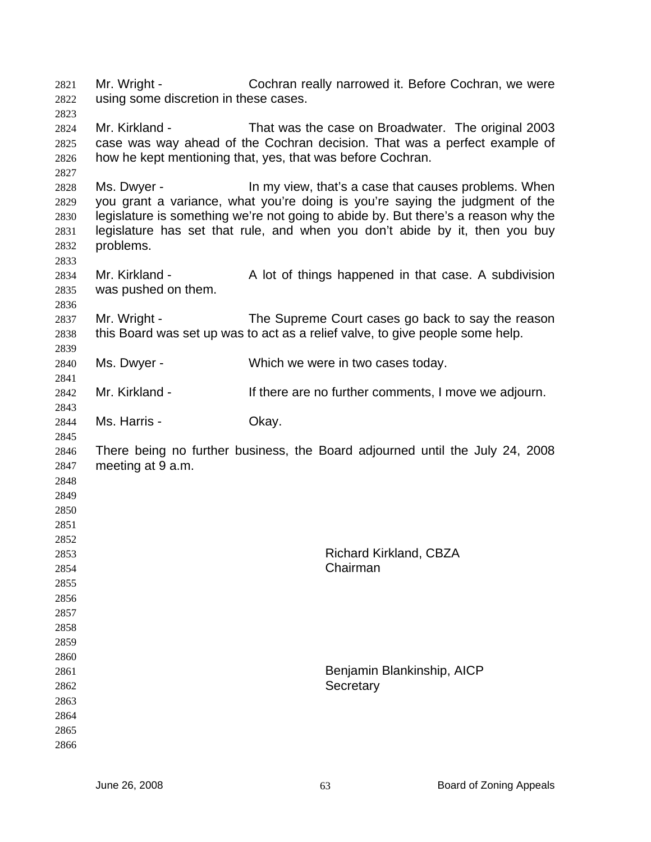Mr. Wright - Cochran really narrowed it. Before Cochran, we were using some discretion in these cases. 

 Mr. Kirkland - That was the case on Broadwater. The original 2003 case was way ahead of the Cochran decision. That was a perfect example of how he kept mentioning that, yes, that was before Cochran.

 Ms. Dwyer - In my view, that's a case that causes problems. When you grant a variance, what you're doing is you're saying the judgment of the legislature is something we're not going to abide by. But there's a reason why the legislature has set that rule, and when you don't abide by it, then you buy problems.

 Mr. Kirkland - A lot of things happened in that case. A subdivision was pushed on them.

 Mr. Wright - The Supreme Court cases go back to say the reason this Board was set up was to act as a relief valve, to give people some help.

 Ms. Dwyer - Which we were in two cases today.

 Mr. Kirkland - If there are no further comments, I move we adjourn.

 Ms. Harris - Ckay.

 There being no further business, the Board adjourned until the July 24, 2008 meeting at 9 a.m.

Richard Kirkland, CBZA

Benjamin Blankinship, AICP

Chairman

**Secretary** 

 

 

- 
-